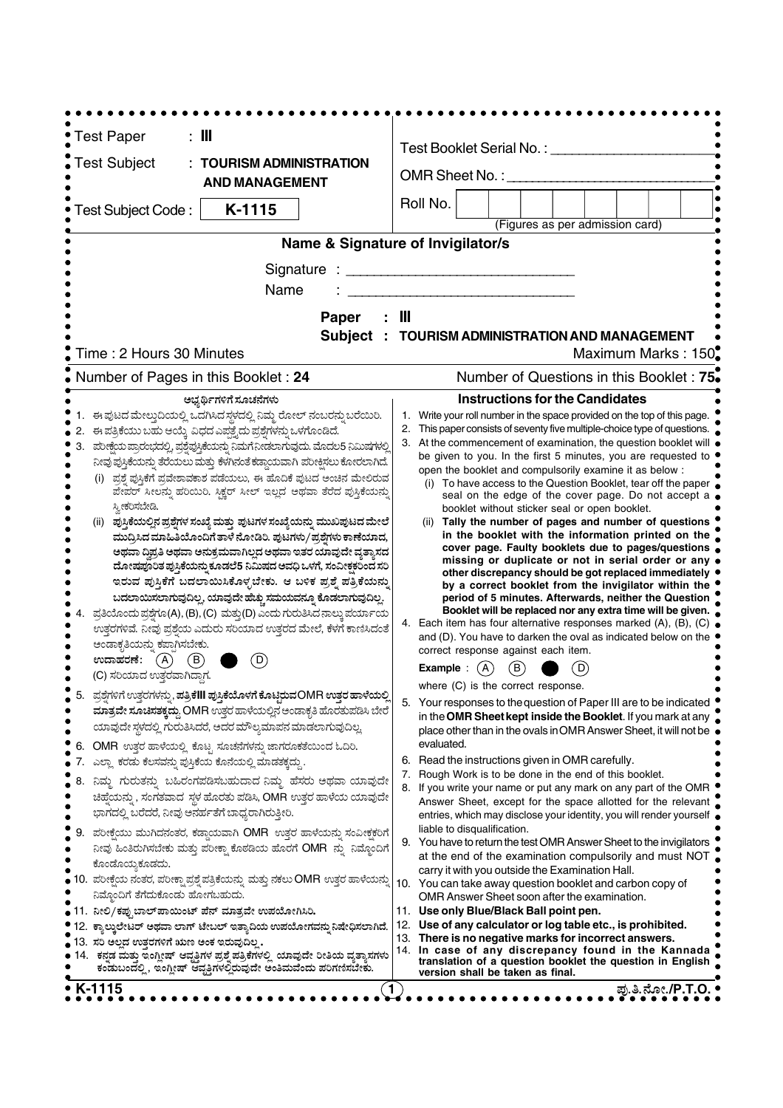| : III<br><b>Test Paper</b>                                                                                                                                       |                                                                                                                                                  |  |  |  |  |  |  |  |
|------------------------------------------------------------------------------------------------------------------------------------------------------------------|--------------------------------------------------------------------------------------------------------------------------------------------------|--|--|--|--|--|--|--|
| <b>Test Subject</b><br><b>TOURISM ADMINISTRATION</b>                                                                                                             | Test Booklet Serial No.:                                                                                                                         |  |  |  |  |  |  |  |
| <b>AND MANAGEMENT</b>                                                                                                                                            | OMR Sheet No.: ____                                                                                                                              |  |  |  |  |  |  |  |
|                                                                                                                                                                  | Roll No.                                                                                                                                         |  |  |  |  |  |  |  |
| K-1115<br>Test Subject Code:                                                                                                                                     | (Figures as per admission card)                                                                                                                  |  |  |  |  |  |  |  |
|                                                                                                                                                                  | Name & Signature of Invigilator/s                                                                                                                |  |  |  |  |  |  |  |
|                                                                                                                                                                  |                                                                                                                                                  |  |  |  |  |  |  |  |
| Signature :                                                                                                                                                      |                                                                                                                                                  |  |  |  |  |  |  |  |
| Name                                                                                                                                                             |                                                                                                                                                  |  |  |  |  |  |  |  |
| Paper                                                                                                                                                            | Ш                                                                                                                                                |  |  |  |  |  |  |  |
| <b>Subject</b>                                                                                                                                                   | TOURISM ADMINISTRATION AND MANAGEMENT                                                                                                            |  |  |  |  |  |  |  |
| Time: 2 Hours 30 Minutes                                                                                                                                         | Maximum Marks: 150                                                                                                                               |  |  |  |  |  |  |  |
| Number of Pages in this Booklet: 24                                                                                                                              | Number of Questions in this Booklet: 75.                                                                                                         |  |  |  |  |  |  |  |
| ಅಭ್ಯರ್ಥಿಗಳಿಗೆ ಸೂಚನೆಗಳು                                                                                                                                           | <b>Instructions for the Candidates</b>                                                                                                           |  |  |  |  |  |  |  |
| ಈ ಪುಟದ ಮೇಲ್ಗುದಿಯಲ್ಲಿ ಒದಗಿಸಿದ ಸ್ಥಳದಲ್ಲಿ ನಿಮ್ಮ ರೋಲ್ ನಂಬರನ್ನು ಬರೆಯಿರಿ.                                                                                              | 1. Write your roll number in the space provided on the top of this page.                                                                         |  |  |  |  |  |  |  |
| ಈ ಪತ್ರಿಕೆಯು ಬಹು ಆಯ್ಕೆ ವಿಧದ ಎಪ್ಪತ್ತೈದು ಪ್ರಶ್ನೆಗಳನ್ನು ಒಳಗೊಂಡಿದೆ.                                                                                                   | 2.<br>This paper consists of seventy five multiple-choice type of questions.<br>3. At the commencement of examination, the question booklet will |  |  |  |  |  |  |  |
| ಪರೀಕ್ಷೆಯ ಪ್ರಾರಂಭದಲ್ಲಿ, ಪ್ರಶ್ನೆಪ್ರಸ್ತಿಕೆಯನ್ನು ನಿಮಗೆ ನೀಡಲಾಗುವುದು. ಮೊದಲ5 ನಿಮಿಷಗಳಲ್ಲಿ<br>ನೀವು ಪುಸ್ತಿಕೆಯನ್ನು ತೆರೆಯಲು ಮತ್ತು ಕೆಳಗಿನಂತೆ ಕಡ್ಡಾಯವಾಗಿ ಪರೀಕ್ಷಿಸಲು ಕೋರಲಾಗಿದೆ. | be given to you. In the first 5 minutes, you are requested to                                                                                    |  |  |  |  |  |  |  |
| (i) ಪ್ರಶ್ನೆ ಪುಸ್ತಿಕೆಗೆ ಪ್ರವೇಶಾವಕಾಶ ಪಡೆಯಲು, ಈ ಹೊದಿಕೆ ಪುಟದ ಅಂಚಿನ ಮೇಲಿರುವ                                                                                           | open the booklet and compulsorily examine it as below :                                                                                          |  |  |  |  |  |  |  |
| ಪೇಪರ್ ಸೀಲನ್ನು ಹರಿಯಿರಿ. ಸಿಕ್ಷರ್ ಸೀಲ್ ಇಲ್ಲದ ಅಥವಾ ತೆರೆದ ಪುಸ್ತಿಕೆಯನ್ನು                                                                                               | (i) To have access to the Question Booklet, tear off the paper<br>seal on the edge of the cover page. Do not accept a                            |  |  |  |  |  |  |  |
| ಸ್ನೀಕರಿಸಬೇಡಿ.                                                                                                                                                    | booklet without sticker seal or open booklet.                                                                                                    |  |  |  |  |  |  |  |
| (ii) ಪುಸ್ತಿಕೆಯಲ್ಲಿನ ಪ್ರಶ್ನೆಗಳ ಸಂಖ್ಯೆ ಮತ್ತು ಪುಟಗಳ ಸಂಖ್ಯೆಯನ್ನು ಮುಖಪುಟದ ಮೇಲೆ<br>ಮುದ್ರಿಸಿದ ಮಾಹಿತಿಯೊಂದಿಗೆ ತಾಳೆ ನೋಡಿರಿ. ಪುಟಗಳು/ಪ್ರಶ್ನೆಗಳು ಕಾಣೆಯಾದ,                     | (ii) Tally the number of pages and number of questions<br>in the booklet with the information printed on the                                     |  |  |  |  |  |  |  |
| ಅಥವಾ ದ್ವಿಪ್ರತಿ ಅಥವಾ ಅನುಕ್ರಮವಾಗಿಲ್ಲದ ಅಥವಾ ಇತರ ಯಾವುದೇ ವ್ಯತ್ಯಾಸದ                                                                                                    | cover page. Faulty booklets due to pages/questions                                                                                               |  |  |  |  |  |  |  |
| ದೋಷಪೂರಿತ ಪುಸ್ತಿಕೆಯನ್ನು ಕೂಡಲೆ5 ನಿಮಿಷದ ಅವಧಿ ಒಳಗೆ, ಸಂವೀಕ್ಷಕರಿಂದ ಸರಿ                                                                                                 | missing or duplicate or not in serial order or any<br>other discrepancy should be got replaced immediately                                       |  |  |  |  |  |  |  |
| ಇರುವ ಪುಸ್ತಿಕೆಗೆ ಬದಲಾಯಿಸಿಕೊಳ್ಳಬೇಕು. ಆ ಬಳಿಕ ಪ್ರಶ್ನೆ ಪತ್ರಿಕೆಯನ್ನು                                                                                                   | by a correct booklet from the invigilator within the                                                                                             |  |  |  |  |  |  |  |
| ಬದಲಾಯಿಸಲಾಗುವುದಿಲ್ಲ, ಯಾವುದೇ ಹೆಚ್ಚು ಸಮಯವನ್ನೂ ಕೊಡಲಾಗುವುದಿಲ್ಲ.<br>ಪ್ರತಿಯೊಂದು ಪ್ರಶ್ನೆಗೂ(A), (B), (C) ಮತ್ತು(D) ಎಂದು ಗುರುತಿಸಿದನಾಲ್ಕು ಪರ್ಯಾಯ                             | period of 5 minutes. Afterwards, neither the Question<br>Booklet will be replaced nor any extra time will be given.                              |  |  |  |  |  |  |  |
| ಉತ್ತರಗಳಿವೆ. ನೀವು ಪ್ರಶ್ತೆಯ ಎದುರು ಸರಿಯಾದ ಉತ್ತರದ ಮೇಲೆ, ಕೆಳಗೆ ಕಾಣಿಸಿದಂತೆ                                                                                             | 4. Each item has four alternative responses marked (A), (B), (C) .                                                                               |  |  |  |  |  |  |  |
| ಅಂಡಾಕೃತಿಯನ್ನು ಕಪಾಗಿಸಬೇಕು.                                                                                                                                        | and (D). You have to darken the oval as indicated below on the<br>correct response against each item.                                            |  |  |  |  |  |  |  |
| (D)<br>ಉದಾಹರಣೆ:<br>$\left($ B $\right)$<br>(A)                                                                                                                   | (B)<br>Example :<br>D                                                                                                                            |  |  |  |  |  |  |  |
| (C) ಸರಿಯಾದ ಉತ್ತರವಾಗಿದ್ದಾಗ.                                                                                                                                       | where (C) is the correct response.                                                                                                               |  |  |  |  |  |  |  |
| ಪ್ರಶ್ನೆಗಳಿಗೆ ಉತ್ತರಗಳನ್ನು, ಪತ್ರಿಕೆlll ಪುಸ್ತಿಕೆಯೊಳಗೆ ಕೊಟ್ಟಿರುವOMR ಉತ್ತರ ಹಾಳೆಯಲ್ಲಿ                                                                                  | 5. Your responses to the question of Paper III are to be indicated                                                                               |  |  |  |  |  |  |  |
| ಮಾತ್ರವೇ ಸೂಚಿಸತಕ್ಕದ್ದು OMR ಉತ್ತರ ಹಾಳೆಯಲ್ಲಿನ ಅಂಡಾಕೃತಿ ಹೊರತುಪಡಿಸಿ ಬೇರೆ<br>ಯಾವುದೇ ಸ್ಥಳದಲ್ಲಿ ಗುರುತಿಸಿದರೆ, ಅದರ ಮೌಲ್ಯಮಾಪನ ಮಾಡಲಾಗುವುದಿಲ್ಲ                                | in the OMR Sheet kept inside the Booklet. If you mark at any                                                                                     |  |  |  |  |  |  |  |
|                                                                                                                                                                  | place other than in the ovals in OMR Answer Sheet, it will not be<br>evaluated.                                                                  |  |  |  |  |  |  |  |
| 6. OMR ಉತ್ತರ ಹಾಳೆಯಲ್ಲಿ ಕೊಟ್ಟ ಸೂಚನೆಗಳನ್ನು ಜಾಗರೂಕತೆಯಿಂದ ಓದಿರಿ.<br>ಎಲ್ಲಾ ಕರಡು ಕೆಲಸವನ್ನು ಪುಸ್ತಿಕೆಯ ಕೊನೆಯಲ್ಲಿ ಮಾಡತಕ್ಕದ್ದು.                                            | 6. Read the instructions given in OMR carefully.                                                                                                 |  |  |  |  |  |  |  |
| ನಿಮ್ಮ ಗುರುತನ್ನು ಬಹಿರಂಗಪಡಿಸಬಹುದಾದ ನಿಮ್ಮ ಹೆಸರು ಅಥವಾ ಯಾವುದೇ<br>8.                                                                                                   | Rough Work is to be done in the end of this booklet.<br>7.                                                                                       |  |  |  |  |  |  |  |
| ಚಿಹ್ನೆಯನ್ನು, ಸಂಗತವಾದ ಸ್ಥಳ ಹೊರತು ಪಡಿಸಿ, OMR ಉತ್ತರ ಹಾಳೆಯ ಯಾವುದೇ                                                                                                    | If you write your name or put any mark on any part of the OMR<br>8.<br>Answer Sheet, except for the space allotted for the relevant              |  |  |  |  |  |  |  |
| ಭಾಗದಲ್ಲಿ ಬರೆದರೆ, ನೀವು ಅನರ್ಹತೆಗೆ ಬಾಧ್ಯರಾಗಿರುತ್ತೀರಿ.                                                                                                               | entries, which may disclose your identity, you will render yourself                                                                              |  |  |  |  |  |  |  |
| $\bullet$ 9.<br>ಪರೀಕ್ಷೆಯು ಮುಗಿದನಂತರ, ಕಡ್ಡಾಯವಾಗಿ OMR ಉತ್ತರ ಹಾಳೆಯನ್ನು ಸಂವೀಕ್ಷಕರಿಗೆ                                                                                 | liable to disqualification.                                                                                                                      |  |  |  |  |  |  |  |
| ನೀವು ಹಿಂತಿರುಗಿಸಬೇಕು ಮತ್ತು ಪರೀಕ್ಷಾ ಕೊಠಡಿಯ ಹೊರಗೆ OMR ನ್ನು ನಿಮ್ಮೊಂದಿಗೆ                                                                                              | 9. You have to return the test OMR Answer Sheet to the invigilators<br>at the end of the examination compulsorily and must NOT                   |  |  |  |  |  |  |  |
| ಕೊಂಡೊಯ್ಯಕೂಡದು.                                                                                                                                                   | carry it with you outside the Examination Hall.                                                                                                  |  |  |  |  |  |  |  |
| $\bullet$ 10.  ಪರೀಕ್ಷೆಯ ನಂತರ, ಪರೀಕ್ಷಾ ಪ್ರಶ್ನೆ ಪತ್ರಿಕೆಯನ್ನು  ಮತ್ತು ನಕಲು OMR  ಉತ್ತರ ಹಾಳೆಯನ್ನು<br>ನಿಮೊಂದಿಗೆ ತೆಗೆದುಕೊಂಡು ಹೋಗಬಹುದು.                                   | 10. You can take away question booklet and carbon copy of                                                                                        |  |  |  |  |  |  |  |
| ● 11. ನೀಲಿ/ಕಪ್ಪುಬಾಲ್ಪಾಯಿಂಟ್ ಪೆನ್ ಮಾತ್ರವೇ ಉಪಯೋಗಿಸಿರಿ.                                                                                                             | OMR Answer Sheet soon after the examination.<br>11. Use only Blue/Black Ball point pen.                                                          |  |  |  |  |  |  |  |
| ● 12.  ಕ್ಯಾಲ್ತುಲೇಟರ್ ಅಥವಾ ಲಾಗ್ ಟೇಬಲ್ ಇತ್ತಾದಿಯ ಉಪಯೋಗವನ್ನು ನಿಷೇಧಿಸಲಾಗಿದೆ.                                                                                          | 12. Use of any calculator or log table etc., is prohibited.                                                                                      |  |  |  |  |  |  |  |
| ● 13. ಸರಿ ಅಲ್ಲದ ಉತ್ತರಗಳಿಗೆ ಋಣ ಅಂಕ ಇರುವುದಿಲ್ಲ .                                                                                                                   | 13. There is no negative marks for incorrect answers.<br>14. In case of any discrepancy found in the Kannada                                     |  |  |  |  |  |  |  |
| ● 14.   ಕನ್ನಡ ಮತ್ತು ಇಂಗ್ಲೀಷ್ ಆವೃತ್ತಿಗಳ ಪ್ರಶ್ನೆ ಪತ್ರಿಕೆಗಳಲ್ಲಿ  ಯಾವುದೇ ರೀತಿಯ ವ್ಯತ್ಯಾಸಗಳು<br>ಕಂಡುಬಂದಲ್ಲಿ , ಇಂಗ್ಲೀಷ್ ಆವೃತ್ತಿಗಳಲ್ಲಿರುವುದೇ ಅಂತಿಮವೆಂದು ಪರಿಗಣಿಸಬೇಕು.     | translation of a question booklet the question in English<br>version shall be taken as final.                                                    |  |  |  |  |  |  |  |
| • K-1115<br>1.                                                                                                                                                   | ಪು.ತಿ.ನೋ./P.T.O. <sub>'</sub>                                                                                                                    |  |  |  |  |  |  |  |
|                                                                                                                                                                  |                                                                                                                                                  |  |  |  |  |  |  |  |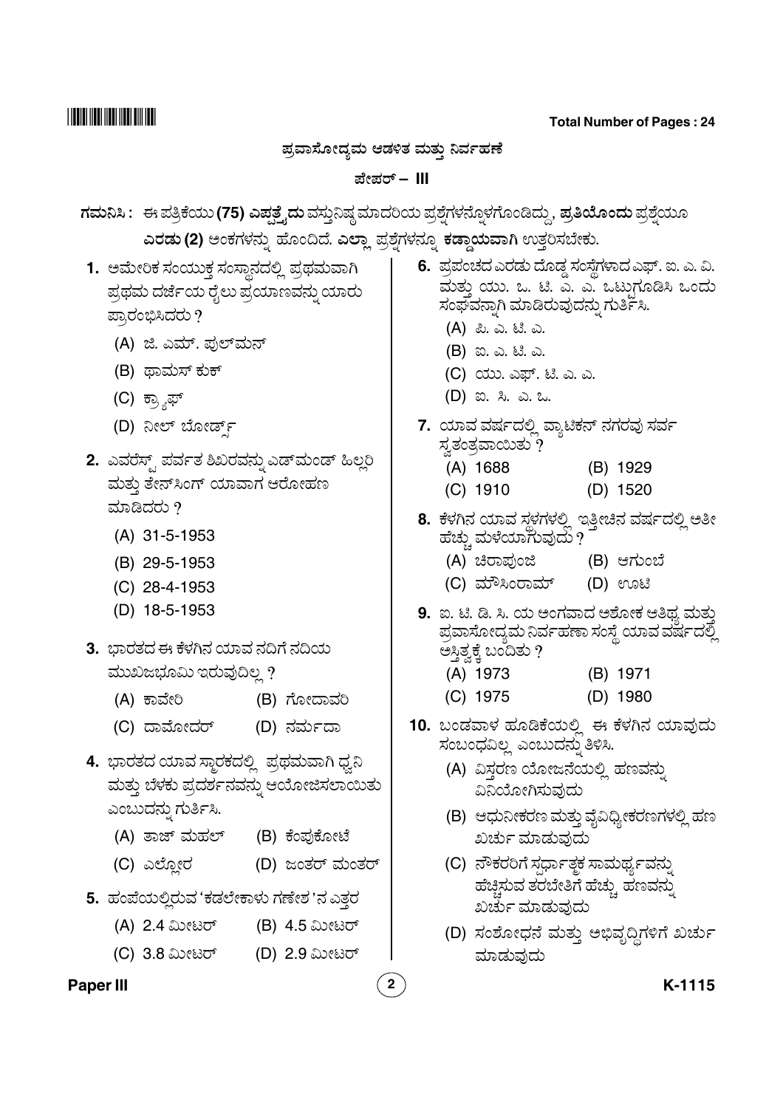**Total Number of Pages : 24**

## <u>ಪ್ರವಾಸೋದ್ಧಮ ಆಡಳಿತ ಮತು ನಿರ್ವಹಣೆ</u>

## ವೇಪರ್ – III

<mark>ಗಮನಿಸಿ :</mark> ಈ ಪತ್ರಿಕೆಯು (75) ಎಪ್ಪತ್ತೈದು ವಸ್ತುನಿಷ್ಠ ಮಾದರಿಯ ಪ್ರಶ್ನೆಗಳನ್ನೊಳಗೊಂಡಿದ್ದು, **ಪ್ರತಿಯೊಂದು** ಪ್ರಶ್ನೆಯೂ " " " ಎರಡು (2) ಅಂಕಗಳನ್ನು ಹೊಂದಿದೆ. ಎಲ್ಲಾ ಪ್ರಶ್ನೆಗಳನ್ನೂ ಕಡ್ಡಾಯವಾಗಿ ಉತ್ತರಿಸಬೇಕು. " "

- <mark>1.</mark> ಅಮೇರಿಕ ಸಂಯುಕ್ತ ಸಂಸ್ಥಾನದಲ್ಲಿ ಪ್ರಥಮವಾಗಿ .<br>ಪ್ರಥಮ ದರ್ಜೆಯ ರೈಲು ಪ್ರಯಾಣವನ್ನು ಯಾರು " ಪ್ರಾರಂಭಿಸಿದರು ?
	- (A) ಜಿ. ಎಮ್. ಫುಲ್*ಮನ್*
	- (B) ಥಾಮಸ್ ಕುಕ್
	- (C) ಕ್ಸ್<del>ಶಾ</del>ಫ್
	- (D) ನೀಲ್ ಬೋರ್ಡ್
- .<br> ಎವರೆಸ್ಸ್ ಪರ್ವತ ಶಿಖರವನ್ನು ಎಡ್ಮಂಡ್ ಹಿಲ್<del>ಲ</del>ರಿ @ ಮತು ತೇನ್ಸಿಂಗ್ ಯಾವಾಗ ಆರೋಹಣ ಮಾಡಿದರು  $\imath$ 
	- (A) 31-5-1953
	- (B) 29-5-1953
	- (C) 28-4-1953
	- (D) 18-5-1953
- **3.** ಭಾರತದ ಈ ಕೆಳಗಿನ ಯಾವ ನದಿಗೆ ನದಿಯ ಮುಖಜಭೂಮಿ ಇರುವುದಿಲ್ಲ ?
	- (A) ಕಾವೇರಿ .<br>'ೕರಿ (B) ಗೋದಾವರಿ
	- (C) ದಾಮೋದರ್ (D) ನರ್ಮದಾ
- **4.** ಭಾರತದ ಯಾವ ಸ್ಥಾರಕದಲ್ಲಿ ಪ್ರಥಮವಾಗಿ ಧ್ವನಿ ಮತ್ತು ಬೆಳಕು ಪ್ರದರ್ಶನವನ್ನು ಆಯೋಜಿಸಲಾಯಿತು " ಎಂಬುದನು ಗುರ್ತಿಸಿ. "
	- (A) ತಾಜ್ ಮಹಲ್ .<br>'ಂಪುಕೋಟೆ
	- (C) ಎಲ್ಲೋರ (D) ಜಂತರ್ ಮಂತರ್
- **5.** ಹಂಪೆಯಲ್ತಿರುವ 'ಕಡಲೇಕಾಳು ಗಣೇಶ 'ನ ಎತ್ತರ
	- (A) 2.4 ಮೀಟರ್ (B) 4.5 ಮೀಟರ್
	- (C) 3.8 ಮೀಟರ್ (D) 2.9 ಮೀಟರ್

#### **Paper III 2 K-1115**

- **6.** ಪ್ರಪಂಚದ ಎರಡು ದೊಡ್ಡ ಸಂಸ್ಥೆಗಳಾದ ಎಫ್. ಐ. ಎ. ವಿ. ್ರ<br>ಮತು ಯು. ಒ. ಟಿ. ಎ. ಎ. ಒಟುಗೂಡಿಸಿ ಒಂದು f 7" E5 4&F% "
	- (A) ಪಿ. ಎ. ಟಿ. ಎ.
	- (B) ಐ. ಎ. ಟಿ. ಎ.
	- (C) ಯು. ಎಫ್. ಟಿ. ಎ. ಎ.
	- (D) ಐ. ಸಿ. ಎ. ಒ.
- **7.** ಯಾವ ವರ್ಷದಲ್ಲಿ ವ್ಯಾಟಿಕನ್ ನಗರವು ಸರ್ವ<br> ಸ್ವತಂತ್ರವಾಯಿತು ?
	- (A) 1688 (B) 1929
	- (C) 1910 (D) 1520
- **8.** ( E 4 A&? ; F >& )O h E4 X
	- (A) ಚಿರಾಪುಂಜಿ (B) ಆಗುಂಬೆ
	- (C) ಮೌಸಿಂರಾಮ್ (D) ಊಟಿ
- **9.** ಐ. ಟಿ. ಡಿ. ಸಿ. ಯ ಅಂಗವಾದ ಅಶೋಕ ಆತಿಥ್ತ ಮತು ಐ. ಟಿ. ಡಿ. ಸಿ. ಯ ಅಂಗವಾದ ಅಶೋಕ ಆತಿಥ್ಯ ಮತ್ತು<br>ಪ್ರವಾಸೋದ್ಯಮ ನಿರ್ವಹಣಾ ಸಂಸ್ಥೆ ಯಾವ ವರ್ಷದಲ್ಲಿ<br>ಅಸಿತ ಕೆ. ಬಂದಿತು ? ಅಸ್ತಿತ್ವಕ್ಕೆ ಬಂದಿತು ?
	- (A) 1973 (B) 1971
	- (C) 1975 (D) 1980
- **10.** ಬಂಡವಾಳ ಹೂಡಿಕೆಯಲ್ಲಿ ಈ ಕೆಳಗಿನ ಯಾವುದು ಸಂಬಂಧವಿಲ್ಲ ಎಂಬುದನ್ನು ತಿಳಿಸಿ. "
	- ,<br>(A) ವಿಸರಣ ಯೋಜನೆಯಲ್ಲಿ ಹಣವನು ವಿನಿಯೋಗಿಸುವುದು
	- (B) ಆಧುನೀಕರಣ ಮತ್ತು ವೈವಿಧ್ಯೀಕರಣಗಳಲ್ಲಿ ಹಣ ಖರ್ಚು ಮಾಡುವುದು
	- (C) ನೌಕರರಿಗೆ ಸರ್ಧಾತ್ಗಕ ಸಾಮರ್ಥ್ಯವನ್ನು " ಹೆಚಿಸುವ ತರಬೇತಿಗೆ ಹೆಚು ಹಣವನು ಖರ್ಚು ಮಾಡುವುದು
	- (D) ಸಂಶೋಧನೆ ಮತ್ತು ಅಭಿವೃದ್ಧಿಗಳಿಗೆ ಖರ್ಚು ಮಾಡುವುದು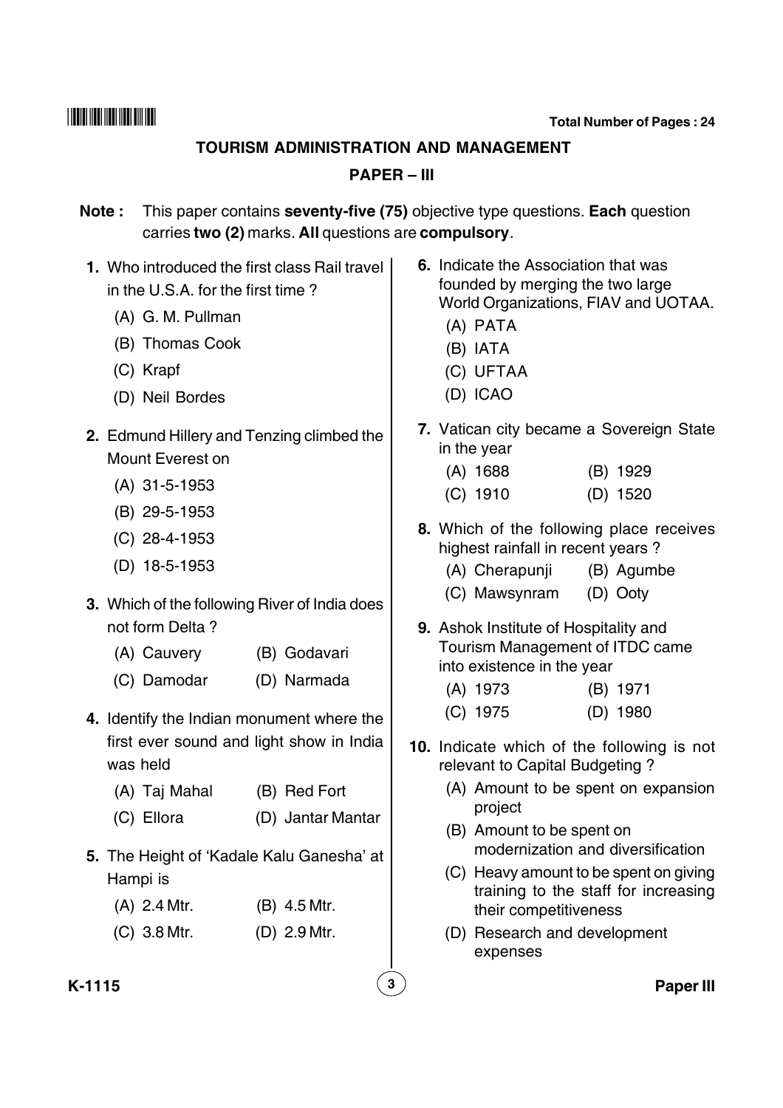#### **TOURISM ADMINISTRATION AND MANAGEMENT**

### **PAPER – III**

- **Note :** This paper contains **seventy-five (75)** objective type questions. **Each** question carries **two (2)** marks. **All** questions are **compulsory**.
- **1.** Who introduced the first class Rail travel in the U.S.A. for the first time ?
	- (A) G. M. Pullman
	- (B) Thomas Cook
	- (C) Krapf
	- (D) Neil Bordes
- **2.** Edmund Hillery and Tenzing climbed the Mount Everest on
	- (A) 31-5-1953
	- (B) 29-5-1953
	- (C) 28-4-1953
	- (D) 18-5-1953
- **3.** Which of the following River of India does not form Delta ?
	- (A) Cauvery (B) Godavari
	- (C) Damodar (D) Narmada
- **4.** Identify the Indian monument where the first ever sound and light show in India was held
	- (A) Taj Mahal (B) Red Fort
	- (C) Ellora (D) Jantar Mantar
- **5.** The Height of 'Kadale Kalu Ganesha' at Hampi is
	- (A) 2.4 Mtr. (B) 4.5 Mtr.
	- (C) 3.8 Mtr. (D) 2.9 Mtr.
- **6.** Indicate the Association that was founded by merging the two large World Organizations, FIAV and UOTAA.
	- (A) PATA
	- (B) IATA
	- (C) UFTAA
	- (D) ICAO
- **7.** Vatican city became a Sovereign State in the year
	- (A) 1688 (B) 1929
	- (C) 1910 (D) 1520
- **8.** Which of the following place receives highest rainfall in recent years ?
	- (A) Cherapunji (B) Agumbe
	- (C) Mawsynram (D) Ooty
- **9.** Ashok Institute of Hospitality and Tourism Management of ITDC came into existence in the year
	- (A) 1973 (B) 1971
	- (C) 1975 (D) 1980
- **10.** Indicate which of the following is not relevant to Capital Budgeting ?
	- (A) Amount to be spent on expansion project
	- (B) Amount to be spent on modernization and diversification
	- (C) Heavy amount to be spent on giving training to the staff for increasing their competitiveness
	- (D) Research and development expenses

**K-1115 3 Paper III**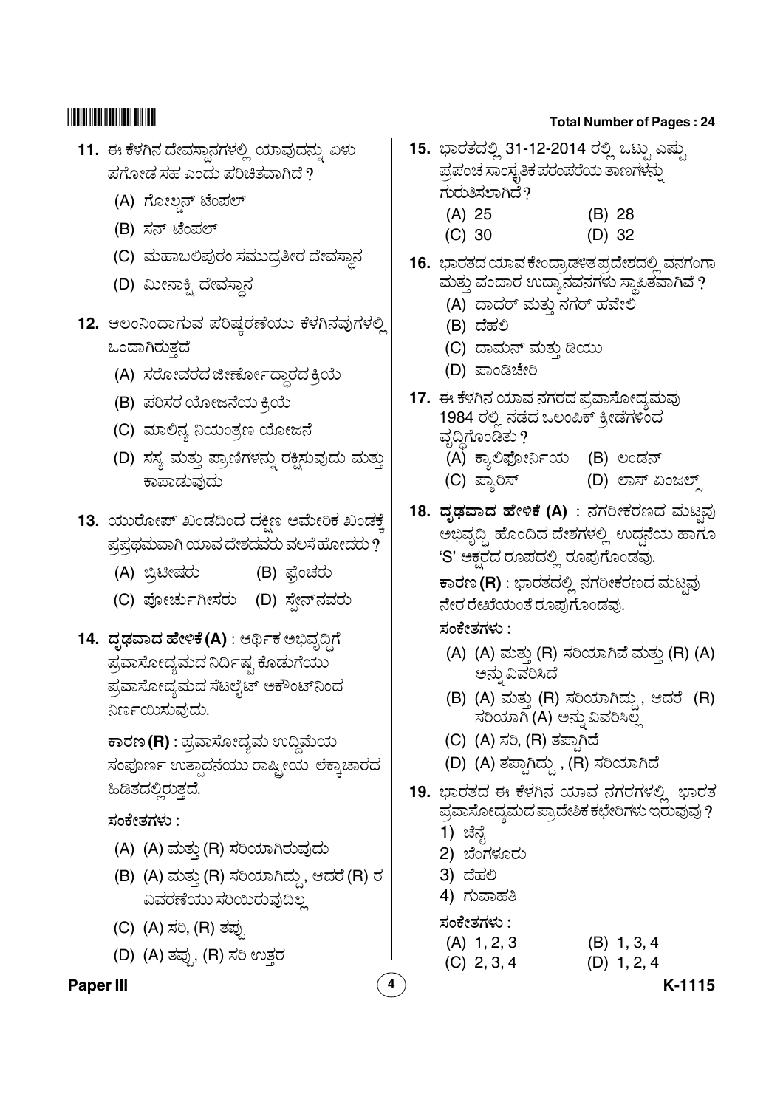- .<br>11. ಈ ಕೆಳಗಿನ ದೇವಸ್ಥಾನಗಳಲ್ಲಿ ಯಾವುದನ್ನು ಏಳು " ಪಗೋಡ ಸಹ ಎಂದು ಪರಿಚಿತವಾಗಿದೆ ?
	- (A) ಗೋಲ್ಡ್ ಟೆಂಪಲ್
	- (B) ಸನ್ ಟೆಂಪಲ್
	- (C) ಮಹಾಬಲಿಪುರಂ ಸಮುದ್ರತೀರ ದೇವಸ್ಥಾನ
	- (D) ಮೀನಾಕ್ಷಿ ದೇವಸ್ಥಾನ
- 12. ಆಲಂನಿಂದಾಗುವ ಪರಿಷ್ಕರಣೆಯು ಕೆಳಗಿನವುಗಳಲ್ಲಿ ಒಂದಾಗಿರುತದೆ
	- (A) ಸರೋವರದ ಜೀರ್ಣೋದ್ಧಾರದ ಕ್ರಿಯೆ
	- (B) ಪರಿಸರ ಯೋಜನೆಯ ಕ್ರಿಯೆ
	- (C) ಮಾಲಿನ್ಯ ನಿಯಂತ್ರಣ ಯೋಜನೆ
	- (D) ಸಸ್ಯ ಮತ್ತು ಪ್ರಾಣಿಗಳನ್ನು ರಕ್ಷಿಸುವುದು ಮತ್ತು " ಕಾಪಾಡುವುದು
- **13.** ಯುರೋಪ್ ಖಂಡದಿಂದ ದಕ್ಷಿಣ ಅಮೇರಿಕ ಖಂಡಕ್ಕೆ ಪ್ರಪ್ರಥಮವಾಗಿ ಯಾವ ದೇಶದವರು ವಲಸೆ ಹೋದರು  $\dot{?}$ 
	- (A) ಬ್ರಿಟೀಷರು (B) ಫ್ರೆಂಚರು
	- (C) ಪೋರ್ಚುಗೀಸರು (D) ಸೇನ್ನವರು
- **14. ದೃಢವಾದ ಹೇಳಿಕೆ (A)** : ಆರ್ಥಿಕ ಅಭಿವೃದ್ಧಿಗೆ .<br>ಪ್ರವಾಸೋದ್ಯಮದ ನಿರ್ದಿಷ್ಟ ಕೊಡುಗೆಯು \_\_<br>ಪ್ರವಾಸೋದ್ಯಮದ ಸೆಟಲೈಟ್ ಅಕೌಂಟ್ನಿಂದ ನಿರ್ಣಯಿಸುವುದು.

 $\overline{\textbf{r}}$ ಾರಣ (R) : ಪ್ರವಾಸೋದ್ಯಮ ಉದ್ದಿಮೆಯ ಸಂಪೂರ್ಣ ಉತಾದನೆಯು ರಾಷಿ ೕಯ ಲೆಕಾಚಾರದ .<br>ಹಿಡಿತದಲಿರುತದೆ.

.<br>ಸಂಕೇತಗಳು :

- (A) (A) ಮತ್ತು (R) ಸರಿಯಾಗಿರುವುದು
- (B) (A) ಮತ್ತು (R) ಸರಿಯಾಗಿದ್ದು, ಆದರೆ (R) ರ ವಿವರಣೆಯು ಸರಿಯಿರುವುದಿಲ
- (C) (A) ಸರಿ, (R) ತಪ್ಪು
- (D) (A) ತಪ್ಪು (R) ಸರಿ ಉತ್ತರ

## **Paper III 4 K-1115**

## **Total Number of Pages : 24**

- .<br>**15.** ಭಾರತದಲ್ಲಿ 31-12-2014 ರಲ್ಲಿ ಒಟ್ಸು ಎಷು .<br>ಪ್ರಪಂಚ ಸಾಂಸ್ಕೃತಿಕ ಪರಂಪರೆಯ ತಾಣಗಳನ್ನು  $\stackrel{\sim}{{\cal R}}$ ರುತಿಸಲಾಗಿದೆ?
	- (A) 25 (B) 28
	- (C) 30 (D) 32
- <mark>16.</mark> ಭಾರತದ ಯಾವ ಕೇಂದ್ರಾಡಳಿತ ಪ್ರದೇಶದಲ್ಲಿ ವನಗಂಗಾ<br>ಮತು ವಂದಾರ ಉದ್ಘಾನವನಗಳು ಸಾಪಿತವಾಗಿವೆ ? ಮತ್ತು ವಂದಾರ ಉದ್ಯಾನವನಗಳು ಸ್ಥಾಪಿತವಾಗಿವೆ ?
	- (A) ದಾದರ್ ಮತ್ತು ನಗರ್ ಹವೇಲಿ
	- .<br>(B) ದೆಹಲಿ
	- (C) ದಾಮನ್ ಮತ್ತು ಡಿಯು
	- . .<br>(D) ಪಾಂಡಿಚೇರಿ
- <mark>17. ಈ ಕೆಳಗಿನ ಯಾವ ನಗರದ</mark> ಪ್ರವಾಸೋದ್ಯಮವು ತಾರಾಗಿದೆ. ಇದರು ದಾಲ್ಕ್ರಮಾಯಾಗ್ಯಾದಿ.<br>1984 ರಲ್ಲಿ ನಡೆದ ಒಲಂಪಿಕ್ ಕ್ರೀಡೆಗಳಿಂದ<br>ವದಿಗೊಂಡಿತು ? ವೃದ್ಧಿಗೊಂಡಿತು ?
	- ッ<br>(A) ಕ್ಯಾಲಿಫೋರ್ನಿಯ (B) ಲಂಡನ್
	- (C) ಪ್ತಾರಿಸ್ (D) ಲಾಸ್ ಏಂಜಲ್ಸ್
- **18. ದೃಢವಾದ ಹೇಳಿಕೆ (A)** : ನಗರೀಕರಣದ ಮಟ್ಷವು @ ್ಷ<br>ಅಬಿವದಿ ಹೊಂದಿದ ದೇಶಗಳಲಿ ಉದನೆಯ ಹಾಗೂ .<br>'S' ಅಕರದ ರೂಪದಲ್ಲಿ ರೂಪುಗೊಂಡವು.

**ಕಾರಣ (R)** : ಭಾರತದಲ್ಲಿ ನಗರೀಕರಣದ ಮಟವು ನೇರ ರೇಖೆಯಂತೆ ರೂಪುಗೊಂಡವು.

<u>ಸಂಕೇತಗಳು :</u>

- (A) (A) ಮತ್ತು (R) ಸರಿಯಾಗಿವೆ ಮತ್ತು (R) (A) > - \$ "
- (B) (A) ಮತ್ತು (R) ಸರಿಯಾಗಿದ್ದು, ಆದರೆ (R) . ., ... \_\_ . . . , ... ............<br>ಸರಿಯಾಗಿ (A) ಅನ್ನು ವಿವರಿಸಿಲ್ಲ
- (C) (A) ಸರಿ, (R) ತಪಾಗಿದೆ
- (D) (A) ತಪಾಗಿದ್ದು , (R) ಸರಿಯಾಗಿದೆ
- **19.** ಭಾರತದ ಈ ಕೆ ಭಾರತದ ಈ ಕೆಳಗಿನ ಯಾವ ನಗರಗಳಲ್ಲಿ ಭಾರತ<br>ಪ್ರವಾಸೋದ್ಯಮದಪ್ರಾದೇಶಿಕ ಕಛೇರಿಗಳು ಇರುವುವು ?
	- <u>ಗ</u>) ಚೆನ್ನ )<br>I
	- 2) ಬೆಂಗಳೂರು
	- .<br>3) ದೆಹಲಿ
	- 4) ಗುವಾಹತಿ

<u>ಸಂಕೇತಗಳು :</u>

- (A) 1, 2, 3 (B) 1, 3, 4
- (C)  $2, 3, 4$  (D)  $1, 2, 4$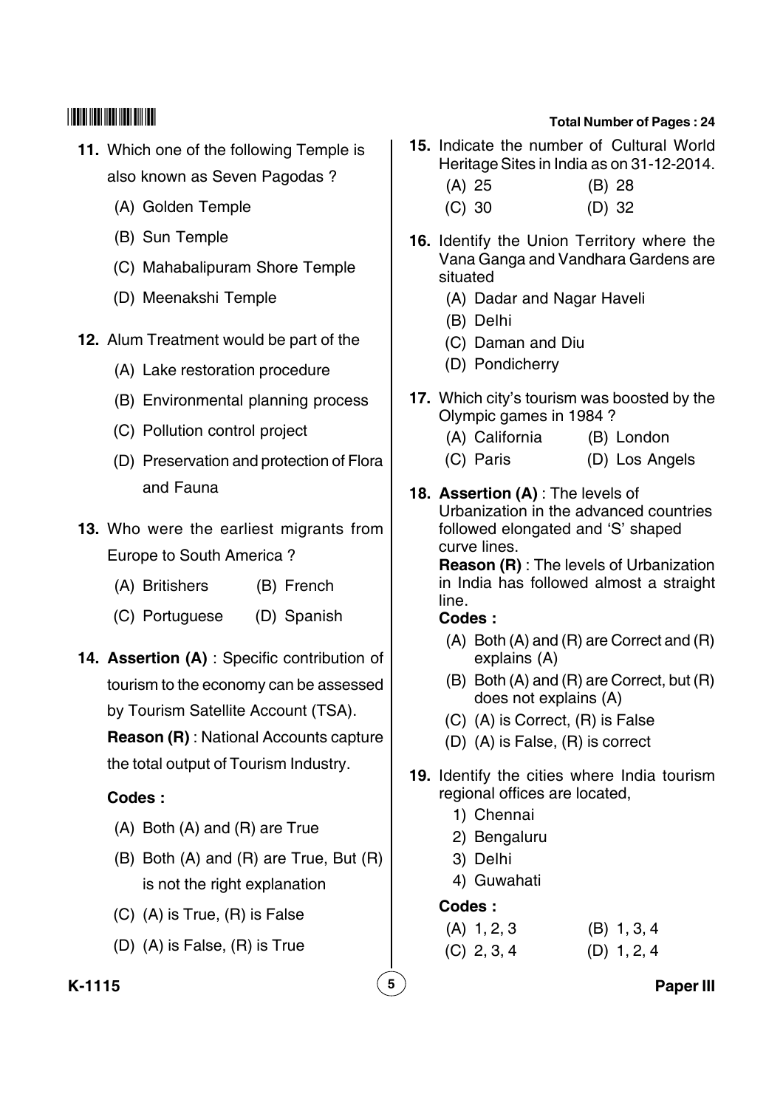- **11.** Which one of the following Temple is also known as Seven Pagodas ?
	- (A) Golden Temple
	- (B) Sun Temple
	- (C) Mahabalipuram Shore Temple
	- (D) Meenakshi Temple
- **12.** Alum Treatment would be part of the
	- (A) Lake restoration procedure
	- (B) Environmental planning process
	- (C) Pollution control project
	- (D) Preservation and protection of Flora and Fauna
- **13.** Who were the earliest migrants from Europe to South America ?
	- (A) Britishers (B) French
	- (C) Portuguese (D) Spanish
- **14. Assertion (A)** : Specific contribution of tourism to the economy can be assessed by Tourism Satellite Account (TSA).

**Reason (R)** : National Accounts capture the total output of Tourism Industry.

## **Codes :**

- (A) Both (A) and (R) are True
- (B) Both (A) and (R) are True, But (R) is not the right explanation
- (C) (A) is True, (R) is False
- (D) (A) is False, (R) is True
- **Total Number of Pages : 24 15.** Indicate the number of Cultural World
	- Heritage Sites in India as on 31-12-2014. (A) 25 (B) 28
	- (C) 30 (D) 32
- **16.** Identify the Union Territory where the Vana Ganga and Vandhara Gardens are situated
	- (A) Dadar and Nagar Haveli
	- (B) Delhi
	- (C) Daman and Diu
	- (D) Pondicherry
- **17.** Which city's tourism was boosted by the Olympic games in 1984 ?
	- (A) California (B) London
	- (C) Paris (D) Los Angels
- **18. Assertion (A)** : The levels of Urbanization in the advanced countries followed elongated and 'S' shaped curve lines.

**Reason (R)** : The levels of Urbanization in India has followed almost a straight line.

## **Codes :**

- (A) Both (A) and (R) are Correct and (R) explains (A)
- (B) Both (A) and (R) are Correct, but (R) does not explains (A)
- (C) (A) is Correct, (R) is False
- (D) (A) is False, (R) is correct
- **19.** Identify the cities where India tourism regional offices are located,
	- 1) Chennai
	- 2) Bengaluru
	- 3) Delhi
	- 4) Guwahati

## **Codes :**

- (A) 1, 2, 3 (B) 1, 3, 4
- (C) 2, 3, 4 (D) 1, 2, 4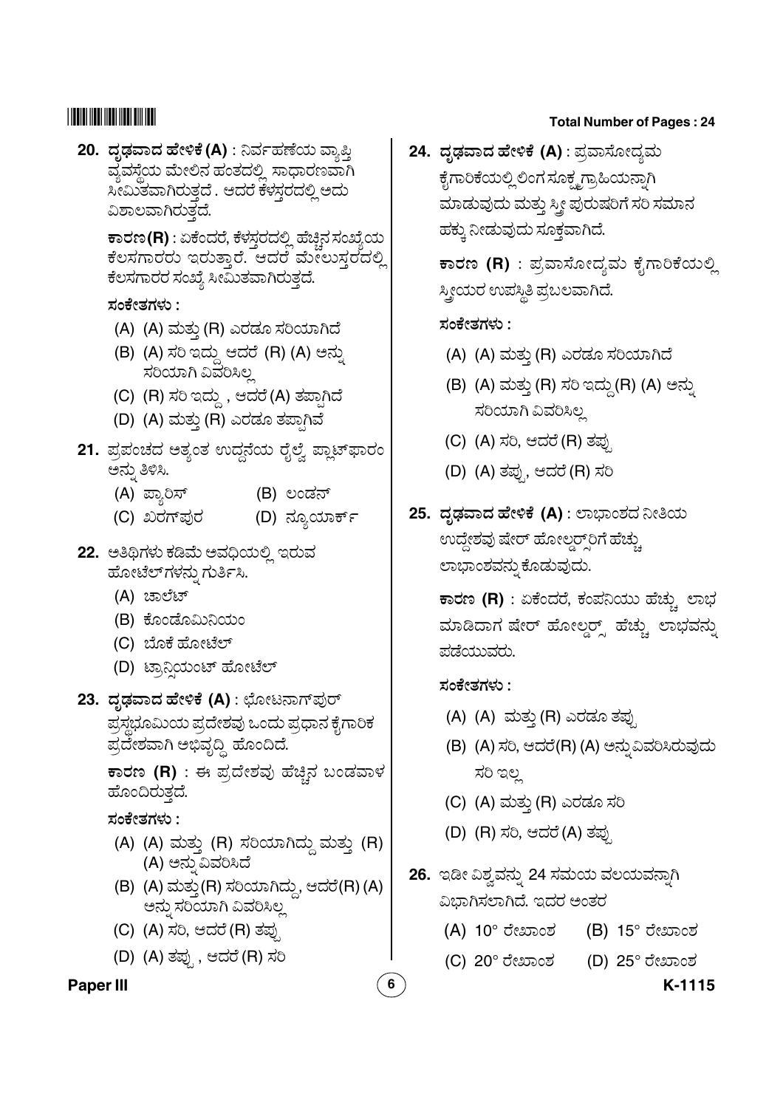## 

20. ದೃಢವಾದ ಹೇಳಿಕೆ (A) : ನಿರ್ವಹಣೆಯ ವ್ಯಾಪ್ತಿ ವ್ಯವಸ್ಥೆಯ ಮೇಲಿನ ಹಂತದಲ್ಲಿ ಸಾಧಾರಣವಾಗಿ ಸೀಮಿತವಾಗಿರುತ್ತದೆ . ಆದರೆ ಕೆಳಸ್ತರದಲ್ಲಿ ಅದು ವಿಶಾಲವಾಗಿರುತ್ತದೆ.

> ಕಾರಣ (R) : ಏಕೆಂದರೆ, ಕೆಳಸರದಲ್ಲಿ ಹೆಚಿನ ಸಂಖ್ಯೆಯ ಕೆಲಸಗಾರರು ಇರುತ್ತಾರೆ. ಆದರೆ ಮೇಲುಸ್ತರದಲ್ಲಿ ಕೆಲಸಗಾರರ ಸಂಖ್ಯೆ ಸೀಮಿತವಾಗಿರುತ್ತದೆ.

ಸಂಕೇತಗಳು :

- (A) (A) ಮತ್ತು (R) ಎರಡೂ ಸರಿಯಾಗಿದೆ
- (B) (A) ಸರಿ ಇದ್ದು ಆದರೆ (R) (A) ಅನ್ನು ಸರಿಯಾಗಿ ವಿವರಿಸಿಲ್ಪ
- (C) (R) ಸರಿ ಇದ್ದು , ಆದರೆ(A) ತಪ್ಪಾಗಿದೆ
- (D) (A) ಮತ್ತು (R) ಎರಡೂ ತಪಾಗಿವೆ
- 21. ಪ್ರಪಂಚದ ಅತ್ಯಂತ ಉದ್ದನೆಯ ರೈಲ್ವೆ ಪ್ಲಾಟ್ಫಾರಂ ಅನ್ನು ತಿಳಿಸಿ.
	- (B) ಲಂಡನ್ (A) ಪ್ರಾರಿಸ್
	- (D) ನ್ಯೂಯಾರ್ಕ್ (C) ಖರಗ್**ಪುರ**
- 22. ಅತಿಥಿಗಳು ಕಡಿಮೆ ಅವಧಿಯಲ್ಲಿ ಇರುವ ಹೋಟೆಲ್ಗಳನ್ನು ಗುರ್ತಿಸಿ.
	- (A) ಚಾಲೆಟ್
	- (B) ಕೊಂಡೊಮಿನಿಯಂ
	- (C) ಬೊಕೆ ಹೋಟೆಲ್
	- (D) ಟ್ರಾನಿಯಂಟ್ ಹೋಟೆಲ್
- 23. ದೃಢವಾದ ಹೇಳಿಕೆ (A) : ಛೋಟನಾಗ್**ಪು**ರ್ ಪ್ರಸ್ಥಭೂಮಿಯ ಪ್ರದೇಶವು ಒಂದು ಪ್ರಧಾನ ಕೈಗಾರಿಕ ಪ್ರದೇಶವಾಗಿ ಅಭಿವೃದ್ಧಿ ಹೊಂದಿದೆ.

ಕಾರಣ (R) : ಈ ಪ್ರದೇಶವು ಹೆಚ್ಚಿನ ಬಂಡವಾಳ ಹೊಂದಿರುತದೆ.

ಸಂಕೇತಗಳು :

- (A) (A) ಮತ್ತು (R) ಸರಿಯಾಗಿದ್ದು ಮತ್ತು (R) (A) ಅನ್ನು ವಿವರಿಸಿದೆ
- (B) (A) ಮತ್ತು(R) ಸರಿಯಾಗಿದ್ದು, ಆದರೆ(R)(A) ಅನ್ನು ಸರಿಯಾಗಿ ವಿವರಿಸಿಲ್ಲ
- (C) (A) ಸರಿ, ಆದರೆ (R) ತಪು
- (D) (A) ತಪ್ಪು , ಆದರೆ (R) ಸರಿ

## **Paper III**

## **Total Number of Pages: 24**

24. ದೃಢವಾದ ಹೇಳಿಕೆ (A) : ಪ್ರವಾಸೋದ್ತಮ ಕೈಗಾರಿಕೆಯಲ್ಲಿ ಲಿಂಗ ಸೂಕ್ತ್ಮಗ್ರಾಹಿಯನ್ನಾಗಿ ಮಾಡುವುದು ಮತ್ತು ಸ್ತ್ರೀ ಪುರುಷರಿಗೆ ಸರಿ ಸಮಾನ ಹಕ್ಕು ನೀಡುವುದು ಸೂಕ್ತವಾಗಿದೆ.

> ಕಾರಣ (R) : ಪ್ರವಾಸೋದ್ಯಮ ಕೈಗಾರಿಕೆಯಲ್ಲಿ ಸ್ತ್ರೀಯರ ಉಪಸ್ಥಿತಿ ಪ್ರಬಲವಾಗಿದೆ.

## ಸಂಕೇತಗಳು :

- (A) (A) ಮತ್ತು (R) ಎರಡೂ ಸರಿಯಾಗಿದೆ
- (B) (A) ಮತ್ತು (R) ಸರಿ ಇದ್ದು (R) (A) ಅನ್ವು ಸರಿಯಾಗಿ ವಿವರಿಸಿಲ್ಲ
- (C) (A) ಸರಿ, ಆದರೆ (R) ತಪು
- (D) (A) ತಪ್ಪು, ಆದರೆ (R) ಸರಿ
- 25. ದೃಢವಾದ ಹೇಳಿಕೆ (A) : ಲಾಭಾಂಶದ ನೀತಿಯ ಉದ್ದೇಶವು ಷೇರ್ ಹೋಲ್ಡರ್್ದಿಗೆ ಹೆಚ್ಚು ಲಾಭಾಂಶವನ್ನು ಕೊಡುವುದು.

ಕಾರಣ (R) : ಏಕೆಂದರೆ, ಕಂಪನಿಯು ಹೆಚ್ಚು ಲಾಭ ಮಾಡಿದಾಗ ಷೇರ್ ಹೋಲ್ಡರ್ೃ ಹೆಚ್ಚು ಲಾಭವನ್ನು ಪಡೆಯುವರು.

## ಸಂಕೇತಗಳು :

 $6\phantom{a}$ 

- (A) (A) ಮತ್ತು (R) ಎರಡೂ ತಪ್ಪು
- (B) (A) ಸರಿ, ಆದರೆ(R) (A) ಅನ್ನುವಿವರಿಸಿರುವುದು ಸರಿ ಇಲ್ಲ
- (C) (A) ಮತ್ತು (R) ಎರಡೂ ಸರಿ
- (D) (R) ಸರಿ, ಆದರೆ (A) ತಪ್ಪು
- 26. ಇಡೀ ವಿಶ್ವವನ್ನು 24 ಸಮಯ ವಲಯವನ್ನಾಗಿ ವಿಭಾಗಿಸಲಾಗಿದೆ. ಇದರ ಅಂತರ
	- (A) 10° ರೇಖಾಂಶ (B) 15° ರೇಖಾಂಶ
	- (D) 25° ರೇಖಾಂಶ (C) 20° ರೇಖಾಂಶ

K-1115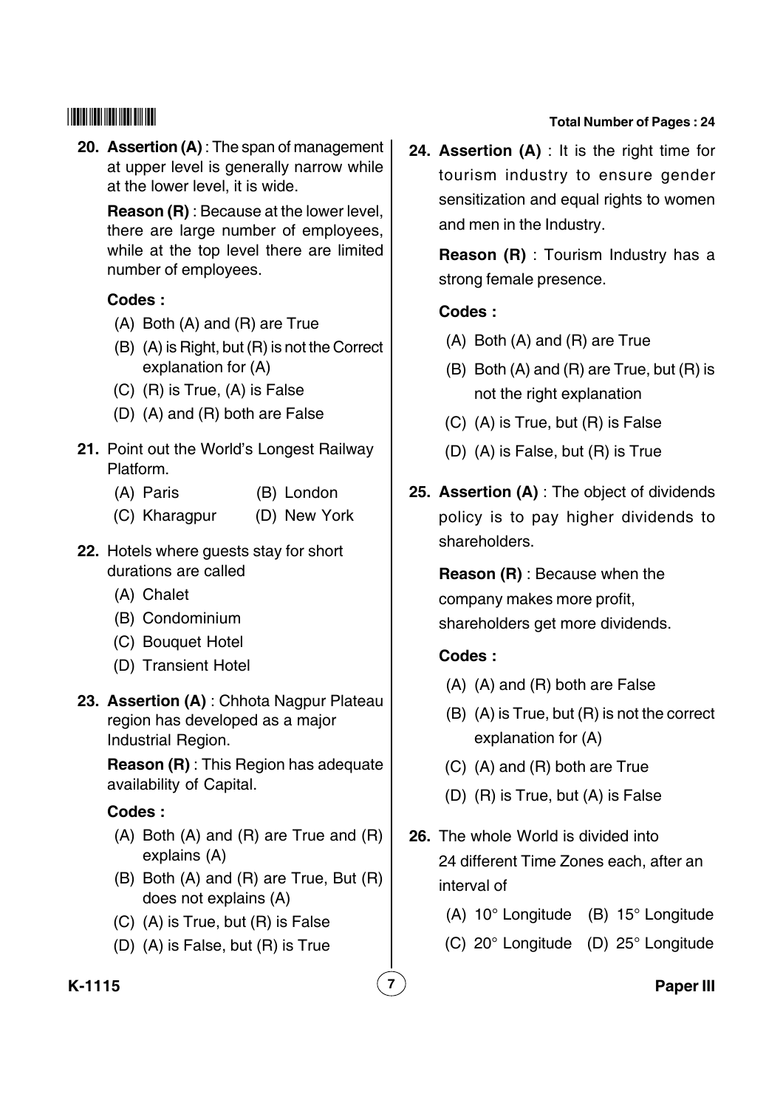**20. Assertion (A)** : The span of management at upper level is generally narrow while at the lower level, it is wide.

**Reason (R)** : Because at the lower level, there are large number of employees, while at the top level there are limited number of employees.

## **Codes :**

- (A) Both (A) and (R) are True
- (B) (A) is Right, but (R) is not the Correct explanation for (A)
- (C) (R) is True, (A) is False
- (D) (A) and (R) both are False
- **21.** Point out the World's Longest Railway Platform.
	- (A) Paris (B) London
	- (C) Kharagpur (D) New York
- **22.** Hotels where guests stay for short durations are called
	- (A) Chalet
	- (B) Condominium
	- (C) Bouquet Hotel
	- (D) Transient Hotel
- **23. Assertion (A)** : Chhota Nagpur Plateau region has developed as a major Industrial Region.

**Reason (R)** : This Region has adequate availability of Capital.

## **Codes :**

- (A) Both (A) and (R) are True and (R) explains (A)
- (B) Both (A) and (R) are True, But (R) does not explains (A)
- (C) (A) is True, but (R) is False
- (D) (A) is False, but (R) is True

#### **Total Number of Pages : 24**

**24. Assertion (A)** : It is the right time for tourism industry to ensure gender sensitization and equal rights to women and men in the Industry.

**Reason (R)** : Tourism Industry has a strong female presence.

## **Codes :**

- (A) Both (A) and (R) are True
- (B) Both (A) and (R) are True, but (R) is not the right explanation
- (C) (A) is True, but (R) is False
- (D) (A) is False, but (R) is True
- **25. Assertion (A)** : The object of dividends policy is to pay higher dividends to shareholders.

**Reason (R)** : Because when the company makes more profit, shareholders get more dividends.

## **Codes :**

- (A) (A) and (R) both are False
- (B) (A) is True, but (R) is not the correct explanation for (A)
- (C) (A) and (R) both are True
- (D) (R) is True, but (A) is False
- **26.** The whole World is divided into 24 different Time Zones each, after an interval of
	- (A) 10° Longitude (B) 15° Longitude
	- (C) 20° Longitude (D) 25° Longitude

#### **K-1115 7 Paper III**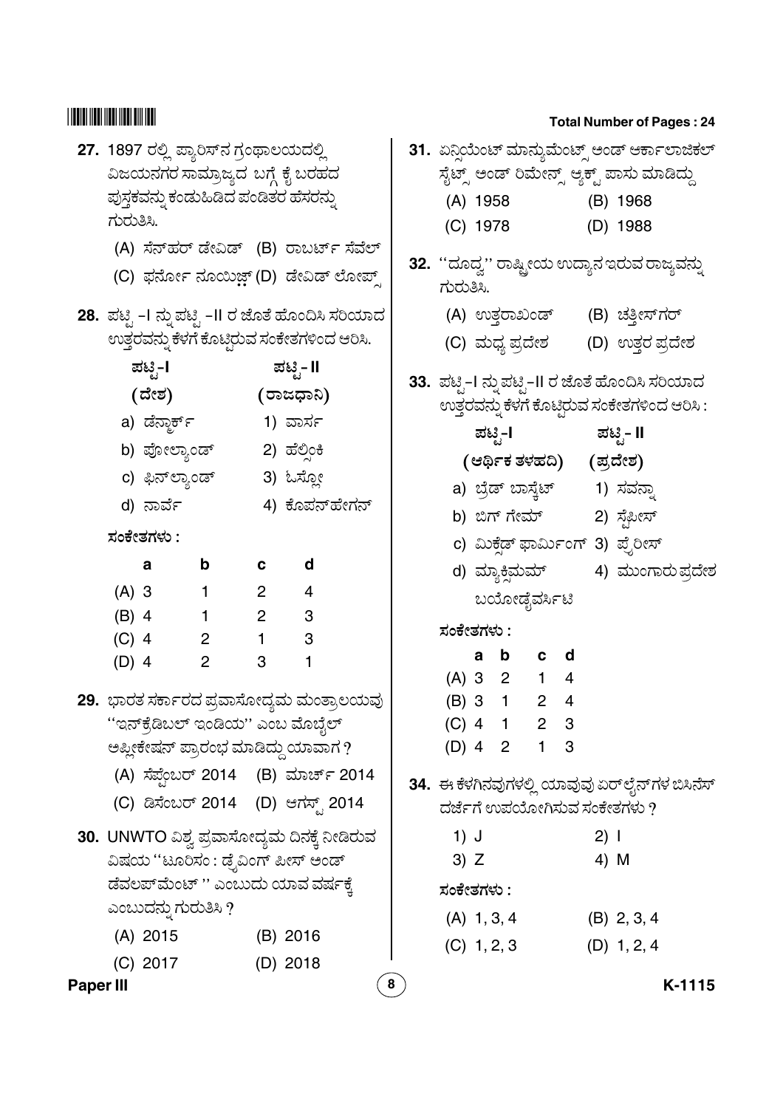- **27. 1897** ರಲ್ಲಿ ಪ್ಯಾರಿಸ್ ನ ಗ್ರಂಥಾಲಯದಲ್ಲಿ ವಿಜಯನಗರ ಸಾಮ್ರಾಜ್ಯದ $\,$  ಬಗ್ಗೆ ಕೈ ಬರಹದ .<br>ಪುಸಕವನು ಕಂಡುಹಿಡಿದ ಪಂಡಿತರ ಹೆಸರನು " ಗುರುತಿಸಿ.
	- (A) ಸೆನ್ಹರ್ ಡೇವಿಡ್ (B) ರಾಬರ್ಟ್ ಸೆವೆಲ್
	- (C) ಫರ್ನೋ ನೂಯಿ<mark>ಜ಼್</mark> (D) ಡೇವಿಡ್ ಲೋಪ್ಸ್

| ಪಟ್ಟಿ-I        | ಪಟ್ಟಿ- II     |
|----------------|---------------|
| (ದೇಶ)          | (ರಾಜಧಾನಿ)     |
| a) ಡೆನ್ಜಾರ್ಕ್  | 1) ವಾರ್ಸ      |
| b) ಪೋಲ್ಯಾಂಡ್   | 2) ಹೆಲ್ಸಿಂಕಿ  |
| c) ಫಿನ್ಲ್ಯಾಂಡ್ | 3) ಓಸ್ಲೋ      |
| d) ನಾರ್ವೆ      | 4) ಕೊಪನ್ಹೇಗನ್ |

|         | a | b            | C              | d            |
|---------|---|--------------|----------------|--------------|
| $(A)$ 3 |   | 1.           | $\overline{2}$ | 4            |
| $(B)$ 4 |   | 1            | 2              | 3            |
| $(C)$ 4 |   | $\mathbf{2}$ | 1              | 3            |
| $(D)$ 4 |   | $\mathbf{2}$ | 3              | $\mathbf{1}$ |

- **29.** ಭಾರತ ಸರ್ಕಾರದ ಪ್ರವಾಸೋದ್ಯಮ ಮಂತ್ರಾಲಯವು ''ಇನ್5ೊಡಿಬಲ್ ಇಂಡಿಯ'' ಎಂಬ ಮೊಬೈಲ್ ಅಪ್ಲೀಕೇಷನ್ ಪ್ರಾರಂಭ ಮಾಡಿದ್ದು ಯಾವಾಗ ?
	- (A) ಸೆಪೆಂಬರ್ 2014 (B) ಮಾರ್ಚ್ 2014 @
	- (C) ಡಿಸೆಂಬರ್ 2014 (D) ಆಗಸ್ಟ್ 2014
- **30. UNWTO** ವಿಶ್ವ ಪ್ರವಾಸೋದ್ಯಮ ದಿನಕ್ಕೆ ನೀಡಿರುವ .<br>ವಿಷಯ ''ಟೂರಿಸಂ : ಡೆ<sub>.</sub>ವಿಂಗ್ ಪೀಸ್ ಅಂಡ್ .<br>ಡೆವಲಪ್*ಮೆಂಟ್ '' ಎಂಬುದು ಯಾವ ವರ್ಷಕೆ* ಎಂಬುದನು ಗುರುತಿಸಿ  $\overline{\eta}$ "
	- (A) 2015 (B) 2016 (C) 2017 (D) 2018

|           |           | 27. 1897 ರಲ್ಲಿ ಪ್ಯಾರಿಸ್ ನ ಗ್ರಂಥಾಲಯದಲ್ಲಿ |                |                        | ವಿಜಯನಗರ ಸಾಮ್ರಾಜ್ಯದ ಬಗ್ಗೆ ಕೈ ಬರಹದ                                              |   |            |        |               |                |                |      | ಸೈಟ್ಸ್ ಅಂಡ್ ರಿಮೇನ್ಸ್ ಆ್ಯಕ್ಟ್ ಪಾಸು ಮಾಡಿದ್ದು      | 31. ಏನ್ಗಿಯೆಂಟ್ ಮಾನ್ಯುಮೆಂಟ್ಸ್ ಅಂಡ್ ಆರ್ಕಾಲಾಜಿಕಲ್  |
|-----------|-----------|-----------------------------------------|----------------|------------------------|-------------------------------------------------------------------------------|---|------------|--------|---------------|----------------|----------------|------|-------------------------------------------------|-------------------------------------------------|
|           |           | ಪುಸ್ತಕವನ್ನು ಕಂಡುಹಿಡಿದ ಪಂಡಿತರ ಹೆಸರನ್ನು   |                |                        |                                                                               |   |            |        |               |                |                |      | (A) 1958 (B) 1968                               |                                                 |
|           | ಗುರುತಿಸಿ. |                                         |                |                        |                                                                               |   |            |        |               |                |                |      | (C) 1978 (D) 1988                               |                                                 |
|           |           |                                         |                |                        | (A) ಸೆನ್ಹರ್ ಡೇವಿಡ್ (B) ರಾಬರ್ಟ್ ಸೆವೆಲ್<br>(C) ಫರ್ನೋ ನೂಯಿಜ್ಜ್ (D) ಡೇವಿಡ್ ಲೋಪ್ಸ್ |   | ಗುರುತಿಸಿ.  |        |               |                |                |      | 32. ''ದೂದ್ವ'' ರಾಷ್ಟ್ರೀಯ ಉದ್ಯಾನ ಇರುವ ರಾಜ್ಯವನ್ನು  |                                                 |
|           |           |                                         |                |                        | 28.  ಪಟ್ಟಿ –I ನ್ನು ಪಟ್ಟಿ –II ರ ಜೊತೆ ಹೊಂದಿಸಿ ಸರಿಯಾದ                            |   |            |        |               |                |                |      | (A) ಉತ್ತರಾಖಂಡ್ (B) ಚತ್ತೀಸ್ಗರ್                   |                                                 |
|           |           |                                         |                |                        | ಉತ್ತರವನ್ನು ಕೆಳಗೆ ಕೊಟ್ಟಿರುವ ಸಂಕೇತಗಳಿಂದ ಆರಿಸಿ.                                  |   |            |        |               |                |                |      | (C) ಮಧ್ಯ ಪ್ರದೇಶ       (D) ಉತ್ತರ ಪ್ರದೇಶ          |                                                 |
|           |           | ಪಟ್ಟಿ-I                                 |                |                        | ಪಟ್ಟಿ- II                                                                     |   |            |        |               |                |                |      |                                                 |                                                 |
|           |           | (ದೇಶ) (ರಾಜಧಾನಿ)                         |                |                        |                                                                               |   |            |        |               |                |                |      | 33. ಪಟ್ಟಿ-I ನ್ನು ಪಟ್ಟಿ-II ರ ಜೊತೆ ಹೊಂದಿಸಿ ಸರಿಯಾದ |                                                 |
|           |           | a) ಡೆನ್ಮಾರ್ಕ್                           |                |                        | 1) ವಾರ್ಸ                                                                      |   |            |        |               |                |                |      | ಉತ್ತರವನ್ನು ಕೆಳಗೆ ಕೊಟ್ಟಿರುವ ಸಂಕೇತಗಳಿಂದ ಆರಿಸಿ :   |                                                 |
|           |           | b) ಪೋಲ್ಯಾಂಡ್        2) ಹೆಲ್ಸಿಂಕಿ        |                |                        |                                                                               |   |            |        |               |                |                |      | ಪಟ್ಟಿ-I ಪಟ್ಟಿ- II                               |                                                 |
|           |           | c) ಫಿನ್ಲ್ಯಾಂಡ್                          |                |                        | 3) ಓಸ್ಲೋ                                                                      |   |            |        |               |                |                |      | (ಆರ್ಥಿಕ ತಳಹದಿ) (ಪ್ರದೇಶ)                         |                                                 |
|           |           | d) ನಾರ್ವೆ                               |                |                        | 4) ಕೊಪನ್ಹೇಗನ್                                                                 |   |            |        |               |                |                |      | a) ಬ್ರೆಡ್ ಬಾಸ್ಚೆಟ್        1) ಸವನ್ನಾ             |                                                 |
|           |           |                                         |                |                        |                                                                               |   |            |        |               |                |                |      | b) ಬಿಗ್ ಗೇಮ್            2) ಸೈಫೀಸ್               |                                                 |
|           |           | ಸಂಕೇತಗಳು :                              |                |                        |                                                                               |   |            |        |               |                |                |      | c) ಮಿಕ್ಷೆಡ್ ಫಾರ್ಮಿಂಗ್ 3) ಪ್ಪೆರೀಸ್               |                                                 |
|           |           | a                                       | $\mathbf b$    | $\mathbf{C}$           | d                                                                             |   |            |        |               |                |                |      |                                                 | d) ಮ್ಯಾಕ್ತಿಮಮ್             4)  ಮುಂಗಾರು ಪ್ರದೇಶ   |
|           | $(A)$ 3   |                                         | $\mathbf{1}$   | $2 \quad \blacksquare$ | $\overline{4}$                                                                |   |            |        |               | ಬಯೋಡೈವರ್ಸಿಟಿ   |                |      |                                                 |                                                 |
|           |           | $(B)$ 4                                 | $1 \quad \Box$ | $2 \qquad \qquad$      | 3                                                                             |   | ಸಂಕೇತಗಳು : |        |               |                |                |      |                                                 |                                                 |
|           | $(C)$ 4   | $\overline{\phantom{a}}$ 2              |                | $\sim$ 1               | 3                                                                             |   |            |        | a b           | $\mathbf{c}$   | d              |      |                                                 |                                                 |
|           | $(D)$ 4   |                                         | 2              | $3^{\circ}$            | 1                                                                             |   |            |        |               | (A) 3 2 1      | $\overline{4}$ |      |                                                 |                                                 |
|           |           |                                         |                |                        | 29.  ಭಾರತ ಸರ್ಕಾರದ ಪ್ರವಾಸೋದ್ಯಮ ಮಂತ್ರಾಲಯವು                                      |   |            |        | (B) 3 1       | 2 <sup>2</sup> | 4              |      |                                                 |                                                 |
|           |           |                                         |                |                        | ''ಇನ್ಕ್ರೆಡಿಬಲ್ ಇಂಡಿಯ'' ಎಂಬ ಮೊಬೈಲ್                                             |   |            |        |               | (C) 4 1 2 3    |                |      |                                                 |                                                 |
|           |           |                                         |                |                        | ಅಪ್ಲೀಕೇಷನ್ ಪ್ರಾರಂಭ ಮಾಡಿದ್ದು ಯಾವಾಗ ?                                           |   |            |        |               | (D) 4 2 1 3    |                |      |                                                 |                                                 |
|           |           |                                         |                |                        | (A) ಸೆಪ್ಟೆಂಬರ್ 2014 (B) ಮಾರ್ಚ್ 2014                                           |   |            |        |               |                |                |      |                                                 | 34.  ಈ ಕೆಳಗಿನವುಗಳಲ್ಲಿ ಯಾವುವು ಏರ್ಲೈನ್ಗಳ ಬಿಸಿನೆಸ್ |
|           |           |                                         |                |                        | (C) ಡಿಸೆಂಬರ್ 2014 (D) ಆಗಸ್ಟ್ 2014                                             |   |            |        |               |                |                |      | ದರ್ಜೆಗೆ ಉಪಯೋಗಿಸುವ ಸಂಕೇತಗಳು ?                    |                                                 |
|           |           |                                         |                |                        | 30. UNWTO ವಿಶ್ವ ಪ್ರವಾಸೋದ್ಯಮ ದಿನಕ್ಕೆ ನೀಡಿರುವ                                   |   | 1) J       |        |               |                |                | 2) 1 |                                                 |                                                 |
|           |           |                                         |                |                        | ವಿಷಯ ''ಟೂರಿಸಂ : ಡ್ರೆವಿಂಗ್ ಪೀಸ್ ಅಂಡ್                                           |   |            | $3)$ Z |               |                |                | 4) M |                                                 |                                                 |
|           |           |                                         |                |                        | ಡೆವಲಪ್ಎುಂಟ್ '' ಎಂಬುದು ಯಾವ ವರ್ಷಕ್ಕೆ                                            |   | ಸಂಕೇತಗಳು : |        |               |                |                |      |                                                 |                                                 |
|           |           | ಎಂಬುದನ್ನು ಗುರುತಿಸಿ ?                    |                |                        |                                                                               |   |            |        | $(A)$ 1, 3, 4 |                |                |      | $(B)$ 2, 3, 4                                   |                                                 |
|           |           | $(A)$ 2015                              |                |                        | (B) 2016                                                                      |   |            |        | $(C)$ 1, 2, 3 |                |                |      | $(D)$ 1, 2, 4                                   |                                                 |
|           |           | $(C)$ 2017                              |                |                        | $(D)$ 2018                                                                    |   |            |        |               |                |                |      |                                                 |                                                 |
| Paper III |           |                                         |                |                        |                                                                               | 8 |            |        |               |                |                |      |                                                 | K-1115                                          |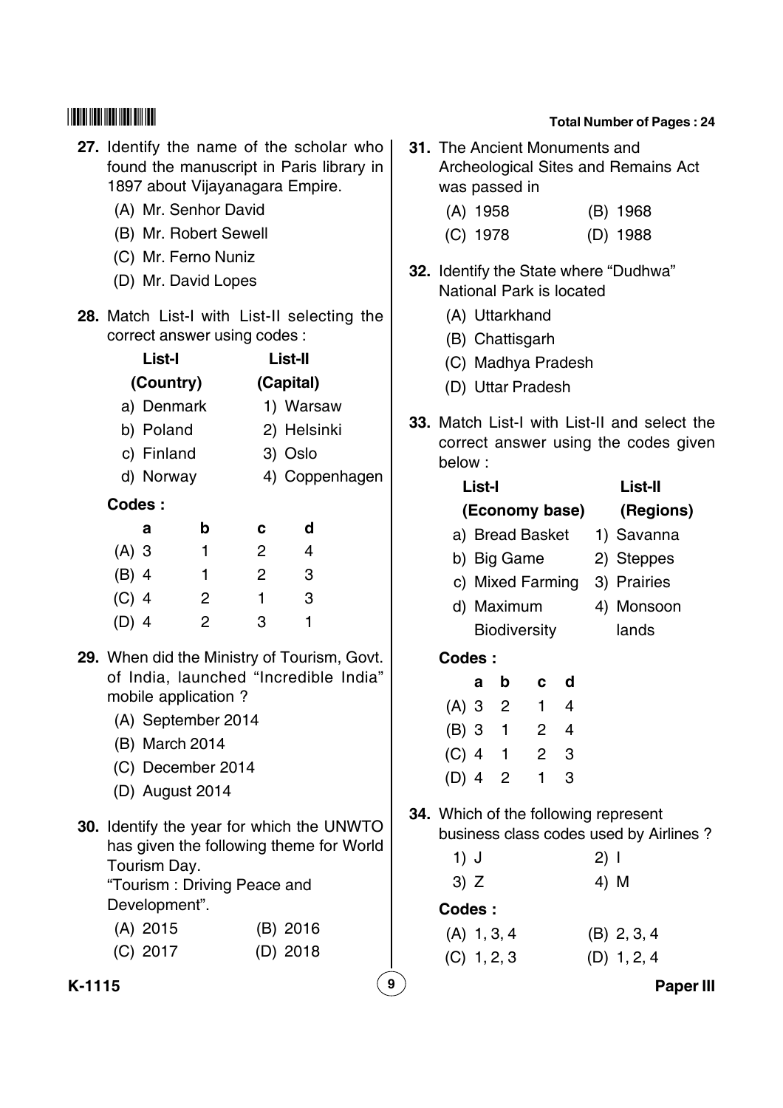## **27.** Identify the name of the scholar who found the manuscript in Paris library in 1897 about Vijayanagara Empire.

- (A) Mr. Senhor David
- (B) Mr. Robert Sewell
- (C) Mr. Ferno Nuniz
- (D) Mr. David Lopes
- **28.** Match List-I with List-II selecting the correct answer using codes :

|         | List-I     |   | List-II        |             |  |  |  |
|---------|------------|---|----------------|-------------|--|--|--|
|         | (Country)  |   | (Capital)      |             |  |  |  |
|         | a) Denmark |   |                | 1) Warsaw   |  |  |  |
|         | b) Poland  |   |                | 2) Helsinki |  |  |  |
|         | c) Finland |   | 3) Oslo        |             |  |  |  |
|         | d) Norway  |   | 4) Coppenhagen |             |  |  |  |
| Codes:  |            |   |                |             |  |  |  |
|         | a          | b | c              | d           |  |  |  |
| $(A)$ 3 |            | 1 | 2              | 4           |  |  |  |
| (B) 4   |            | 1 | 2              | 3           |  |  |  |
| $(C)$ 4 |            | 2 | 1              | 3           |  |  |  |
|         | 14         | 2 | з              |             |  |  |  |
|         |            |   |                |             |  |  |  |

- **29.** When did the Ministry of Tourism, Govt. of India, launched "Incredible India" mobile application ?
	- (A) September 2014
	- (B) March 2014
	- (C) December 2014
	- (D) August 2014
- **30.** Identify the year for which the UNWTO has given the following theme for World Tourism Day.

"Tourism : Driving Peace and Development".

| $(A)$ 2015 | $(B)$ 2016 |
|------------|------------|
| $(C)$ 2017 | $(D)$ 2018 |

#### **Total Number of Pages : 24**

- **31.** The Ancient Monuments and Archeological Sites and Remains Act was passed in
	- (A) 1958 (B) 1968
	- (C) 1978 (D) 1988
- **32.** Identify the State where "Dudhwa" National Park is located
	- (A) Uttarkhand
	- (B) Chattisgarh
	- (C) Madhya Pradesh
	- (D) Uttar Pradesh
- **33.** Match List-I with List-II and select the correct answer using the codes given below :

| List-I |              |   |             |                     |  |      | List-II                                |
|--------|--------------|---|-------------|---------------------|--|------|----------------------------------------|
|        |              |   |             | (Economy base)      |  |      | (Regions)                              |
|        |              |   |             | a) Bread Basket     |  |      | 1) Savanna                             |
|        |              |   | b) Big Game |                     |  |      | 2) Steppes                             |
|        |              |   |             |                     |  |      | c) Mixed Farming 3) Prairies           |
|        |              |   | d) Maximum  |                     |  |      | 4) Monsoon                             |
|        |              |   |             | <b>Biodiversity</b> |  |      | lands                                  |
|        | Codes:       |   |             |                     |  |      |                                        |
|        |              | a |             | b c d               |  |      |                                        |
|        |              |   |             | (A) 3 2 1 4         |  |      |                                        |
|        |              |   |             | (B) 3 1 2 4         |  |      |                                        |
|        |              |   |             | (C) 4 1 2 3         |  |      |                                        |
|        | (D) $4\;\;2$ |   |             | 1 <sub>3</sub>      |  |      |                                        |
|        |              |   |             |                     |  |      | 34. Which of the following represent   |
|        |              |   |             |                     |  |      | business class codes used by Airlines? |
|        | 1) J         |   |             |                     |  | 2) I |                                        |
|        | 3) Z         |   |             |                     |  | 4)   | M                                      |
|        |              |   |             |                     |  |      |                                        |

**Codes :**

(A) 1, 3, 4 (B) 2, 3, 4 (C) 1, 2, 3 (D) 1, 2, 4

**K-1115 9 Paper III**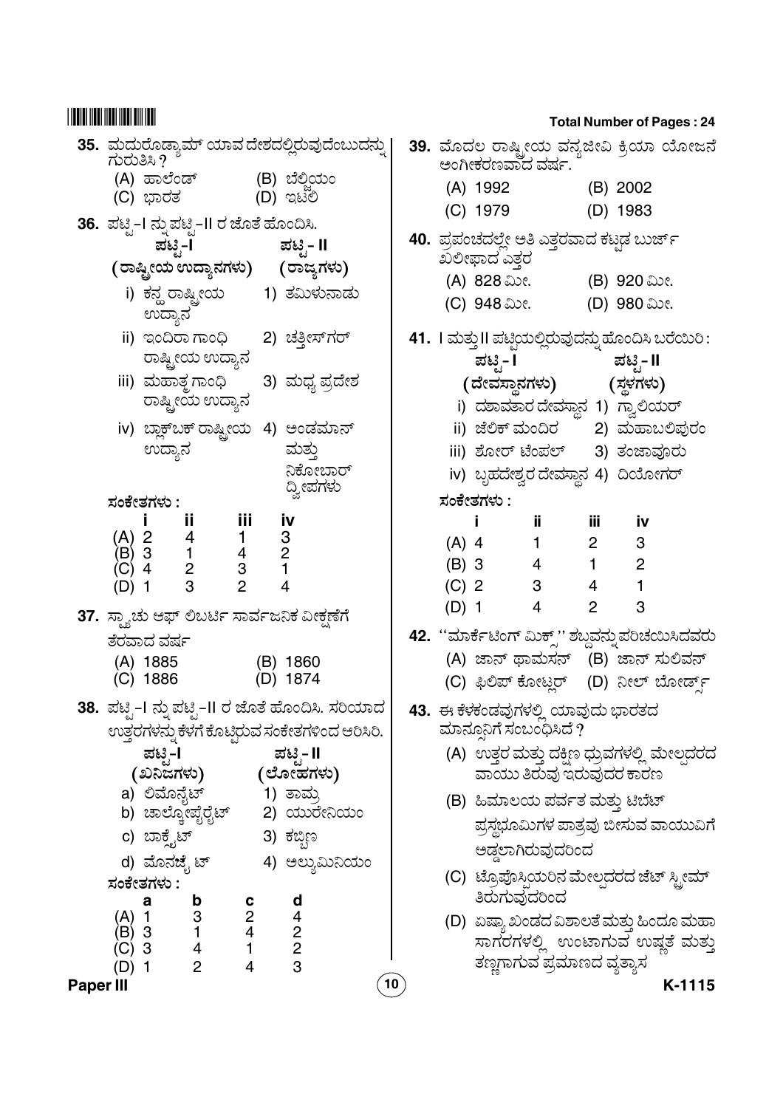| 35. ಮದುರೊಡ್ಯಾಮ್ ಯಾವ ದೇಶದಲ್ಲಿರುವುದೆಂಬುದನ್ನು<br>ಗುರುತಿಸಿ ?                                                                                                     | 39. ಮೊದಲ ರಾಷ್ಟ್ರೀಯ ವನ್ಯಜೀವಿ ಕ್ರಿಯಾ ಯೋಜನೆ<br>ಅಂಗೀಕರಣವಾದ ವರ್ಷ.                                                                                          |
|--------------------------------------------------------------------------------------------------------------------------------------------------------------|-------------------------------------------------------------------------------------------------------------------------------------------------------|
| (B) ಬೆಲ್ಜಿಯಂ<br>(A) ಹಾಲೆಂಡ್<br>(C) ಭಾರತ                 (D) ಇಟಿಲಿ                                                                                            | (A) 1992 (B) 2002<br>(C) 1979<br>(D) 1983                                                                                                             |
| 36.  ಪಟ್ಟಿ-I ನ್ನು ಪಟ್ಟಿ-II ರ ಜೊತೆ ಹೊಂದಿಸಿ.<br>ಪಟಿೃ- II<br>ಪಟಿೖೆ−l                                                                                            | 40. ಪ್ರಪಂಚದಲ್ಲೇ ಅತಿ ಎತ್ತರವಾದ ಕಟ್ಟಡ ಬುರ್ಜ್<br>ಖಲೀಫಾದ ಎತ್ತರ                                                                                             |
| (ರಾಷ್ಟೀಯ ಉದ್ಯಾನಗಳು)      (ರಾಜ್ಯಗಳು)<br>i) ಕನ್ಹ ರಾಷ್ಟ್ರೀಯ        1) ತಮಿಳುನಾಡು                                                                                 | (A) 828 ಮೀ. (B) 920 ಮೀ.<br>(C) 948 ಮೀ.<br>(D) 980 ಮೀ.                                                                                                 |
| ಉದ್ಯಾನ<br>ii) ಇಂದಿರಾಗಾಂಧಿ 2) ಚತ್ತೀಸ್ಗರ್<br>ರಾಷ್ಟ್ರೀಯ ಉದ್ಯಾನ                                                                                                  | 41.  । ಮತ್ತು II ಪಟ್ಟಿಯಲ್ಲಿರುವುದನ್ನು ಹೊಂದಿಸಿ ಬರೆಯಿರಿ :                                                                                                 |
| iii) ಮಹಾತ್ಜ <i>ಗಾಂ</i> ಧಿ<br>3) ಮಧ್ಯ ಪ್ರದೇಶ<br>ರಾಷ್ಟ್ರೀಯ ಉದ್ಯಾನ                                                                                              | ಪಟ್ಟಿ- I ಪಟ್ಟಿ- II<br>(ದೇವಸ್ಥಾನಗಳು) (ಸ್ಥಳಗಳು)<br>i) ದಶಾವತಾರ ದೇವಸ್ಥಾನ 1) ಗ್ವಾಲಿಯರ್                                                                     |
| iv) ಬ್ಲಾಕ್ಬಕ್ ರಾಷ್ಟ್ರೀಯ  4) ಅಂಡಮಾನ್<br>ಉದ್ಯಾನ<br>ಮತ್ತು                                                                                                       | ii) ಜೆಲಿಕ್ ಮಂದಿರ       2) ಮಹಾಬಲಿಪುರಂ<br>iii) ಶೋರ್ ಟೆಂಪಲ್ 3) ತಂಜಾವೂರು                                                                                  |
| ನಿಕೋಬಾರ್<br>ದ್ವೀಪಗಳು<br>ಸಂಕೇತಗಳು :                                                                                                                           | iv) ಬೃಹದೇಶ್ವರ ದೇವಸ್ಥಾನ 4) ದಿಯೋಗರ್<br>ಸಂಕೇತಗಳು :                                                                                                       |
| iii<br>Ϊİ<br><u>iv</u><br>4<br>$\begin{array}{cc} & 3 \\ 4 & 2 \\ 3 & 1 \end{array}$<br>2<br>$(A)$ 2<br>$\mathbf{1}$<br>$(B)$ 3<br>$\overline{c}$<br>$(C)$ 4 | iii<br>jj.<br>İ.<br><u>iv</u><br>$(A)$ 4<br>$2^{\sim}$<br>3<br>$1 \qquad \qquad$<br>$(B)$ 3<br>$1 \qquad \qquad$<br>$\overline{c}$<br>$4\overline{ }$ |
| 3<br>(D) 1                                                                                                                                                   | $(C)$ 2<br>$3^{\circ}$<br>1<br>$4\overline{ }$<br>3<br>$(D)$ 1<br>$\overline{4}$<br>$2^{\circ}$                                                       |
| 37. ಸ್ಮ್ಯಾಚು ಆಫ್ ಲಿಬರ್ಟಿ ಸಾರ್ವಜನಿಕ ವೀಕ್ಷಣೆಗೆ<br>ತೆರವಾದ ವರ್ಷ                                                                                                  | 42. ''ಮಾರ್ಕೆಟಿಂಗ್ ಮಿಕ್ಸ್'' ಶಬ್ದವನ್ನು ಪರಿಚಯಿಸಿದವರು                                                                                                     |
| (A) 1885<br>(B) 1860<br>(C) 1886<br>(D) 1874                                                                                                                 | (A) ಜಾನ್ ಥಾಮಸನ್ (B) ಜಾನ್ ಸುಲಿವನ್<br>(C) ಫಿಲಿಪ್ ಕೋಟ್ಲರ್ (D) ನೀಲ್ ಬೋರ್ಡ್ಸ್                                                                              |
| 38.  ಪಟೃಿ−I ನ್ನು ಪಟೃಿ−II ರ ಜೊತೆ ಹೊಂದಿಸಿ. ಸರಿಯಾದ_<br>ಉತ್ತರಗಳನ್ನು ಕೆಳಗೆ ಕೊಟ್ಟಿರುವ ಸಂಕೇತಗಳಿಂದ ಆರಿಸಿರಿ.                                                          | 43. ಈ ಕೆಳಕಂಡವುಗಳಲ್ಲಿ ಯಾವುದು ಭಾರತದ<br>ಮಾನ್ಸೂನಿಗೆ ಸಂಬಂಧಿಸಿದೆ $\gamma$                                                                                   |
| ಪಟೖ-l<br>ಪಟಿೃ- II<br>(ಖನಿಜಗಳು) (ಲೋಹಗಳು)                                                                                                                      | (A) ಉತ್ತರ ಮತ್ತು ದಕ್ಷಿಣ ಧ್ರುವಗಳಲ್ಲಿ ಮೇಲ್ಪದರದ<br>ವಾಯು ತಿರುವು ಇರುವುದರ ಕಾರಣ                                                                               |
| a) ಲಿಮೊನೈಟ್<br>1) ತಾಮ್ರ<br>b) ಚಾಲ್ಕೋಪೈರೈಟ್<br>2) ಯುರೇನಿಯಂ                                                                                                    | (B) ಹಿಮಾಲಯ ಪರ್ವತ ಮತ್ತು ಟಿಬೆಟ್<br>ಪ್ರಸ್ಥಭೂಮಿಗಳ ಪಾತ್ರವು ಬೀಸುವ ವಾಯುವಿಗೆ                                                                                  |
| c) ಬಾಕೈಟ್<br>3) ಕಬ್ಬಿಣ<br>d) ಮೊನಜೈ ಟ್<br>4) ಅಲ್ಯುಮಿನಿಯಂ                                                                                                      | ಅಡ್ಡಲಾಗಿರುವುದರಿಂದ<br>(C) ಟ್ರೊಪೊಸ್ಗಿಯರಿನ ಮೇಲ್ಪದರದ ಜೆಟ್ ಸ್ಟೀಮ್                                                                                          |
| ಸಂಕೇತಗಳು :<br>d<br>a<br>$\mathbf b$<br>$\mbox{3}$<br>$(A)$ 1                                                                                                 | ತಿರುಗುವುದರಿಂದ<br>(D)  ಏಷ್ಯಾ ಖಂಡದ ವಿಶಾಲತೆ ಮತ್ತು ಹಿಂದೂ ಮಹಾ                                                                                              |
| $\begin{array}{c} 2 \\ 4 \\ 1 \end{array}$<br>$\frac{4}{2}$<br>(B) 3<br>$\frac{1}{4}$<br>(B) 3<br>(C) 3<br>3<br>$\overline{2}$<br>4                          | ಸಾಗರಗಳಲ್ಲಿ ಉಂಟಾಗುವ ಉಷ್ಣತೆ ಮತ್ತು<br>ತಣ್ಣಗಾಗುವ ಪ್ರಮಾಣದ ವ್ಯತ್ಯಾಸ                                                                                         |
| $(D)$ 1<br>10<br><b>Paper III</b>                                                                                                                            | K-1115                                                                                                                                                |

|         |                                                           |                            |                          |                          | 39. ಮೊದಲ ರಾಷ್ಟ್ರೀಯ ವನ್ಯಜೀವಿ ಕ್ರಿಯಾ ಯೋಜನೆ<br>ಅಂಗೀಕರಣವಾದ ವರ್ಷ. |
|---------|-----------------------------------------------------------|----------------------------|--------------------------|--------------------------|--------------------------------------------------------------|
|         |                                                           |                            |                          | (B) 2002                 |                                                              |
|         | (A) 1992<br>(C) 1979                                      |                            |                          | (D) 1983                 |                                                              |
|         |                                                           |                            |                          |                          |                                                              |
|         | 40. ಪ್ರಪಂಚದಲ್ಲೇ ಅತಿ ಎತ್ತರವಾದ ಕಟ್ಟಡ ಬುರ್ಜ್<br>ಖಲೀಫಾದ ಎತ್ತರ |                            |                          |                          |                                                              |
|         | (A) 828 ಮೀ. (B) 920 ಮೀ.                                   |                            |                          |                          |                                                              |
|         | (C) 948 ಮೀ.                                               |                            |                          | (D) 980 ಮೀ.              |                                                              |
|         |                                                           |                            |                          |                          |                                                              |
|         | 41. । ಮತ್ತುII ಪಟ್ಟಿಯಲ್ಲಿರುವುದನ್ನು ಹೊಂದಿಸಿ ಬರೆಯಿರಿ :       |                            |                          |                          |                                                              |
|         | ಪಟಿೖ- I                                                   |                            |                          | ಪಟೖ- II                  |                                                              |
|         | (ದೇವಸ್ಥಾನಗಳು)                                             |                            |                          | (ಸ್ಥಳಗಳು)                |                                                              |
|         | i)  ದಶಾವತಾರ ದೇವಸ್ಥಾನ  1)  ಗ್ವಾಲಿಯರ್                       |                            |                          |                          |                                                              |
|         | ii) ಜೆಲಿಕ್ ಮಂದಿರ       2) ಮಹಾಬಲಿಪುರಂ                      |                            |                          |                          |                                                              |
|         | iii) ಶೋರ್ ಟೆಂಪಲ್     3) ತಂಜಾವೂರು                          |                            |                          |                          |                                                              |
|         | iv) ಬೃಹದೇಶ್ವರ ದೇವಸ್ಥಾನ 4) ದಿಯೋಗರ್                         |                            |                          |                          |                                                              |
|         | ಸಂಕೇತಗಳು :                                                |                            |                          |                          |                                                              |
|         | $\mathbf{I}$                                              | ii iii iv                  |                          |                          |                                                              |
|         | $(A)$ 4                                                   | $\overline{1}$             | $2 \t 3$                 |                          |                                                              |
|         | (B) 3 4                                                   |                            | $\overline{1}$           | $\overline{\phantom{a}}$ |                                                              |
|         | (C) 2 3                                                   |                            | $4 \qquad 1$             |                          |                                                              |
| $(D)$ 1 | $\overline{4}$                                            |                            | $\overline{\phantom{a}}$ | $\overline{\mathbf{3}}$  |                                                              |
|         |                                                           |                            |                          |                          | 42. ''ಮಾರ್ಕೆಟಿಂಗ್ ಮಿಕ್ಸ್'' ಶಬ್ದವನ್ನು ಪರಿಚಯಿಸಿದವರು            |
|         | (A) ಜಾನ್ ಥಾಮಸನ್ (B) ಜಾನ್ ಸುಲಿವನ್                          |                            |                          |                          |                                                              |
|         | (C) ಫಿಲಿಪ್ ಕೋಟ್ಲರ್ (D) ನೀಲ್ ಬೋರ್ಡ್ಸ್                      |                            |                          |                          |                                                              |
|         | 43. ಈ ಕೆಳಕಂಡವುಗಳಲ್ಲಿ ಯಾವುದು ಭಾರತದ                         |                            |                          |                          |                                                              |
|         | ಮಾನ್ಸೂನಿಗೆ ಸಂಬಂಧಿಸಿದೆ ?                                   |                            |                          |                          |                                                              |
|         |                                                           |                            |                          |                          | (A)  ಉತ್ತರ ಮತ್ತು ದಕ್ಷಿಣ ಧ್ರುವಗಳಲ್ಲಿ ಮೇಲ್ಪದರದ                 |
|         |                                                           | ವಾಯು ತಿರುವು ಇರುವುದರ ಕಾರಣ   |                          |                          |                                                              |
|         | (B)  ಹಿಮಾಲಯ ಪರ್ವತ ಮತ್ತು ಟಿಬೆಟ್                            |                            |                          |                          |                                                              |
|         |                                                           |                            |                          |                          | ಪ್ರಸ್ಥಭೂಮಿಗಳ ಪಾತ್ರವು ಬೀಸುವ ವಾಯುವಿಗೆ                          |
|         |                                                           | ಅಡ್ಡಲಾಗಿರುವುದರಿಂದ          |                          |                          |                                                              |
|         | (C) ಟ್ರೊಪೊಸಿಯರಿನ ಮೇಲ್ಗದರದ ಜೆಟ್ ಸ್ಟೀಮ್                     |                            |                          |                          |                                                              |
|         | ತಿರುಗುವುದರಿಂದ                                             |                            |                          |                          |                                                              |
|         |                                                           |                            |                          |                          | (D)  ಏಷ್ಯಾ ಖಂಡದ ವಿಶಾಲತೆ ಮತ್ತು ಹಿಂದೂ ಮಹಾ                      |
|         |                                                           |                            |                          |                          |                                                              |
|         |                                                           |                            |                          |                          | ಸಾಗರಗಳಲ್ಲಿ ಉಂಟಾಗುವ ಉಷ್ಣತೆ ಮತ್ತು                              |
|         |                                                           | ತಣ್ಣಗಾಗುವ ಪ್ರಮಾಣದ ವ್ಯತ್ಯಾಸ |                          |                          |                                                              |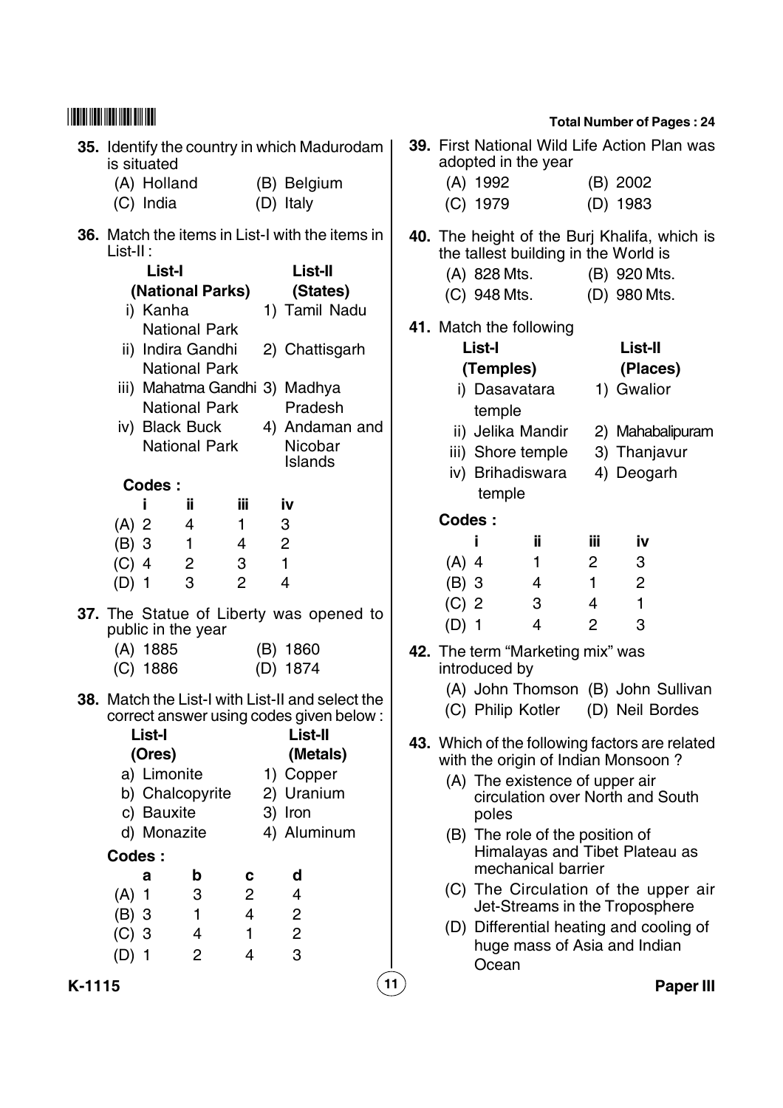|        |          | is situated                          |                                                                                                                                       |                | 35. Identify the country in which Madurodam                                                                                                                                               |                    |                    | adopted in the year                                                                                                                   |                                  |                     | 39. First National Wild Life Action Plan was                                                                                                                                  |                  |
|--------|----------|--------------------------------------|---------------------------------------------------------------------------------------------------------------------------------------|----------------|-------------------------------------------------------------------------------------------------------------------------------------------------------------------------------------------|--------------------|--------------------|---------------------------------------------------------------------------------------------------------------------------------------|----------------------------------|---------------------|-------------------------------------------------------------------------------------------------------------------------------------------------------------------------------|------------------|
|        |          | (A) Holland<br>(C) India             |                                                                                                                                       |                | (B) Belgium<br>(D) Italy                                                                                                                                                                  |                    |                    | $(A)$ 1992<br>$(C)$ 1979                                                                                                              |                                  |                     | (B) 2002<br>(D) 1983                                                                                                                                                          |                  |
|        | List-II: | List-I<br>i) Kanha<br>iv) Black Buck | (National Parks)<br><b>National Park</b><br>ii) Indira Gandhi<br><b>National Park</b><br><b>National Park</b><br><b>National Park</b> |                | <b>36.</b> Match the items in List-I with the items in<br>List-II<br>(States)<br>1) Tamil Nadu<br>2) Chattisgarh<br>iii) Mahatma Gandhi 3) Madhya<br>Pradesh<br>4) Andaman and<br>Nicobar |                    |                    | (A) 828 Mts.<br>(C) 948 Mts.<br>41. Match the following<br><b>List-I</b><br>(Temples)<br>i) Dasavatara<br>temple<br>ii) Jelika Mandir |                                  |                     | 40. The height of the Burj Khalifa, which is<br>the tallest building in the World is<br>(B) 920 Mts.<br>(D) 980 Mts.<br>List-II<br>(Places)<br>1) Gwalior<br>2) Mahabalipuram |                  |
|        |          | Codes:                               |                                                                                                                                       |                | Islands                                                                                                                                                                                   |                    |                    | iii) Shore temple<br>iv) Brihadiswara<br>temple                                                                                       |                                  |                     | 3) Thanjavur<br>4) Deogarh                                                                                                                                                    |                  |
|        |          |                                      | jj.                                                                                                                                   | ΪÜ             | iv                                                                                                                                                                                        |                    |                    |                                                                                                                                       |                                  |                     |                                                                                                                                                                               |                  |
|        | $(A)$ 2  |                                      | 4                                                                                                                                     | $\mathbf{1}$   | $\mathbf{3}$                                                                                                                                                                              |                    | <b>Codes:</b>      |                                                                                                                                       |                                  |                     |                                                                                                                                                                               |                  |
|        | $(B)$ 3  |                                      | $\mathbf{1}$                                                                                                                          | 4              | $\overline{2}$                                                                                                                                                                            |                    |                    |                                                                                                                                       | jj.                              | ΪÜ.                 | <u>iv</u>                                                                                                                                                                     |                  |
|        | $(C)$ 4  |                                      | $\overline{2}$                                                                                                                        | 3              | $\mathbf{1}$                                                                                                                                                                              |                    | $(A)$ 4            |                                                                                                                                       | $\mathbf{1}$                     | $\overline{2}$      | 3                                                                                                                                                                             |                  |
|        | $(D)$ 1  |                                      | 3                                                                                                                                     | $\overline{2}$ | 4                                                                                                                                                                                         |                    | $(B)$ 3            |                                                                                                                                       | 4                                | $\mathbf{1}$        | $\overline{2}$                                                                                                                                                                |                  |
|        |          | public in the year                   |                                                                                                                                       |                | 37. The Statue of Liberty was opened to                                                                                                                                                   |                    | $(C)$ 2<br>$(D)$ 1 |                                                                                                                                       | 3<br>4                           | 4<br>$\overline{2}$ | $\mathbf{1}$<br>3                                                                                                                                                             |                  |
|        |          | $(A)$ 1885<br>$(C)$ 1886             |                                                                                                                                       |                | (B) 1860<br>(D) 1874                                                                                                                                                                      |                    |                    | introduced by                                                                                                                         | 42. The term "Marketing mix" was |                     |                                                                                                                                                                               |                  |
|        |          |                                      |                                                                                                                                       |                | <b>38.</b> Match the List-I with List-II and select the<br>correct answer using codes given below:                                                                                        |                    |                    | (C) Philip Kotler                                                                                                                     |                                  |                     | (A) John Thomson (B) John Sullivan<br>(D) Neil Bordes                                                                                                                         |                  |
|        |          | List-I                               |                                                                                                                                       |                | List-II                                                                                                                                                                                   |                    |                    |                                                                                                                                       |                                  |                     | 43. Which of the following factors are related                                                                                                                                |                  |
|        |          | (Ores)                               |                                                                                                                                       |                | (Metals)                                                                                                                                                                                  |                    |                    |                                                                                                                                       |                                  |                     | with the origin of Indian Monsoon?                                                                                                                                            |                  |
|        |          | a) Limonite<br>c) Bauxite            | b) Chalcopyrite                                                                                                                       |                | 1) Copper<br>2) Uranium<br>3) Iron                                                                                                                                                        |                    |                    | poles                                                                                                                                 | (A) The existence of upper air   |                     | circulation over North and South                                                                                                                                              |                  |
|        |          | d) Monazite                          |                                                                                                                                       |                | 4) Aluminum                                                                                                                                                                               |                    |                    |                                                                                                                                       | (B) The role of the position of  |                     |                                                                                                                                                                               |                  |
|        | Codes:   |                                      |                                                                                                                                       |                |                                                                                                                                                                                           |                    |                    |                                                                                                                                       |                                  |                     | Himalayas and Tibet Plateau as                                                                                                                                                |                  |
|        |          | a                                    | b                                                                                                                                     | C              | d                                                                                                                                                                                         |                    |                    |                                                                                                                                       | mechanical barrier               |                     |                                                                                                                                                                               |                  |
|        | $(A)$ 1  |                                      | 3                                                                                                                                     | $\overline{c}$ | 4                                                                                                                                                                                         |                    |                    |                                                                                                                                       |                                  |                     | (C) The Circulation of the upper air                                                                                                                                          |                  |
|        | $(B)$ 3  |                                      | $\mathbf{1}$                                                                                                                          | $\overline{4}$ | $\overline{c}$                                                                                                                                                                            |                    |                    |                                                                                                                                       |                                  |                     | Jet-Streams in the Troposphere                                                                                                                                                |                  |
|        | $(C)$ 3  |                                      | 4                                                                                                                                     | 1              | $\overline{c}$                                                                                                                                                                            |                    |                    |                                                                                                                                       |                                  |                     | (D) Differential heating and cooling of                                                                                                                                       |                  |
|        | $(D)$ 1  |                                      | $\overline{2}$                                                                                                                        | 4              | 3                                                                                                                                                                                         |                    |                    | Ocean                                                                                                                                 |                                  |                     | huge mass of Asia and Indian                                                                                                                                                  |                  |
| K-1115 |          |                                      |                                                                                                                                       |                |                                                                                                                                                                                           | $\left( 11\right)$ |                    |                                                                                                                                       |                                  |                     |                                                                                                                                                                               | <b>Paper III</b> |

|         |               | adopted in the year                                   |                | 39. First National Wild Life Action Plan was                                         |
|---------|---------------|-------------------------------------------------------|----------------|--------------------------------------------------------------------------------------|
|         | (A) 1992      |                                                       |                | (B) 2002                                                                             |
|         | (C) 1979      |                                                       |                | (D) 1983                                                                             |
|         |               |                                                       |                |                                                                                      |
|         |               | the tallest building in the World is                  |                | 40. The height of the Burj Khalifa, which is                                         |
|         | (A) 828 Mts.  |                                                       |                | (B) 920 Mts.                                                                         |
|         | (C) 948 Mts.  |                                                       |                | (D) 980 Mts.                                                                         |
|         |               | 41. Match the following                               |                |                                                                                      |
|         | List-I        |                                                       |                | <b>List-II</b>                                                                       |
|         | (Temples)     |                                                       |                | (Places)                                                                             |
|         | temple        | i) Dasavatara                                         |                | 1) Gwalior                                                                           |
|         |               | ii) Jelika Mandir                                     |                | 2) Mahabalipuram                                                                     |
|         |               | iii) Shore temple                                     |                | 3) Thanjavur                                                                         |
|         |               | iv) Brihadiswara                                      |                | 4) Deogarh                                                                           |
|         | temple        |                                                       |                |                                                                                      |
| Codes:  |               |                                                       |                |                                                                                      |
|         | İ             | ii.                                                   | iii            | <u>iv</u>                                                                            |
| $(A)$ 4 |               | $\overline{1}$                                        | $\mathbf{2}$   | 3                                                                                    |
| $(B)$ 3 |               | $\overline{4}$                                        | $\mathbf{1}$   | $\overline{2}$                                                                       |
| $(C)$ 2 |               | $\mathbf{3}$                                          | $\overline{4}$ | $\mathbf{1}$                                                                         |
| $(D)$ 1 |               | $\overline{4}$                                        | $\overline{2}$ | 3                                                                                    |
|         |               | 42. The term "Marketing mix" was                      |                |                                                                                      |
|         | introduced by |                                                       |                |                                                                                      |
|         |               |                                                       |                | (A) John Thomson (B) John Sullivan                                                   |
|         |               | (C) Philip Kotler                                     |                | (D) Neil Bordes                                                                      |
|         |               |                                                       |                | 43. Which of the following factors are related<br>with the origin of Indian Monsoon? |
|         | poles         | (A) The existence of upper air                        |                | circulation over North and South                                                     |
|         |               | (B) The role of the position of<br>mechanical barrier |                | Himalayas and Tibet Plateau as                                                       |
|         |               |                                                       |                | (C) The Circulation of the upper air<br>Jet-Streams in the Troposphere               |
|         | Ocean         |                                                       |                | (D) Differential heating and cooling of<br>huge mass of Asia and Indian              |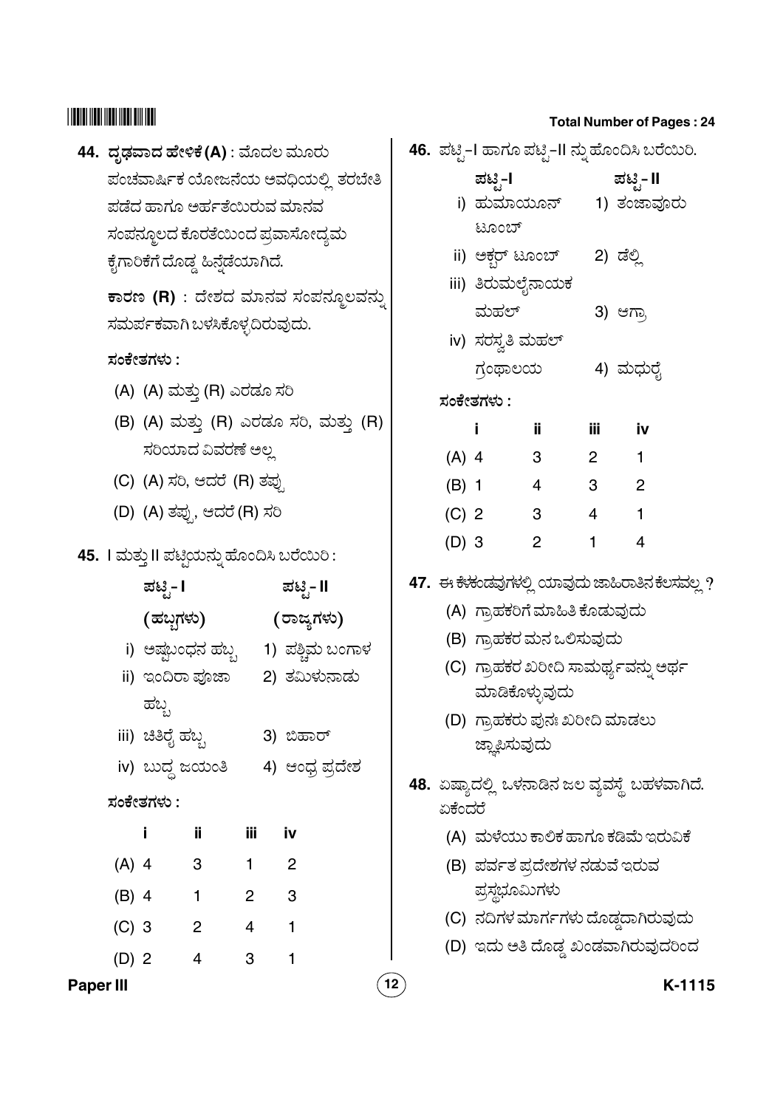## 

# 44. ದೃಢವಾದ ಹೇಳಿಕೆ (A) : ಮೊದಲ ಮೂರು ಪಂಚವಾರ್ಷಿಕ ಯೋಜನೆಯ ಅವಧಿಯಲ್ಲಿ ತರಬೇತಿ ಪಡೆದ ಹಾಗೂ ಅರ್ಹತೆಯಿರುವ ಮಾನವ ಸಂಪನ್ಮೂಲದ ಕೊರತೆಯಿಂದ ಪ್ರವಾಸೋದ್ಯಮ ಕೈಗಾರಿಕೆಗೆ ದೊಡ್ಡ ಹಿನ್ನೆಡೆಯಾಗಿದೆ.

ಕಾರಣ (R) : ದೇಶದ ಮಾನವ ಸಂಪನ್ಮೂಲವನ್ನು ಸಮರ್ಪಕವಾಗಿ ಬಳಸಿಕೊಳ್ಳದಿರುವುದು.

## ಸಂಕೇತಗಳು :

- (A) (A) ಮತ್ತು (R) ಎರಡೂ ಸರಿ
- (B) (A) ಮತ್ತು (R) ಎರಡೂ ಸರಿ, ಮತ್ತು (R) ಸರಿಯಾದ ವಿವರಣೆ ಅಲ್ಲ
- (C) (A) ಸರಿ, ಆದರೆ (R) ತಪ್ಪು
- (D) (A) ತಪ್ಪು, ಆದರೆ (R) ಸರಿ

## 45. I ಮತ್ತು II ಪಟ್ಟಿಯನ್ನು ಹೊಂದಿಸಿ ಬರೆಯಿರಿ:

|           | ಪಟಿೖ- I          |                          | ಪಟಿೖ- II       |                            |                            |  |
|-----------|------------------|--------------------------|----------------|----------------------------|----------------------------|--|
|           | (ಹಬ್ಬಗಳು)        |                          |                |                            | (ರಾಜ್ಯಗಳು)                 |  |
|           |                  | i) ಅಷ್ಣಬಂಧನ ಹಬ್ಬ         |                |                            | 1) ಪಶ್ಚಿಮ ಬಂಗಾಳ            |  |
|           | ii) ಇಂದಿರಾ ಪೂಜಾ  |                          |                |                            | 2) ತಮಿಳುನಾಡು               |  |
|           | ಹಬ್ಬ             |                          |                |                            |                            |  |
|           | iii) ಚಿತಿರೈ ಹಬ್ಬ |                          |                |                            | 3) ಬಿಹಾರ್                  |  |
|           | iv) ಬುದ್ಧ ಜಯಂತಿ  |                          |                |                            | 4) ಆಂಧ್ರ ಪ್ರದೇಶ            |  |
|           | ಸಂಕೇತಗಳು :       |                          |                |                            |                            |  |
|           | i                | ij                       | iii            |                            | iv                         |  |
| $(A)$ 4   |                  | 3                        | 1              |                            | $\overline{\phantom{0}}^2$ |  |
| $(B)$ 4   |                  | $\overline{\phantom{0}}$ | 2 <sup>1</sup> | $\overline{\phantom{a}}$ 3 |                            |  |
| $(C)$ 3   |                  | $\overline{2}$           | $4 \quad 1$    |                            |                            |  |
| $(D)$ 2   |                  | 4                        | 3              |                            | 1                          |  |
| Paper III |                  |                          |                |                            |                            |  |

|    |         |                                 |                |       | 46.  ಪಟ್ಟಿ–I ಹಾಗೂ ಪಟ್ಟಿ–II ನ್ನು ಹೊಂದಿಸಿ ಬರೆಯಿರಿ. |
|----|---------|---------------------------------|----------------|-------|--------------------------------------------------|
|    |         | ಪಟ್ಟಿ-I                         |                |       | ಪಟ್ಟಿ- II                                        |
|    |         |                                 |                |       | i) ಹುಮಾಯೂನ್     1) ತಂಜಾವೂರು                      |
|    |         | ಟೂಂಬ್                           |                |       |                                                  |
|    |         | ii) ಅಕ್ಬರ್ ಟೂಂಬ್                |                |       | 2) ಡೆಲ್ಲಿ                                        |
|    |         | iii) ತಿರುಮಲೈನಾಯಕ                |                |       |                                                  |
|    |         | ಮಹಲ್                            |                |       | 3) ಆಗ್ರಾ                                         |
|    |         | iv) ಸರಸ್ವತಿ ಮಹಲ್                |                |       |                                                  |
|    |         |                                 | ಗ್ರಂಥಾಲಯ       |       | 4) ಮಧುರೈ                                         |
|    |         | ಸಂಕೇತಗಳು :                      |                |       |                                                  |
|    |         | i                               | ij.            | iii - | <u>iv</u>                                        |
|    | $(A)$ 4 | $\overline{\mathbf{3}}$         |                |       | $2 \qquad 1$                                     |
|    | $(B)$ 1 |                                 | $4 \t3 \t2$    |       |                                                  |
|    |         | (C) 2 3                         |                |       | $4 \qquad 1$                                     |
|    | $(D)$ 3 |                                 | $\overline{2}$ | 1     | $\overline{4}$                                   |
|    |         |                                 |                |       | 47.  ಈ ಕೆಳಂಡವುಗಳಲ್ಲಿ ಯಾವುದು ಜಾಹಿರಾತಿನ ಕೆಲಸವಲ್ಲ ? |
|    |         | (A)  ಗ್ರಾಹಕರಿಗೆ ಮಾಹಿತಿ ಕೊಡುವುದು |                |       |                                                  |
|    |         | (B) ಗ್ರಾಹಕರ ಮನ ಒಲಿಸುವುದು        |                |       |                                                  |
|    |         |                                 |                |       | (C)  ಗ್ರಾಹಕರ ಖರೀದಿ ಸಾಮರ್ಥ್ಯವನ್ನು ಅರ್ಥ            |
|    |         | ಮಾಡಿಕೊಳ್ಳುವುದು                  |                |       |                                                  |
|    |         | (D) ಗ್ರಾಹಕರು ಪುನಃ ಖರೀದಿ ಮಾಡಲು   |                |       |                                                  |
|    |         | ಜ್ಞಾಪಿಸುವುದು                    |                |       |                                                  |
|    |         |                                 |                |       | 48.  ಏಷ್ಯಾದಲ್ಲಿ  ಒಳನಾಡಿನ ಜಲ ವ್ಯವಸ್ಥೆ  ಬಹಳವಾಗಿದೆ. |
|    | ಏಕೆಂದರೆ |                                 |                |       |                                                  |
|    |         |                                 |                |       | (A) ಮಳೆಯು ಕಾಲಿಕ ಹಾಗೂ ಕಡಿಮೆ ಇರುವಿಕೆ               |
|    |         | (B)  ಪರ್ವತ ಪ್ರದೇಶಗಳ ನಡುವೆ ಇರುವ  |                |       |                                                  |
|    |         | ಪ್ರಸ್ಥಭೂಮಿಗಳು                   |                |       |                                                  |
|    |         |                                 |                |       | (C) ನದಿಗಳ ಮಾರ್ಗಗಳು ದೊಡ್ಡದಾಗಿರುವುದು               |
|    |         |                                 |                |       | (D) ಇದು ಅತಿ ದೊಡ್ಡ ಖಂಡವಾಗಿರುವುದರಿಂದ               |
| 12 |         |                                 |                |       | K-1115                                           |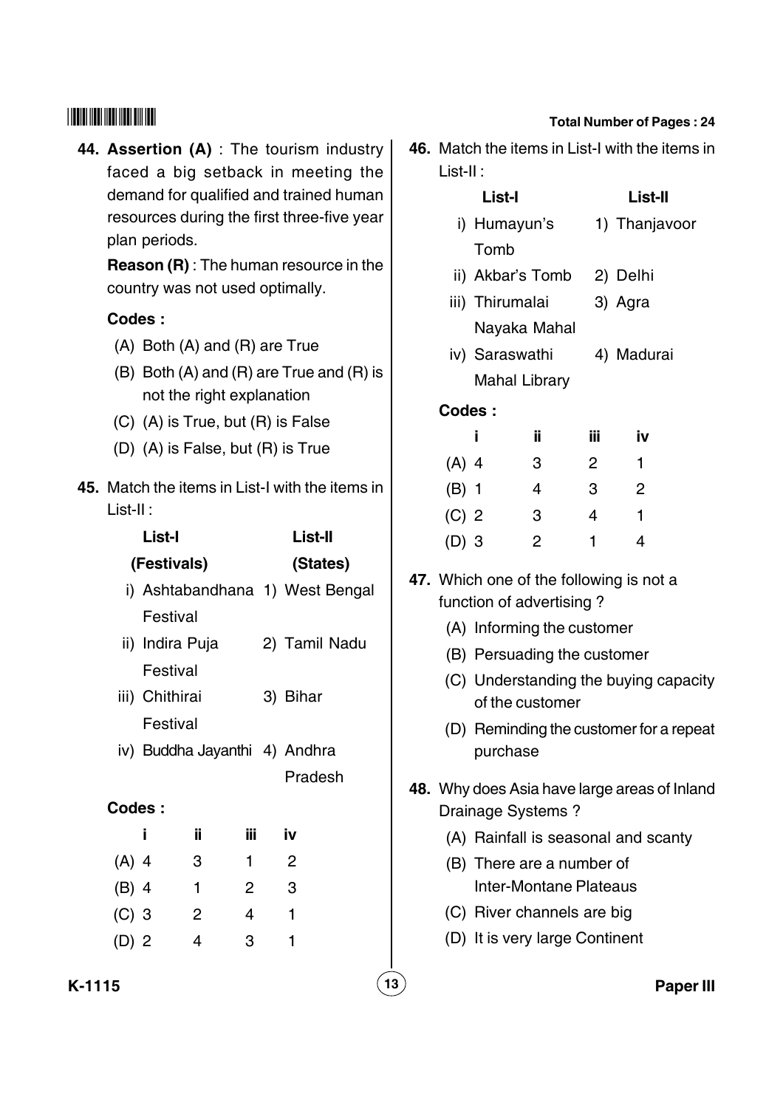**44. Assertion (A)** : The tourism industry faced a big setback in meeting the demand for qualified and trained human resources during the first three-five year plan periods.

**Reason (R)** : The human resource in the country was not used optimally.

## **Codes :**

- (A) Both (A) and (R) are True
- (B) Both (A) and (R) are True and (R) is not the right explanation
- (C) (A) is True, but (R) is False
- (D) (A) is False, but (R) is True
- **45.** Match the items in List-I with the items in List-II :

|         | List-I          |              |                | <b>List-II</b>                  |
|---------|-----------------|--------------|----------------|---------------------------------|
|         | (Festivals)     |              |                | (States)                        |
|         |                 |              |                | i) Ashtabandhana 1) West Bengal |
|         | Festival        |              |                |                                 |
|         | ii) Indira Puja |              |                | 2) Tamil Nadu                   |
|         | Festival        |              |                |                                 |
|         | iii) Chithirai  |              |                | 3) Bihar                        |
|         | Festival        |              |                |                                 |
|         |                 |              |                | iv) Buddha Jayanthi 4) Andhra   |
|         |                 |              |                | Pradesh                         |
| Codes:  |                 |              |                |                                 |
|         | Ĩ               | ii.          | iii            | iv                              |
| $(A)$ 4 |                 | 3            | $\mathbf{1}$   | $\overline{2}$                  |
| $(B)$ 4 |                 | $\mathbf{1}$ | $\overline{2}$ | - 3                             |
| $(C)$ 3 |                 | 2            | $\overline{4}$ | $\mathbf{1}$                    |
| (D) 2   |                 | 4            | 3              | 1                               |
|         |                 |              |                |                                 |

## **Total Number of Pages : 24**

- **46.** Match the items in List-I with the items in List-II :
	- **List-I List-II**
	- i) Humayun's 1) Thanjavoor Tomb
	- ii) Akbar's Tomb 2) Delhi
	- iii) Thirumalai 3) Agra Nayaka Mahal
	- iv) Saraswathi 4) Madurai Mahal Library

## **Codes :**

| Ĩ.      | ÏÏ | ---<br>ΪÏΪ | iv |
|---------|----|------------|----|
| $(A)$ 4 | 3  | 2          | 1. |
| $(B)$ 1 | 4  | 3          | 2  |
| $(C)$ 2 | 3  | 4          | 1  |
| $(D)$ 3 | 2  | 1          | 4  |

- **47.** Which one of the following is not a function of advertising ?
	- (A) Informing the customer
	- (B) Persuading the customer
	- (C) Understanding the buying capacity of the customer
	- (D) Reminding the customer for a repeat purchase
- **48.** Why does Asia have large areas of Inland Drainage Systems ?
	- (A) Rainfall is seasonal and scanty
	- (B) There are a number of Inter-Montane Plateaus
	- (C) River channels are big
	- (D) It is very large Continent

**K-1115 13 Paper III**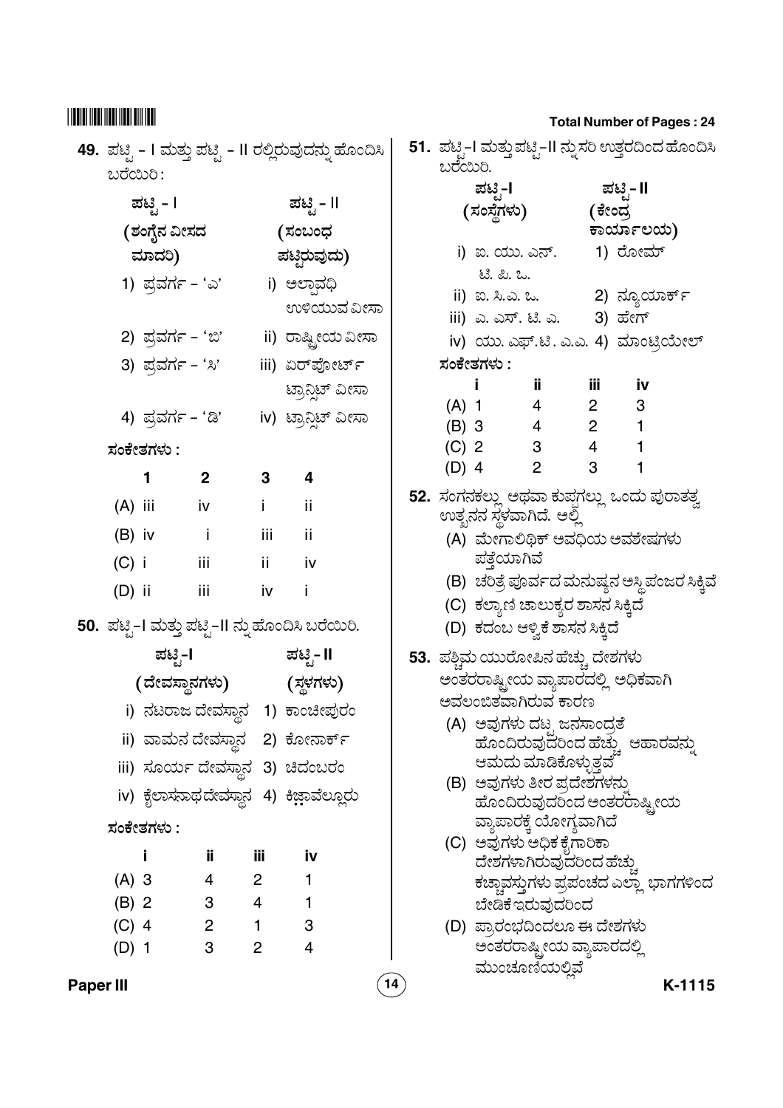|           |           |                                                          |              |                | 49.  ಪಟ್ಟಿ – I ಮತ್ತು ಪಟ್ಟಿ – II ರಲ್ಲಿರುವುದನ್ನು ಹೊಂದಿಸಿ |    | ಬರೆಯಿರಿ.     |             |                                                                      |                        | 51.  ಪಟ್ಟ–I ಮತ್ತುಪಟ್ಟ–II ನ್ನುಸರಿ ಉತ್ತರದಿಂದ ಹೊಂದಿಸಿ      |        |
|-----------|-----------|----------------------------------------------------------|--------------|----------------|--------------------------------------------------------|----|--------------|-------------|----------------------------------------------------------------------|------------------------|---------------------------------------------------------|--------|
|           | ಬರೆಯಿರಿ:  |                                                          |              |                |                                                        |    |              | ಪಟ್ಟಿ−l     |                                                                      | ಪಟೃ- II                |                                                         |        |
|           |           | ಪಟಿೖ - I                                                 |              |                | ಪಟ್ಟಿ - II                                             |    |              | (ಸಂಸ್ಥೆಗಳು) |                                                                      | (ಕೇಂದ್ರ                |                                                         |        |
|           |           | (ಶಂಗೈನ ವೀಸದ                                              |              |                | (ಸಂಬಂಧ                                                 |    |              |             |                                                                      |                        | ಕಾರ್ಯಾಲಯ)                                               |        |
|           |           | ಮಾದರಿ)                                                   |              |                | ಪಟಿಝವುದು)                                              |    |              |             | i) ಐ. ಯು. ಎನ್.        1) ರೋಮ್                                        |                        |                                                         |        |
|           |           |                                                          |              |                |                                                        |    |              | ಟೆ. ಪಿ. ಒ.  |                                                                      |                        |                                                         |        |
|           |           | 1) ಪ್ರವರ್ಗ - 'ಎ'                                         |              |                | i) ಅಲಾವಧಿ                                              |    |              |             |                                                                      |                        | ii) ಐ. ಸಿ.ಎ. ಒ.                           2) ನ್ಯೂಯಾರ್ಕ್ |        |
|           |           |                                                          |              |                | ಉಳಿಯುವ ವೀಸಾ                                            |    |              |             | iii) ಎ. ಎಸ್. ಟಿ. ಎ.       3) ಹೇಗ್                                    |                        |                                                         |        |
|           |           | 2) ಪ್ರವರ್ಗ - 'ಬಿ'                                        |              |                | ii) ರಾಷ್ಟ್ರೀಯ ವೀಸಾ                                     |    |              |             |                                                                      |                        | iv) ಯು. ಎಫ್.ಟಿ. ಎ.ಎ. 4) ಮಾಂಟ್ರಿಯೇಲ್                     |        |
|           |           | 3) ಪ್ರವರ್ಗ - 'ಸಿ'                                        |              |                | iii) ಏರ್ಪೋರ್ಟ್                                         |    |              | ಸಂಕೇತಗಳು :  |                                                                      |                        |                                                         |        |
|           |           |                                                          |              |                | ಟ್ರಾನ್ಗಿಟ್ ವೀಸಾ                                        |    | $\mathbf{I}$ |             | jj.                                                                  | iii                    | <u>iv</u>                                               |        |
|           |           |                                                          |              |                |                                                        |    | $(A)$ 1      |             | $4\overline{ }$                                                      | $2 \quad \blacksquare$ | 3                                                       |        |
|           |           | 4) ಪ್ರವರ್ಗ - 'ಡಿ'                                        |              |                | iv) ಟ್ರಾನ್ಷಿಟ್ ವೀಸಾ                                    |    |              | (B) 3 4     |                                                                      | $2 \quad \blacksquare$ | $\mathbf{1}$                                            |        |
|           |           | ಸಂಕೇತಗಳು :                                               |              |                |                                                        |    |              |             | (C) 2 3                                                              | $4\overline{ }$        |                                                         |        |
|           |           | 1                                                        | $\mathbf{2}$ | 3 <sup>1</sup> | 4                                                      |    |              | $(D)$ 4     | 2                                                                    | 3                      |                                                         |        |
|           | $(A)$ iii |                                                          | iv           | i.             | ii.                                                    |    |              |             |                                                                      |                        | 52. ಸಂಗನಕಲ್ಲು ಅಥವಾ ಕುಪ್ಪಗಲ್ಲು ಒಂದು ಪುರಾತತ್ವ             |        |
|           |           |                                                          |              |                |                                                        |    |              |             | ಉತ್ಪನನ ಸ್ಥಳವಾಗಿದೆ. ಅಲ್ಲಿ                                             |                        |                                                         |        |
|           | $(B)$ iv  |                                                          | - i          | iii            | ii.                                                    |    |              |             |                                                                      |                        | (A) ಮೇಗಾಲಿಥಿಕ್ ಅವಧಿಯ ಅವಶೇಷಗಳು                           |        |
|           | $(C)$ i   | $\sim$ 111                                               |              | ii aa          | iv                                                     |    |              | ಪತ್ತೆಯಾಗಿವೆ |                                                                      |                        |                                                         |        |
|           | $(D)$ ii  |                                                          | iii          | iv             | İ                                                      |    |              |             |                                                                      |                        | (B) ಚರಿತ್ರೆ ಪೂರ್ವದ ಮನುಷ್ಯನ ಅಸ್ಥಿ ಪಂಜರ ಸಿಕ್ಕಿವೆ          |        |
|           |           |                                                          |              |                | 50.  ಪಟ್ಟಿ–I ಮತ್ತು ಪಟ್ಟಿ–II ನ್ನು ಹೊಂದಿಸಿ ಬರೆಯಿರಿ.      |    |              |             | (C) ಕಲ್ಯಾಣಿ ಚಾಲುಕ್ಯರ ಶಾಸನ ಸಿಕ್ಕಿದೆ<br>(D) ಕದಂಬ ಆಳ್ವಿಕೆ ಶಾಸನ ಸಿಕ್ಕಿದೆ |                        |                                                         |        |
|           |           | ಪಟೖ-l                                                    |              |                |                                                        |    |              |             |                                                                      |                        |                                                         |        |
|           |           |                                                          |              |                | ಪಟಿೖ- II                                               |    |              |             | 53. ಪಶ್ಚಿಮ ಯುರೋಪಿನ ಹೆಚ್ಚು ದೇಶಗಳು                                     |                        |                                                         |        |
|           |           |                                                          |              |                | (ದೇವಸ್ಥಾನಗಳು) (ಸ್ಥಳಗಳು)                                |    |              |             | ಅಂತರರಾಷ್ಟ್ರೀಯ ವ್ಯಾಪಾರದಲ್ಲಿ ಅಧಿಕವಾಗಿ<br>ಅವಲಂಬಿತವಾಗಿರುವ ಕಾರಣ           |                        |                                                         |        |
|           |           |                                                          |              |                | i) ನಟರಾಜ ದೇವಸ್ಥಾನ   1) ಕಾಂಚೀಪುರಂ                       |    |              |             | (A)  ಅವುಗಳು ದಟ್ಟ ಜನಸಾಂದ್ರತೆ                                          |                        |                                                         |        |
|           |           |                                                          |              |                | ii) ವಾಮನ ದೇವಸ್ಥಾನ   2) ಕೋನಾರ್ಕ್                        |    |              |             |                                                                      |                        | ಹೊಂದಿರುವುದರಿಂದ ಹೆಚ್ಚು ಆಹಾರವನ್ನು                         |        |
|           |           |                                                          |              |                | iii) ಸೂರ್ಯ ದೇವಸ್ಥಾನ 3) ಚಿದಂಬರಂ                         |    |              |             | ಆಮದು ಮಾಡಿಕೊಳ್ಳುತ್ತವೆ                                                 |                        |                                                         |        |
|           |           |                                                          |              |                | iv) ಕೈಲಾಸನಾಥದೇವಸ್ಥಾನ 4) ಕಿಜ್ಞಾವೆಲ್ಲೂರು                 |    |              |             | (B) ಅವುಗಳು ತೀರ ಪ್ರದೇಶಗಳನ್ನು                                          |                        |                                                         |        |
|           |           |                                                          |              |                |                                                        |    |              |             |                                                                      |                        | ಹೊಂದಿರುವುದರಿಂದ ಅಂತರರಾಷ್ಟ್ರೀಯ                            |        |
|           |           | ಸಂಕೇತಗಳು :                                               |              |                |                                                        |    |              |             | ವ್ಯಾಪಾರಕ್ಕೆ ಯೋಗ್ಯವಾಗಿದೆ<br>(C) ಅವುಗಳು ಅಧಿಕ ಕೈಗಾರಿಕಾ                  |                        |                                                         |        |
|           |           |                                                          | ij,          | Ϊİ             | <u>iv</u>                                              |    |              |             | ದೇಶಗಳಾಗಿರುವುದರಿಂದ ಹೆಚ್ಚು                                             |                        |                                                         |        |
|           |           |                                                          |              |                |                                                        |    |              |             |                                                                      |                        | ಕಚ್ಚಾವಸ್ತುಗಳು ಪ್ರಪಂಚದ ಎಲ್ಲಾ ಭಾಗಗಳಿಂದ                    |        |
|           |           | (A) 3 4 2 1<br>(B) 2 3 4 1<br>(C) 4 2 1 3<br>(D) 1 3 2 4 |              |                |                                                        |    |              |             | ಬೇಡಿಕೆ ಇರುವುದರಿಂದ                                                    |                        |                                                         |        |
|           |           |                                                          |              |                |                                                        |    |              |             | (D) ಪ್ರಾರಂಭದಿಂದಲೂ ಈ ದೇಶಗಳು                                           |                        |                                                         |        |
|           |           |                                                          |              |                |                                                        |    |              |             | ಅಂತರರಾಷ್ಟ್ರೀಯ ವ್ಯಾಪಾರದಲ್ಲಿ                                           |                        |                                                         |        |
|           |           |                                                          |              |                |                                                        |    |              |             | ಮುಂಚೂಣಿಯಲ್ಲಿವೆ                                                       |                        |                                                         |        |
| Paper III |           |                                                          |              |                |                                                        | 14 |              |             |                                                                      |                        |                                                         | K-1115 |

| ಬರೆಯಿರಿ. | 51.  ಪಟ್ಟಿ–I ಮತ್ತುಪಟ್ಟಿ–II ನ್ನುಸರಿ ಉತ್ತರದಿಂದ ಹೊಂದಿಸಿ                                   |                                |                     |                                         |                                      |
|----------|----------------------------------------------------------------------------------------|--------------------------------|---------------------|-----------------------------------------|--------------------------------------|
|          | ಪಟ್ಟಿ-I                                                                                |                                |                     | ಪಟ್ಟಿ- II                               |                                      |
|          | (ಸಂಸ್ಥೆಗಳು)                                                                            |                                | (ಕೇಂದ್ರ             |                                         |                                      |
|          |                                                                                        |                                |                     | ಕಾರ್ಯಾಲಯ)                               |                                      |
|          | i) ಐ. ಯು. ಎನ್.                                                                         |                                |                     | 1) ರೋಮ್                                 |                                      |
|          | ಟೆ. ಪಿ. ಒ.                                                                             |                                |                     |                                         |                                      |
|          | ii) ಐ. ಸಿ.ಎ. ಒ.                                                                        |                                |                     | 2) ನ್ಯೂಯಾರ್ಕ್                           |                                      |
|          | iii) ಎ. ಎಸ್. ಟಿ. ಎ. 3) ಹೇಗ್                                                            |                                |                     |                                         |                                      |
|          | iv) ಯು. ಎಫ್.ಟಿ. ಎ.ಎ. 4) ಮಾಂಟ್ರಿಯೇಲ್                                                    |                                |                     |                                         |                                      |
|          | ಸಂಕೇತಗಳು :                                                                             |                                |                     |                                         |                                      |
|          |                                                                                        | ji,                            | iii -               | . iv                                    |                                      |
| $(A)$ 1  |                                                                                        | $\overline{4}$                 | $\overline{2}$      | - 3                                     |                                      |
|          | (B) 3                                                                                  | $\overline{4}$                 | $\overline{2}$      | $\overline{\phantom{a}}$                |                                      |
| $(C)$ 2  |                                                                                        | $\mathbf{3}$<br>$\overline{2}$ | $\overline{4}$<br>3 | $\overline{\mathbf{1}}$<br>$\mathbf{1}$ |                                      |
| $(D)$ 4  |                                                                                        |                                |                     |                                         |                                      |
|          | 52. ಸಂಗನಕಲ್ಲು ಅಥವಾ ಕುಪ್ಪಗಲ್ಲು ಒಂದು ಪುರಾತತ್ವ                                            |                                |                     |                                         |                                      |
|          | ಉತ್ಖನನ ಸ್ಥಳವಾಗಿದೆ. ಅಲ್ಲಿ                                                               |                                |                     |                                         |                                      |
|          | (A) ಮೇಗಾಲಿಥಿಕ್ ಅವಧಿಯ ಅವಶೇಷಗಳು<br>ಪತ್ತೆಯಾಗಿವೆ                                           |                                |                     |                                         |                                      |
|          | (B) ಚರಿತ್ರೆ ಪೂರ್ವದ ಮನುಷ್ಯನ ಅಸ್ಥಿ ಪಂಜರ ಸಿಕ್ಕಿವೆ                                         |                                |                     |                                         |                                      |
|          | (C)  ಕಲ್ಯಾಣಿ ಚಾಲುಕ್ಯರ ಶಾಸನ ಸಿಕ್ಕಿದೆ                                                    |                                |                     |                                         |                                      |
|          | (D)  ಕದಂಬ ಆಳ್ವಿಕೆ ಶಾಸನ ಸಿಕ್ಕಿದೆ                                                        |                                |                     |                                         |                                      |
|          | 53. ಪಶ್ತಿಮ ಯುರೋಪಿನ ಹೆಚ್ಚು ದೇಶಗಳು                                                       |                                |                     |                                         |                                      |
|          | ಅಂತರರಾಷ್ಟ್ರೀಯ ವ್ಯಾಪಾರದಲ್ಲಿ ಅಧಿಕವಾಗಿ                                                    |                                |                     |                                         |                                      |
|          | ಅವಲಂಬಿತವಾಗಿರುವ ಕಾರಣ                                                                    |                                |                     |                                         |                                      |
|          | (A) ಅವುಗಳು ದಟ್ಟ ಜನಸಾಂದ್ರತೆ                                                             |                                |                     |                                         |                                      |
|          | ್ನಲು : : : ಎಜ್ಜು ಜೇನಾಲದ್ರರ<br>ಹೊಂದಿರುವುದರಿಂದ ಹೆಚ್ಚು  ಆಹಾರವನ್ನು<br>ಆಮದು ಮಾಡಿಕೊಳ್ಳುತ್ತವೆ |                                |                     |                                         |                                      |
|          | (B) ಅವುಗಳು ತೀರ ಪ್ರದೇಶಗಳನ <mark>ು</mark>                                                |                                |                     |                                         |                                      |
|          | ಹೊಂದಿರುವುದರಿಂದ ಅಂತರರಾಷ್ಟ್ರೀಯ                                                           |                                |                     |                                         |                                      |
|          | ವ್ತಾಪಾರಕ್ಕೆ ಯೋಗ್ಯವಾಗಿದೆ                                                                |                                |                     |                                         |                                      |
|          | (C) ಅವುಗಳು ಅಧಿಕ ಕೈಗಾರಿಕಾ                                                               |                                |                     |                                         |                                      |
|          | ದೇಶಗಳಾಗಿರುವುದರಿಂದ ಹೆಚ್ಚು                                                               |                                |                     |                                         |                                      |
|          |                                                                                        |                                |                     |                                         | ಕಚ್ಚಾವಸ್ತುಗಳು ಪ್ರಪಂಚದ ಎಲ್ಲಾ ಭಾಗಗಳಿಂದ |
|          | ಬೇಡಿಕೆ ಇರುವುದರಿಂದ                                                                      |                                |                     |                                         |                                      |
|          | (D) ಪ್ರಾರಂಭದಿಂದಲೂ ಈ ದೇಶಗಳು                                                             |                                |                     |                                         |                                      |
|          | ಅಂತರರಾಷ್ಟ್ರೀಯ ವ್ಯಾಪಾರದಲ್ಲಿ                                                             |                                |                     |                                         |                                      |
|          | ಮುಂಚೂಣಿಯಲ್ಲಿವೆ                                                                         |                                |                     |                                         |                                      |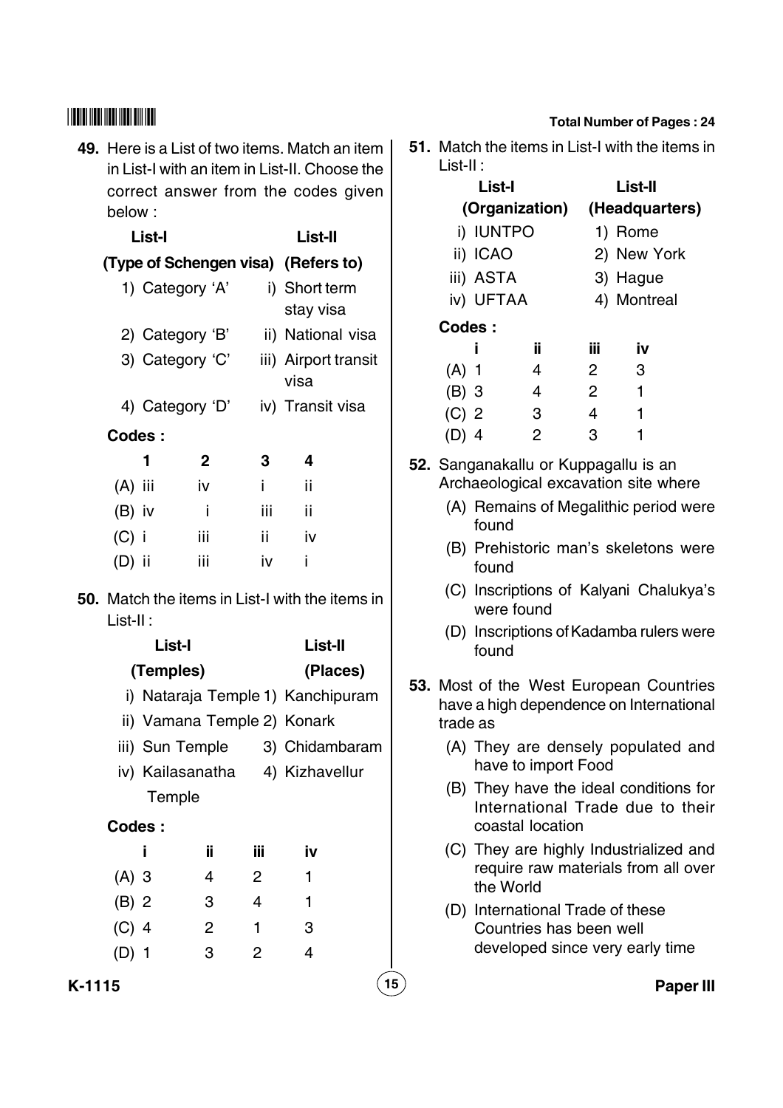**49.** Here is a List of two items. Match an item in List-I with an item in List-II. Choose the correct answer from the codes given below :

## **List-I List-II (Type of Schengen visa) (Refers to)**

- 1) Category 'A' i) Short term stay visa 2) Category 'B' ii) National visa 3) Category 'C' iii) Airport transit visa
- 4) Category 'D' iv) Transit visa
- **Codes :**

|           | 1 | 2   | 3   | 4  |
|-----------|---|-----|-----|----|
| $(A)$ iii |   | iv  | Ĩ   | ii |
| $(B)$ iv  |   | İ   | iii | ii |
| (C) i     |   | iii | ii  | iv |
| (D) ii    |   | iii | iv  |    |

**50.** Match the items in List-I with the items in List-II :

|                | List-I                      |     |     | List-II                           |
|----------------|-----------------------------|-----|-----|-----------------------------------|
|                | (Temples)                   |     |     | (Places)                          |
|                |                             |     |     | i) Nataraja Temple 1) Kanchipuram |
|                | ii) Vamana Temple 2) Konark |     |     |                                   |
|                | iii) Sun Temple             |     |     | 3) Chidambaram                    |
|                |                             |     |     | iv) Kailasanatha 4) Kizhavellur   |
|                | Temple                      |     |     |                                   |
| <b>Codes :</b> |                             |     |     |                                   |
|                | i                           | ii. | Ϊij | iv                                |
| $(A)$ 3        |                             | 4   | 2   | 1                                 |
| $(B)$ 2        |                             | 3   | 4   | 1                                 |
| $(C)$ 4        |                             | 2   | 1   | 3                                 |
| (D) 1          |                             | 3   | 2   | 4                                 |

## **Total Number of Pages : 24**

**51.** Match the items in List-I with the items in List-II :

|         | List-I         |    |             | List-II        |  |
|---------|----------------|----|-------------|----------------|--|
|         | (Organization) |    |             | (Headquarters) |  |
|         | i) IUNTPO      |    |             | 1) Rome        |  |
|         | ii) ICAO       |    |             | 2) New York    |  |
|         | iii) ASTA      |    |             | 3) Hague       |  |
|         | iv) UFTAA      |    | 4) Montreal |                |  |
| Codes:  |                |    |             |                |  |
|         | Ĩ              | ïi | iii         | iv             |  |
| $(A)$ 1 |                | 4  | 2           | 3              |  |
| (B) 3   |                | 4  | 2           | 1              |  |
| $(C)$ 2 |                | 3  | 4           | 1              |  |
|         | 4              | 2  | З           |                |  |
|         |                |    |             |                |  |

- **52.** Sanganakallu or Kuppagallu is an Archaeological excavation site where
	- (A) Remains of Megalithic period were found
	- (B) Prehistoric man's skeletons were found
	- (C) Inscriptions of Kalyani Chalukya's were found
	- (D) Inscriptions of Kadamba rulers were found
- **53.** Most of the West European Countries have a high dependence on International trade as
	- (A) They are densely populated and have to import Food
	- (B) They have the ideal conditions for International Trade due to their coastal location
	- (C) They are highly Industrialized and require raw materials from all over the World
	- (D) International Trade of these Countries has been well developed since very early time

**K-1115 15 Paper III**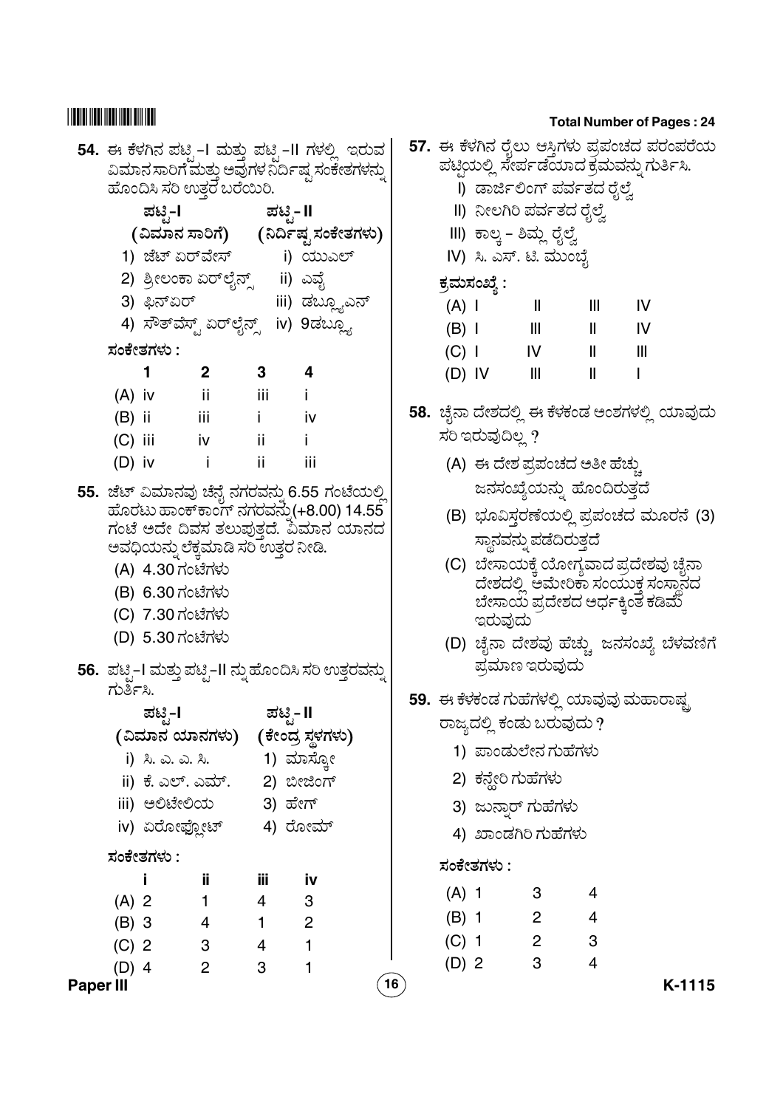# 

|                  |                                                     |                  |                                     |                       | 54. ಈ ಕೆಳಗಿನ ಪಟ್ಟಿ–I ಮತ್ತು ಪಟ್ಟಿ–II ಗಳಲ್ಲಿ  ಇರುವ                                        |    |  |
|------------------|-----------------------------------------------------|------------------|-------------------------------------|-----------------------|-----------------------------------------------------------------------------------------|----|--|
|                  | .<br>ವಿಮಾನ ಸಾರಿಗೆ ಮತ್ತು ಅವುಗಳ ನಿರ್ದಿಷ್ಟ ಸಂಕೇತಗಳನ್ನು |                  |                                     |                       |                                                                                         |    |  |
|                  |                                                     |                  | ಹೊಂದಿಸಿ ಸರಿ ಉತ್ತರ ಬರೆಯಿರಿ.          |                       |                                                                                         |    |  |
|                  |                                                     | ಪಟೃ-l            |                                     |                       | ಪಟಿೖ- II                                                                                |    |  |
|                  |                                                     |                  |                                     |                       | (ವಿಮಾನ ಸಾರಿಗೆ) ( ನಿರ್ದಿಷ್ಟ ಸಂಕೇತಗಳು)                                                    |    |  |
|                  |                                                     |                  |                                     |                       | 1) ಜೆಟ್ ಏರ್ <b>ವೇಸ್</b> i) ಯುಎಲ್                                                        |    |  |
|                  |                                                     |                  | 2) ಶ್ರೀಲಂಕಾ ಏರ್ಲೈನ್ಸ್    ii) ಎವೈ    |                       |                                                                                         |    |  |
|                  |                                                     | 3) ಫಿನ್ಏರ್       |                                     |                       | iii) ಡಬ್ಲ್ಯೂಎನ್                                                                         |    |  |
|                  |                                                     |                  |                                     |                       | 4) ಸೌತ್ <i>ವೆಸ್ಟ್ ಏರ್</i> ಲೈನ್ಸ್ iv) 9ಡಬ್ಲ್ಯೂ                                           |    |  |
|                  |                                                     | ಸಂಕೇತಗಳು :       |                                     |                       |                                                                                         |    |  |
|                  |                                                     | $\mathbf 1$      | $\mathbf{2}$                        | 3                     | -4                                                                                      |    |  |
|                  | $(A)$ iv                                            |                  | $\overline{\phantom{a}}$ ii         | – iii                 | - i                                                                                     |    |  |
|                  |                                                     | $(B)$ ii iii     |                                     | $\blacksquare$ i      | iv iv                                                                                   |    |  |
|                  | $(C)$ iii                                           |                  | iv i                                | - ii                  |                                                                                         |    |  |
|                  | $(D)$ iv                                            |                  | $\sim$ 1                            | ii.                   | - iii                                                                                   |    |  |
|                  |                                                     |                  |                                     |                       |                                                                                         |    |  |
|                  |                                                     |                  |                                     |                       | 55. ಜೆಟ್ ವಿಮಾನವು ಚೆನೈ ನಗರವನ್ನು 6.55 ಗಂಟೆಯಲ್ಲಿ<br>ಹೊರಟು ಹಾಂಕ್ಕಾಂಗ್ ನಗರವನ್ನು(+8.00) 14.55 |    |  |
|                  |                                                     |                  |                                     |                       | ಗಂಟೆ ಅದೇ ದಿವಸ ತಲುಪುತ್ತದೆ. ವಿಮಾನ ಯಾನದ                                                    |    |  |
|                  |                                                     |                  | ಅವಧಿಯನ್ನು ಲೆಕ್ಕಮಾಡಿ ಸರಿ ಉತ್ತರ ನೀಡಿ. |                       |                                                                                         |    |  |
|                  |                                                     | (A) 4.30 ಗಂಟೆಗಳು |                                     |                       |                                                                                         |    |  |
|                  |                                                     | (B) 6.30 ಗಂಟೆಗಳು |                                     |                       |                                                                                         |    |  |
|                  |                                                     | (C) 7.30 ಗಂಟೆಗಳು |                                     |                       |                                                                                         |    |  |
|                  |                                                     | (D) 5.30 ಗಂಟೆಗಳು |                                     |                       |                                                                                         |    |  |
|                  |                                                     |                  |                                     |                       | 56.  ಪಟ್ಟಿ–I ಮತ್ತು ಪಟ್ಟಿ–II ನ್ನು ಹೊಂದಿಸಿ ಸರಿ ಉತ್ತರವನ್ನು                                 |    |  |
|                  | ಗುರ್ತಿಸಿ.                                           |                  |                                     |                       |                                                                                         |    |  |
|                  |                                                     | ಪಟೖಿ−l           |                                     |                       | ಪಟಿೃ− II                                                                                |    |  |
|                  |                                                     |                  | (ವಿಮಾನ ಯಾನಗಳು)                      |                       | (ಕೇಂದ್ರ ಸ್ಥಳಗಳು)                                                                        |    |  |
|                  |                                                     | i) ಸಿ. ಎ. ಎ. ಸಿ. |                                     |                       | 1) ಮಾಸ್ಕೋ                                                                               |    |  |
|                  |                                                     |                  | ii) ಕೆ. ಎಲ್. ಎಮ್. 2) ಬೀಜಿಂಗ್        |                       |                                                                                         |    |  |
|                  |                                                     |                  | iii) ಅಲಿಟೇಲಿಯ        3) ಹೇಗ್        |                       |                                                                                         |    |  |
|                  |                                                     | iv) ಏರೋಫ್ಲೋಟ್    |                                     |                       | 4) ರೋಮ್                                                                                 |    |  |
|                  |                                                     | ಸಂಕೇತಗಳು :       |                                     |                       |                                                                                         |    |  |
|                  |                                                     |                  |                                     |                       |                                                                                         |    |  |
|                  |                                                     | j.               | ij                                  | Ϊii<br>$\overline{4}$ | <u>iv</u>                                                                               |    |  |
|                  | $(A)$ 2                                             |                  | $\mathbf{1}$                        | $\mathbf{1}$          | 3<br>$\overline{\phantom{a}}^2$                                                         |    |  |
|                  | $(B)$ 3                                             |                  | $\overline{4}$                      | $\overline{4}$        | $\overline{1}$                                                                          |    |  |
|                  | $(C)$ 2                                             |                  | $\mathbf{3}$<br>$\overline{2}$      | 3                     | $\mathbf{1}$                                                                            |    |  |
| <b>Paper III</b> | $(D)$ 4                                             |                  |                                     |                       |                                                                                         | 16 |  |
|                  |                                                     |                  |                                     |                       |                                                                                         |    |  |

#### **Total Number of Pages: 24**

| ವ<br>ನ್ನು |         |              | 57. ಈ ಕೆಳಗಿನ ರೈಲು ಆಸ್ತಿಗಳು ಪ್ರಪಂಚದ ಪರಂಪರೆಯ<br>ಪಟ್ಟಿಯಲ್ಲಿ ಸೇರ್ಪಡೆಯಾದ ಕ್ರಮವನ್ನು ಗುರ್ತಿಸಿ.<br>l) ಡಾರ್ಜಿಲಿಂಗ್ ಪರ್ವತದ ರೈಲ್ವೆ |              |    |  |
|-----------|---------|--------------|-------------------------------------------------------------------------------------------------------------------------|--------------|----|--|
|           |         |              | II) ನೀಲಗಿರಿ ಪರ್ವತದ ರೈಲ್ವೆ                                                                                               |              |    |  |
| رد        |         |              | III) ಕಾಲ್ಕ - ಶಿಮ್ಲ ರೈಲ್ವೆ                                                                                               |              |    |  |
|           |         |              | IV) ಸಿ. ಎಸ್. ಟಿ. ಮುಂಬೈ                                                                                                  |              |    |  |
|           |         | ಕ್ರಮಸಂಖ್ಯೆ : |                                                                                                                         |              |    |  |
|           | $(A)$   |              | $\mathsf{I}$                                                                                                            | III. aasta   | IV |  |
|           | $(B)$ I |              | Ш                                                                                                                       | Ш            | ΙV |  |
|           |         | $(C)$        | IV                                                                                                                      | $\mathbf{I}$ | Ш  |  |
|           |         | $(D)$ IV     | $\mathbf{III}$                                                                                                          | $\mathbf{I}$ | I  |  |
|           |         |              | 58.  ಚೈನಾ ದೇಶದಲ್ಲಿ ಈ ಕೆಳಕಂಡ ಅಂಶಗಳಲ್ಲಿ ಯಾವುದು<br>ಸರಿ ಇರುವುದಿಲ್ಲ ?                                                        |              |    |  |
|           |         |              | (A) ಈ ದೇಶ ಪ್ರಪಂಚದ ಅತೀ ಹೆಚ್ಚು                                                                                            |              |    |  |
|           |         |              | ಜನಸಂಖ್ಯೆಯನ್ನು ಹೊಂದಿರುತ್ತದೆ                                                                                              |              |    |  |
| ಲ್ಲಿ<br>ದ |         |              | (B) ಭೂವಿಸ್ತರಣೆಯಲ್ಲಿ ಪ್ರಪಂಚದ ಮೂರನೆ (3)<br>ಸ್ಥಾನವನ್ನು ಪಡೆದಿರುತ್ತದೆ                                                        |              |    |  |
|           |         | ಇರುವುದು      | (C)  ಬೇಸಾಯಕ್ಕೆ ಯೋಗ್ಯವಾದ ಪ್ರದೇಶವು ಚೈನಾ<br>ದೇಶದಲ್ಲಿ ಅಮೇರಿಕಾ ಸಂಯುಕ್ತ ಸಂಸ್ಥಾನದ<br>ಬೇಸಾಯ ಪ್ರದೇಶದ ಅರ್ಧಕ್ಕಿಂತ ಕಡಿಮೆ            |              |    |  |
| ನ್ನು      |         |              | (D) ಚೈನಾ ದೇಶವು ಹೆಚ್ಚು ಜನಸಂಖ್ಯೆ ಬೆಳವಣಿಗೆ<br>ಪ್ರಮಾಣ ಇರುವುದು                                                               |              |    |  |
|           |         |              | 59.  ಈ ಕೆಳಕಂಡ ಗುಹೆಗಳಲ್ಲಿ ಯಾವುವು ಮಹಾರಾಷ್ಟ್ರ                                                                              |              |    |  |
|           |         |              | ರಾಜ್ಯದಲ್ಲಿ ಕಂಡು ಬರುವುದು ?                                                                                               |              |    |  |
|           |         |              | 1) ಪಾಂಡುಲೇನ ಗುಹೆಗಳು                                                                                                     |              |    |  |
|           |         |              | 2) ಕನ್ವೇರಿ ಗುಹೆಗಳು                                                                                                      |              |    |  |
|           |         |              | . . د                                                                                                                   |              |    |  |

|         |            | 3) ಜುನ್ತಾರ್ ಗುಹೆಗಳು |   |
|---------|------------|---------------------|---|
|         |            | 4) ಖಾಂಡಗಿರಿ ಗುಹೆಗಳು |   |
|         | ಸಂಕೇತಗಳು : |                     |   |
| $(A)$ 1 |            | 3                   | 4 |
| $(B)$ 1 |            | 2                   | 4 |
| $(C)$ 1 |            | 2                   | 3 |
| (D) 2   |            | З                   |   |
|         |            |                     |   |

K-1115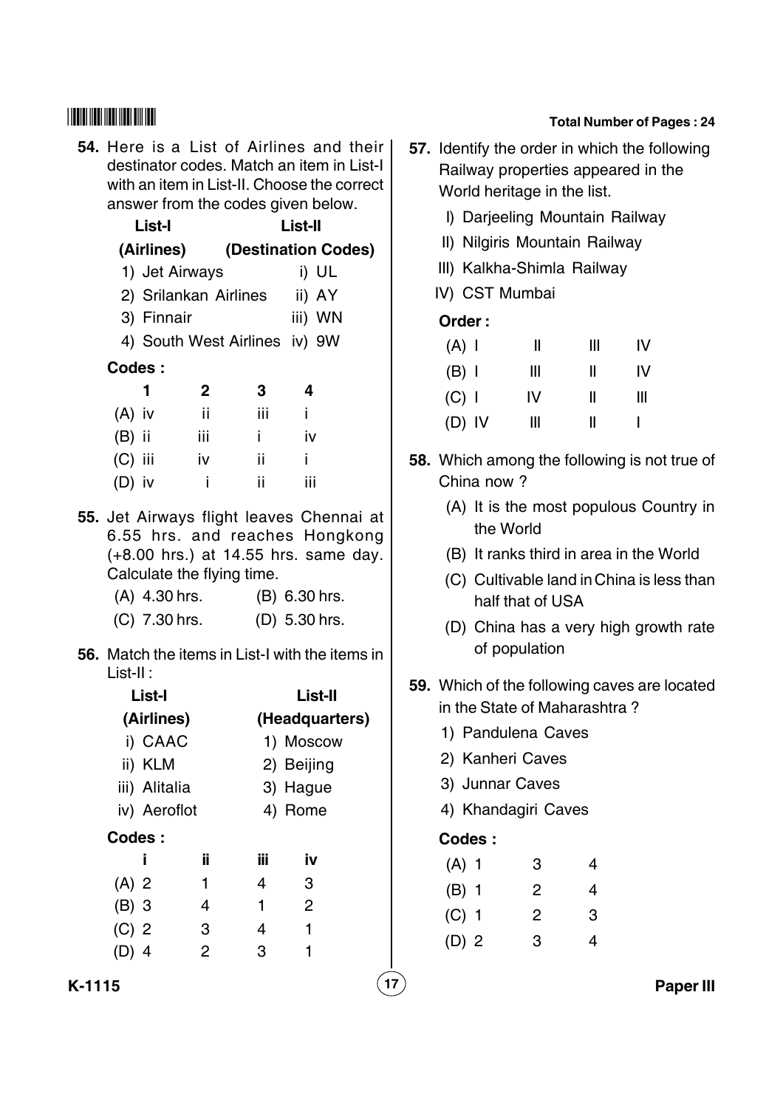**54.** Here is a List of Airlines and their destinator codes. Match an item in List-I with an item in List-II. Choose the correct answer from the codes given below.

> **List-I List-II (Airlines) (Destination Codes)** 1) Jet Airways i) UL 2) Srilankan Airlines ii) AY 3) Finnair iii) WN 4) South West Airlines iv) 9W **Codes : 1 2 34**  $(A)$  iv ii iii ii (B) ii iii i iv (C) iii iv ii i  $(D)$  iv  $I = \text{ii}$  iii

- **55.** Jet Airways flight leaves Chennai at 6.55 hrs. and reaches Hongkong (+8.00 hrs.) at 14.55 hrs. same day. Calculate the flying time.
	- (A) 4.30 hrs. (B) 6.30 hrs.
	- (C) 7.30 hrs. (D) 5.30 hrs.
- **56.** Match the items in List-I with the items in List-II :

|         | List-I        |     |     | List-II        |  |  |  |
|---------|---------------|-----|-----|----------------|--|--|--|
|         | (Airlines)    |     |     | (Headquarters) |  |  |  |
|         | i) CAAC       |     |     | 1) Moscow      |  |  |  |
|         | ii) KLM       |     |     | 2) Beijing     |  |  |  |
|         | iii) Alitalia |     |     | 3) Hague       |  |  |  |
|         | iv) Aeroflot  |     |     | 4) Rome        |  |  |  |
| Codes:  |               |     |     |                |  |  |  |
|         | Ĩ             | ii. | iΪi | iv             |  |  |  |
| $(A)$ 2 |               | 1   | 4   | 3              |  |  |  |
| $(B)$ 3 |               | 4   | 1   | 2              |  |  |  |
| $(C)$ 2 |               | 3   | 4   | 1              |  |  |  |
| (D) 4   |               | 2   | 3   |                |  |  |  |

#### **Total Number of Pages : 24**

- **57.** Identify the order in which the following Railway properties appeared in the World heritage in the list.
	- I) Darjeeling Mountain Railway
	- II) Nilgiris Mountain Railway
	- III) Kalkha-Shimla Railway
	- IV) CST Mumbai

#### **Order :**

| $(A)$ I  | Ш  | Ш | ΙV |
|----------|----|---|----|
| $(B)$ I  | Ш  | Ш | ΙV |
| $(C)$ I  | IV | Ш | Ш  |
| $(D)$ IV | Ш  | Ш |    |

- **58.** Which among the following is not true of China now ?
	- (A) It is the most populous Country in the World
	- (B) It ranks third in area in the World
	- (C) Cultivable land in China is less than half that of USA
	- (D) China has a very high growth rate of population
- **59.** Which of the following caves are located in the State of Maharashtra ?
	- 1) Pandulena Caves
	- 2) Kanheri Caves
	- 3) Junnar Caves
	- 4) Khandagiri Caves

## **Codes :**

| $(A)$ 1 | З  | 4 |
|---------|----|---|
| $(B)$ 1 | 2  | 4 |
| $(C)$ 1 | 2  | З |
| $(D)$ 2 | 3. | 4 |

**K-1115 17 Paper III**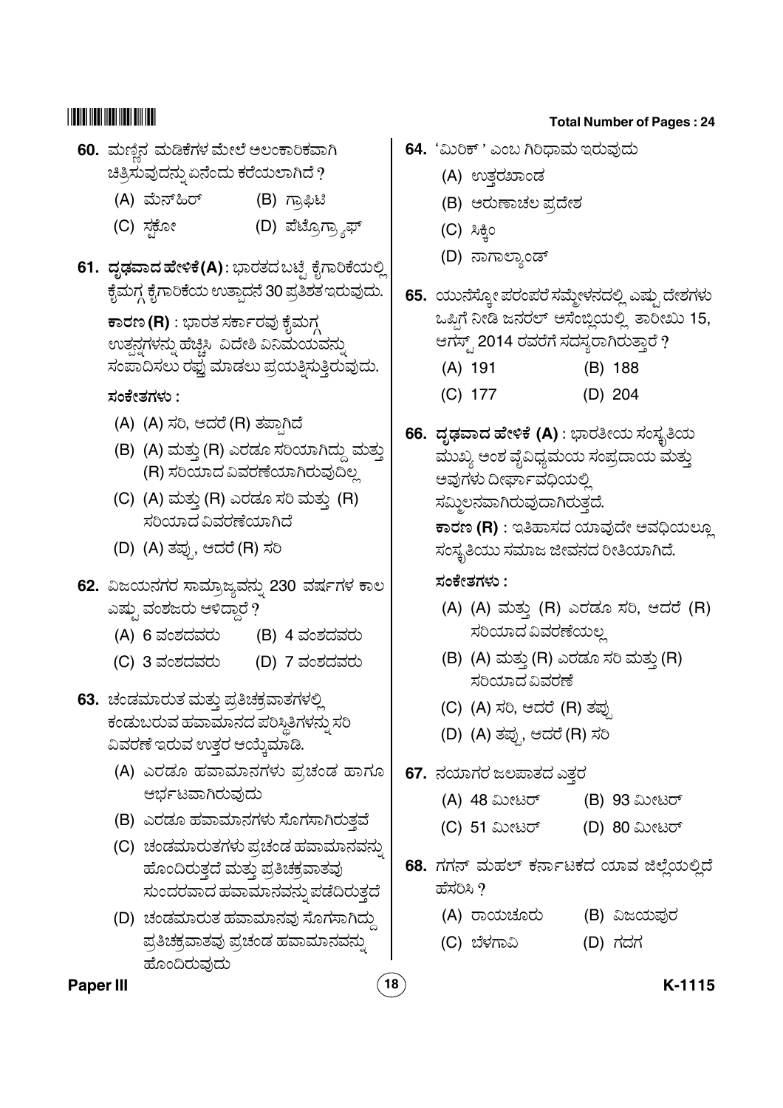- **60.** ಮಣ್ಣಿನ ಮಡಿಕೆಗಳ ಮೇಲೆ ಅಲಂಕಾರಿಕವಾಗಿ ಚಿತ್ರಿಸುವುದನ್ನು ಏನೆಂದು ಕರೆಯಲಾಗಿದೆ ?
	- (A) (B) ಗ್ರಾಫಿಟಿ
	- (C) ಸಕೋ .<br>'ಹಿಂಬಾರ್ (D) ಪೆಟ್ರೊಗ್ರ್ಯಾಫ್
- **61. ದೃಢವಾದ ಹೇಳಿಕೆ(A)** : ಭಾರತದ ಬಟ್ಸೆ ಕೈಗಾರಿಕೆಯಲ್ಲಿ @ .<br>ಕೈಮಗ್ಗ ಕೈಗಾರಿಕೆಯ ಉತ್ಪಾದನೆ 30 ಪ್ರತಿಶತ ಇರುವುದು.

 $\overline{\textbf{r}}$ ಾರಣ (R) : ಭಾರತ ಸರ್ಕಾರವು ಕೈಮಗ್ .<br>ಉತನಗಳನು ಹೆಚಿಸಿ ವಿದೇಶಿ ವಿನಿಮಯವನು " " ಸಂಪಾದಿಸಲು ರಫ್ತು ಮಾಡಲು ಪ್ರಯತ್ನಿಸುತ್ತಿರುವುದು.

<u>ಸಂಕೇತಗಳು :</u>

- (A) (A) ಸರಿ, ಆದರೆ (R) ತಪಾಗಿದೆ
- (B) (A) ಮತ್ತು (R) ಎರಡೂ ಸರಿಯಾಗಿದ್ದು ಮತ್ತು (R)\$E - b E
- (C) (A) ಮತ್ತು (R) ಎರಡೂ ಸರಿ ಮತ್ತು (R) .<br>ಸರಿಯಾದ ವಿವರಣೆಯಾಗಿದೆ
- (D) (A) ತಪ್ಪು ಆದರೆ (R) ಸರಿ
- <mark>62.</mark> ವಿಜಯನಗರ ಸಾಮ್ರಾಜ್ಯವನ್ನು 230 ವರ್ಷಗಳ ಕಾಲ ಎಷ್ಟು ವಂಶಜರು ಆಳಿದಾರೆ  $\widetilde{?}$ 
	- $(A)$  6 ವಂಶದವರು  $(B)$  4 ವಂಶದವರು
	- (C) 3 ವಂಶದವರು (D) 7 ವಂಶದವರು
- **63.** ಚಂಡಮಾರುತ ಮತ್ತು ಪ್ರತಿಚಕ್ರವಾತಗಳಲ್ಲಿ <u>ಕಂಡುಬರುವ ಹವಾಮಾನದ ಪರಿಸಿತಿಗಳನು ಸರಿ</u> " ವಿವರಣೆ ಇರುವ ಉತರ ಆಯ್ಕಮಾಡಿ.
	- (A) ಎರಡೂ ಹವಾಮಾನಗಳು ಪ್ರಚಂಡ ಹಾಗೂ ಆರ್ಭಟವಾಗಿರುವುದು
	- (B) ಎರಡೂ ಹವಾಮಾನಗಳು ಸೊಗಸಾಗಿರುತ್ತವೆ
	- (C) ಚಂಡಮಾರುತಗಳು ಪ್ರಚಂಡ ಹವಾಮಾನವನ್ನು " ಹೊಂದಿರುತ್ತದೆ ಮತ್ತು ಪ್ರತಿಚಕ್ರವಾತವು <u>ಸುಂದರವಾದ ಹವಾಮಾನವನು ಪಡೆದಿರುತದೆ</u>
	- .<br>(D) ಚಂಡಮಾರುತ ಹವಾಮಾನವು ಸೊಗಸಾಗಿದ್ದು ಪ್ರತಿಚಕ್ರವಾತವು ಪ್ರಚಂಡ ಹವಾಮಾನವನ್ನು " )

#### **Total Number of Pages : 24**

- **64.** 'ಮಿರಿಕ್ ' ಎಂಬ ಗಿರಿಧಾಮ ಇರುವುದು
	- (A) ಉತ್ತರಖಾಂಡ
	- (B) ಅರುಣಾಚಲ ಪ್ರದೇಶ
	- $(C)$  ಸಿಕ್ತಿಂ
	- (D) ನಾಗಾಲ್ತಾಂಡ್
- **65.** ಯುನೆಸ್ರೋ ಪರಂಪರೆ ಸಮ್ಮೇಳನದಲ್ಲಿ ಎಷ್ಸು ದೇಶಗಳು @ ಒಪಿಗೆ ನೀಡಿ ಜನರಲ್ ಅಸೆಂಬ್ಲಿಯಲ್ಲಿ ತಾರೀಖು 15, ಆಗಸ್ಟ್ 2014 ರವರೆಗೆ ಸದಸ್ಯರಾಗಿರುತ್ತಾರೆ ? (A) 191 (B) 188
	- (C) 177 (D) 204
- **66. ದೃಢವಾದ ಹೇಳಿಕೆ (A)** : ಭಾರತೀಯ ಸಂಸ್ತೃತಿಯ ವುುಖ್ಯ ಅಂಶ ವೈವಿಧ್ಯಮಯ ಸಂಪ್ರದಾಯ ಮತ್ತು ಅವುಗಳು ದೀರ್ಘಾವಧಿಯಲಿ .<br>ಸಮಿಲನವಾಗಿರುವುದಾಗಿರುತದೆ. **ಕಾರಣ (R)** : ಇತಿಹಾಸದ ಯಾವುದೇ ಅವಧಿಯಲ್ಲೂ .<br>ಸಂಸ್ಮತಿಯು ಸಮಾಜ ಜೀವನದ ರೀತಿಯಾಗಿದೆ.

<u>ಸಂಕೇತಗಳು :</u>

- (A) (A) ಮತ್ತು (R) ಎರಡೂ ಸರಿ, ಆದರೆ (R) .<br>ಸರಿಯಾದ ವಿವರಣೆಯಲ
- (B) (A) ಮತ್ತು (R) ಎರಡೂ ಸರಿ ಮತ್ತು (R) \$E - b
- (C) (A) ಸರಿ, ಆದರೆ (R) ತಪು
- (D) (A) ತಪ್ಪು, ಆದರೆ (R) ಸರಿ
- **67.** ನಯಾಗರ ಜಲಪಾತದ ಎತ್ತರ
	- (A) 48 ಮೀಟರ್ (B) 93 ಮೀಟರ್
	- (C) 51 ಮೀಟರ್ (D) 80 ಮೀಟರ್
- **68.** ಗಗನ್ ಮಹಲ್ ಕರ್ನಾಟಕದ ಯಾವ ಜಿಲ್ಲೆಯಲ್ಲಿದೆ ಹೆಸರಿಸಿ $\overline{\partial}$ 
	- (A) ರಾಯಚೂರು (B) ವಿಜಯಪುರ
	- (C) ಬೆಳಗಾವಿ (D) ಗದಗ

#### **Paper III 18 K-1115**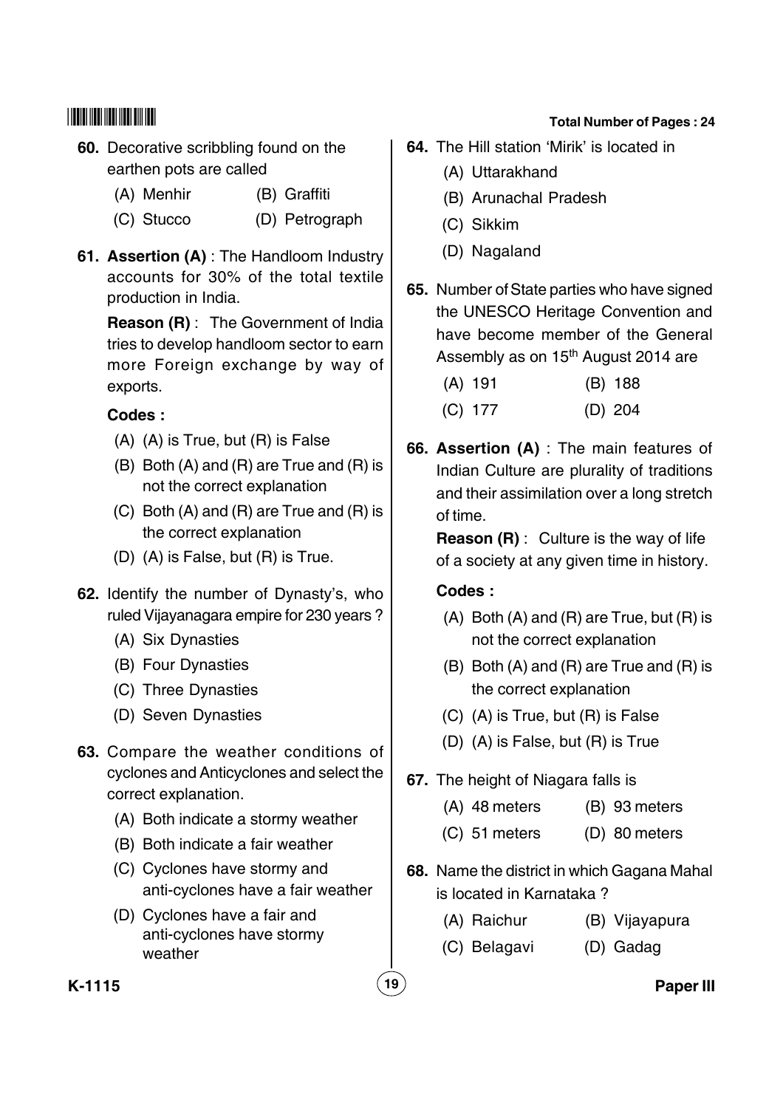- **60.** Decorative scribbling found on the earthen pots are called
	- (A) Menhir (B) Graffiti
	- (C) Stucco (D) Petrograph
- **61. Assertion (A)** : The Handloom Industry accounts for 30% of the total textile production in India.

**Reason (R)** : The Government of India tries to develop handloom sector to earn more Foreign exchange by way of exports.

## **Codes :**

- (A) (A) is True, but (R) is False
- (B) Both (A) and (R) are True and (R) is not the correct explanation
- (C) Both (A) and (R) are True and (R) is the correct explanation
- (D) (A) is False, but (R) is True.
- **62.** Identify the number of Dynasty's, who ruled Vijayanagara empire for 230 years ?
	- (A) Six Dynasties
	- (B) Four Dynasties
	- (C) Three Dynasties
	- (D) Seven Dynasties
- **63.** Compare the weather conditions of cyclones and Anticyclones and select the correct explanation.
	- (A) Both indicate a stormy weather
	- (B) Both indicate a fair weather
	- (C) Cyclones have stormy and anti-cyclones have a fair weather
	- (D) Cyclones have a fair and anti-cyclones have stormy weather

#### **Total Number of Pages : 24**

- **64.** The Hill station 'Mirik' is located in
	- (A) Uttarakhand
	- (B) Arunachal Pradesh
	- (C) Sikkim
	- (D) Nagaland
- **65.** Number of State parties who have signed the UNESCO Heritage Convention and have become member of the General Assembly as on 15<sup>th</sup> August 2014 are

| $(A)$ 191 | (B) 188   |
|-----------|-----------|
| $(C)$ 177 | $(D)$ 204 |

**66. Assertion (A)** : The main features of Indian Culture are plurality of traditions and their assimilation over a long stretch of time.

**Reason (R)** : Culture is the way of life of a society at any given time in history.

## **Codes :**

- $(A)$  Both  $(A)$  and  $(R)$  are True, but  $(R)$  is not the correct explanation
- (B) Both (A) and (R) are True and (R) is the correct explanation
- (C) (A) is True, but (R) is False
- (D) (A) is False, but (R) is True
- **67.** The height of Niagara falls is
	- (A) 48 meters (B) 93 meters
	- (C) 51 meters (D) 80 meters
- **68.** Name the district in which Gagana Mahal is located in Karnataka ?
	- (A) Raichur (B) Vijayapura
	- (C) Belagavi (D) Gadag

**K-1115 19 Paper III**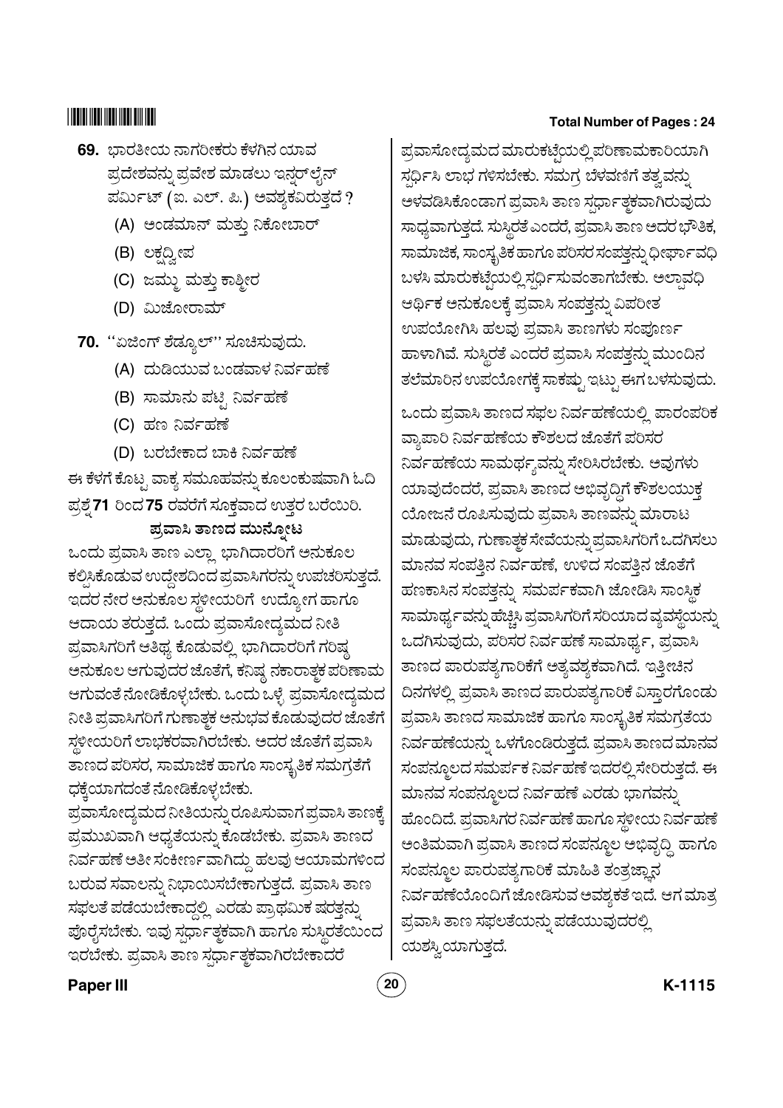# 

- 69. ಭಾರತೀಯ ನಾಗರೀಕರು ಕೆಳಗಿನ ಯಾವ ಪ್ರದೇಶವನ್ನು ಪ್ರವೇಶ ಮಾಡಲು ಇನ್ನರ್ ಲೈನ್ ಪರ್ಮಿಟ್ (ಐ. ಎಲ್. ಪಿ.) ಅವಶ್ಯಕವಿರುತ್ತದೆ ?
	- (A) ಅಂಡಮಾನ್ ಮತ್ತು ನಿಕೋಬಾರ್
	- (B) ಲಕ್ಷದ್ವೀಪ
	- (C) ಜಮ್ತು ಮತ್ತು ಕಾಶ್ಮೀರ
	- (D) ಮಿಜೋರಾಮ್
- 70. "ಏಜಿಂಗ್ ಶೆಡ್ಯೂಲ್" ಸೂಚಿಸುವುದು.
	- (A) ದುಡಿಯುವ ಬಂಡವಾಳ ನಿರ್ವಹಣೆ
	- (B) ಸಾಮಾನು ಪಟ್ಟಿ ನಿರ್ವಹಣೆ
	- (C) ಹಣ ನಿರ್ವಹಣೆ
	- (D) ಬರಬೇಕಾದ ಬಾಕಿ ನಿರ್ವಹಣೆ

ಈ ಕೆಳಗೆ ಕೊಟ್ಟ ವಾಕ್ಯ ಸಮೂಹವನ್ನು ಕೂಲಂಕುಷವಾಗಿ ಓದಿ ಪ್ರಶ್ನೆ 71 ರಿಂದ 75 ರವರೆಗೆ ಸೂಕ್ತವಾದ ಉತ್ತರ ಬರೆಯಿರಿ. ಪ್ರವಾಸಿ ತಾಣದ ಮುನ್ನೋಟ

ಒಂದು ಪ್ರವಾಸಿ ತಾಣ ಎಲ್ಲಾ ಭಾಗಿದಾರರಿಗೆ ಅನುಕೂಲ ಕಲ್ಪಿಸಿಕೊಡುವ ಉದ್ದೇಶದಿಂದ ಪ್ರವಾಸಿಗರನ್ನು ಉಪಚರಿಸುತ್ತದೆ. ಇದರ ನೇರ ಅನುಕೂಲ ಸ್ಥಳೀಯರಿಗೆ ಉದ್ಯೋಗ ಹಾಗೂ ಆದಾಯ ತರುತ್ತದೆ. ಒಂದು ಪ್ರವಾಸೋದ್ಯಮದ ನೀತಿ ಪ್ರವಾಸಿಗರಿಗೆ ಆತಿಥ್ಯ ಕೊಡುವಲ್ಲಿ ಭಾಗಿದಾರರಿಗೆ ಗರಿಷ್ಠ ಅನುಕೂಲ ಆಗುವುದರ ಜೊತೆಗೆ, ಕನಿಷ್ಠ ನಕಾರಾತ್ಗಕ ಪರಿಣಾಮ ಆಗುವಂತೆ ನೋಡಿಕೊಳ್ಳಬೇಕು. ಒಂದು ಒಳ್ಳೆ ಪ್ರವಾಸೋದ್ಯಮದ ನೀತಿ ಪ್ರವಾಸಿಗರಿಗೆ ಗುಣಾತ್ಚಕ ಅನುಭವ ಕೊಡುವುದರ ಜೊತೆಗೆ ಸ್ಥಳೀಯರಿಗೆ ಲಾಭಕರವಾಗಿರಬೇಕು. ಅದರ ಜೊತೆಗೆ ಪ್ರವಾಸಿ ತಾಣದ ಪರಿಸರ, ಸಾಮಾಜಿಕ ಹಾಗೂ ಸಾಂಸ್ಥತಿಕ ಸಮಗ್ರತೆಗೆ ಧಕ್ಕೆಯಾಗದಂತೆ ನೋಡಿಕೊಳ್ಳಬೇಕು.

ಪ್ರವಾಸೋದ್ಯಮದ ನೀತಿಯನ್ನು ರೂಪಿಸುವಾಗ ಪ್ರವಾಸಿ ತಾಣಕ್ಕೆ ಪ್ರಮುಖವಾಗಿ ಆಧ್ಯತೆಯನ್ನು ಕೊಡಬೇಕು. ಪ್ರವಾಸಿ ತಾಣದ ನಿರ್ವಹಣೆ ಅತೀ ಸಂಕೀರ್ಣವಾಗಿದ್ದು ಹಲವು ಆಯಾಮಗಳಿಂದ ಬರುವ ಸವಾಲನ್ನು ನಿಭಾಯಿಸಬೇಕಾಗುತ್ತದೆ. ಪ್ರವಾಸಿ ತಾಣ ಸಫಲತೆ ಪಡೆಯಬೇಕಾದ್ದಲ್ಲಿ ಎರಡು ಪ್ರಾಥಮಿಕ ಷರತ್ಗನ್ನು ಪೊರೈಸಬೇಕು. ಇವು ಸ್ಪರ್ಧಾತ್ಮಕವಾಗಿ ಹಾಗೂ ಸುಸ್ಲಿರತೆಯಿಂದ ಇರಬೇಕು. ಪ್ರವಾಸಿ ತಾಣ ಸರ್ಧಾತ್ಮಕವಾಗಿರಬೇಕಾದರೆ

#### **Total Number of Pages: 24**

ಪ್ರವಾಸೋದ್ಯಮದ ಮಾರುಕಟ್ಟೆಯಲ್ಲಿ ಪರಿಣಾಮಕಾರಿಯಾಗಿ ಸರ್ಧಿಸಿ ಲಾಭ ಗಳಿಸಬೇಕು. ಸಮಗ್ರ ಬೆಳವಣಿಗೆ ತತ್ತವನ್ನು ಆಳವಡಿಸಿಕೊಂಡಾಗ ಪ್ರವಾಸಿ ತಾಣ ಸರ್ಧಾತ್ಮಕವಾಗಿರುವುದು ಸಾಧ್ಯವಾಗುತ್ತದೆ. ಸುಸ್ಥಿರತೆ ಎಂದರೆ, ಪ್ರವಾಸಿ ತಾಣ ಅದರ ಭೌತಿಕ, ಸಾಮಾಜಿಕ, ಸಾಂಸ್ಕೃತಿಕ ಹಾಗೂ ಪರಿಸರ ಸಂಪತ್ತನ್ನು ಧೀರ್ಘಾವಧಿ ಬಳಸಿ ಮಾರುಕಟ್ಟೆಯಲ್ಲಿ ಸರ್ಧಿಸುವಂತಾಗಬೇಕು. ಅಲ್ಪಾವಧಿ ಆರ್ಥಿಕ ಅನುಕೂಲಕ್ಕೆ ಪ್ರವಾಸಿ ಸಂಪತ್ತನ್ನು ವಿಪರೀತ ಉಪಯೋಗಿಸಿ ಹಲವು ಪ್ರವಾಸಿ ತಾಣಗಳು ಸಂಪೂರ್ಣ ಹಾಳಾಗಿವೆ. ಸುಸ್ಥಿರತೆ ಎಂದರೆ ಪ್ರವಾಸಿ ಸಂಪತ್ಗನ್ನು ಮುಂದಿನ ತಲೆಮಾರಿನ ಉಪಯೋಗಕ್ಕೆ ಸಾಕಷ್ಟು ಇಟ್ಟು ಈಗ ಬಳಸುವುದು.

ಒಂದು ಪ್ರವಾಸಿ ತಾಣದ ಸಫಲ ನಿರ್ವಹಣೆಯಲ್ಲಿ ಪಾರಂಪರಿಕ ವ್ಯಾಪಾರಿ ನಿರ್ವಹಣೆಯ ಕೌಶಲದ ಜೊತೆಗೆ ಪರಿಸರ ನಿರ್ವಹಣೆಯ ಸಾಮರ್ಥ್ಯವನ್ನು ಸೇರಿಸಿರಬೇಕು. ಅವುಗಳು ಯಾವುದೆಂದರೆ, ಪ್ರವಾಸಿ ತಾಣದ ಅಭಿವೃದ್ಧಿಗೆ ಕೌಶಲಯುಕ್ತ ಯೋಜನೆ ರೂಪಿಸುವುದು ಪ್ರವಾಸಿ ತಾಣವನ್ನು ಮಾರಾಟ ಮಾಡುವುದು, ಗುಣಾತ್ಮಕ ಸೇವೆಯನ್ನು ಪ್ರವಾಸಿಗರಿಗೆ ಒದಗಿಸಲು ಮಾನವ ಸಂಪತ್ತಿನ ನಿರ್ವಹಣೆ, ಉಳಿದ ಸಂಪತ್ತಿನ ಜೊತೆಗೆ ಹಣಕಾಸಿನ ಸಂಪತ್ತನ್ನು ಸಮರ್ಪಕವಾಗಿ ಜೋಡಿಸಿ ಸಾಂಸ್ಥಿಕ ಸಾಮಾರ್ಥ್ಯವನ್ನು ಹೆಚ್ಚಿಸಿ ಪ್ರವಾಸಿಗರಿಗೆ ಸರಿಯಾದ ವ್ಯವಸ್ಥೆಯನ್ನು ಒದಗಿಸುವುದು, ಪರಿಸರ ನಿರ್ವಹಣೆ ಸಾಮಾರ್ಥ್ಯ, ಪ್ರವಾಸಿ ತಾಣದ ಪಾರುಪತ್ಯಗಾರಿಕೆಗೆ ಅತ್ಯವಶ್ಯಕವಾಗಿದೆ. ಇತ್ತೀಚಿನ ದಿನಗಳಲ್ಲಿ ಪ್ರವಾಸಿ ತಾಣದ ಪಾರುಪತ್ಯಗಾರಿಕೆ ವಿಸ್ತಾರಗೊಂಡು ಪ್ರವಾಸಿ ತಾಣದ ಸಾಮಾಜಿಕ ಹಾಗೂ ಸಾಂಸ್ಯತಿಕ ಸಮಗ್ರತೆಯ ನಿರ್ವಹಣೆಯನ್ನು ಒಳಗೊಂಡಿರುತ್ತದೆ. ಪ್ರವಾಸಿ ತಾಣದ ಮಾನವ ಸಂಪನ್ನೂಲದ ಸಮರ್ಪಕ ನಿರ್ವಹಣೆ ಇದರಲ್ಲಿ ಸೇರಿರುತ್ತದೆ. ಈ ಮಾನವ ಸಂಪನ್ಮೂಲದ ನಿರ್ವಹಣೆ ಎರಡು ಭಾಗವನ್ನು ಹೊಂದಿದೆ. ಪ್ರವಾಸಿಗರ ನಿರ್ವಹಣೆ ಹಾಗೂ ಸ್ಥಳೀಯ ನಿರ್ವಹಣೆ ಅಂತಿಮವಾಗಿ ಪ್ರವಾಸಿ ತಾಣದ ಸಂಪನ್ಮೂಲ ಅಭಿವೃದ್ಧಿ ಹಾಗೂ ಸಂಪನ್ಮೂಲ ಪಾರುಪತ್ಯಗಾರಿಕೆ ಮಾಹಿತಿ ತಂತ್ರಜ್ಞಾನ ನಿರ್ವಹಣೆಯೊಂದಿಗೆ ಜೋಡಿಸುವ ಅವಶ್ಯಕತೆ ಇದೆ. ಆಗ ಮಾತ್ರ ಪ್ರವಾಸಿ ತಾಣ ಸಫಲತೆಯನ್ನು ಪಡೆಯುವುದರಲ್ಲಿ ಯಶಸ್ವಿಯಾಗುತ್ತದೆ.

#### **Paper III**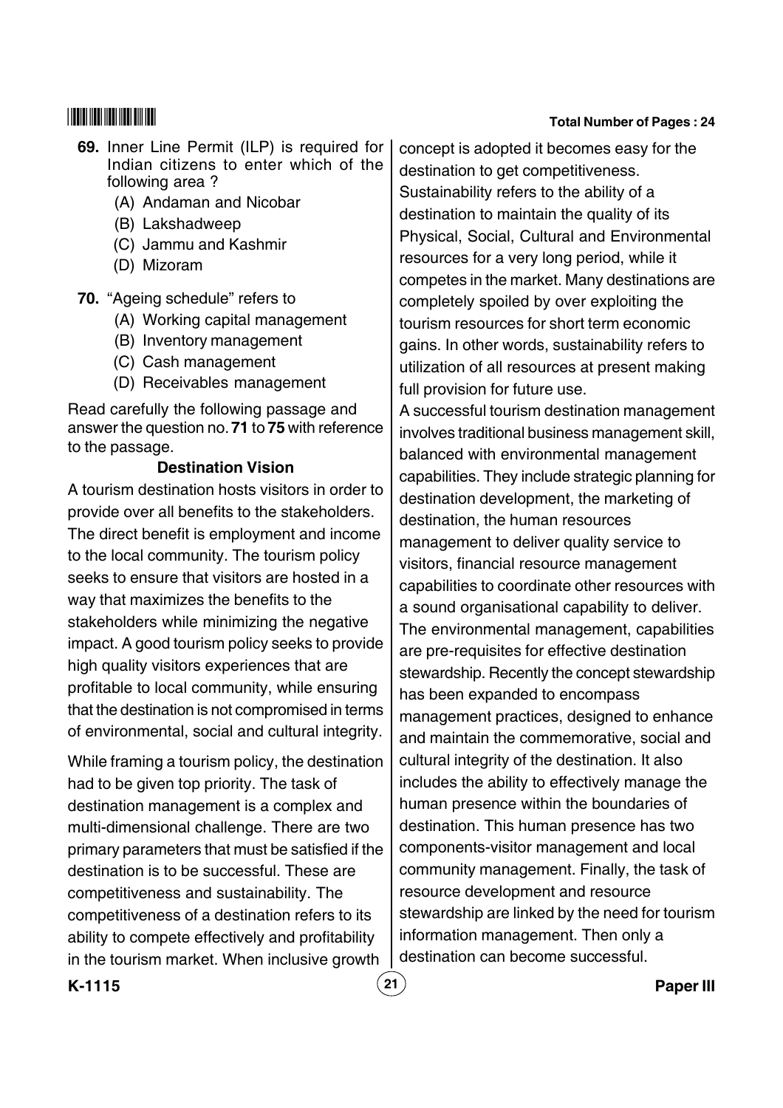#### **69.** Inner Line Permit (ILP) is required for Indian citizens to enter which of the following area ?

- (A) Andaman and Nicobar
- (B) Lakshadweep
- (C) Jammu and Kashmir
- (D) Mizoram
- **70.** "Ageing schedule" refers to
	- (A) Working capital management
	- (B) Inventory management
	- (C) Cash management
	- (D) Receivables management

Read carefully the following passage and answer the question no. **71** to **75** with reference to the passage.

#### **Destination Vision**

A tourism destination hosts visitors in order to provide over all benefits to the stakeholders. The direct benefit is employment and income to the local community. The tourism policy seeks to ensure that visitors are hosted in a way that maximizes the benefits to the stakeholders while minimizing the negative impact. A good tourism policy seeks to provide high quality visitors experiences that are profitable to local community, while ensuring that the destination is not compromised in terms of environmental, social and cultural integrity.

While framing a tourism policy, the destination had to be given top priority. The task of destination management is a complex and multi-dimensional challenge. There are two primary parameters that must be satisfied if the destination is to be successful. These are competitiveness and sustainability. The competitiveness of a destination refers to its ability to compete effectively and profitability in the tourism market. When inclusive growth

concept is adopted it becomes easy for the destination to get competitiveness. Sustainability refers to the ability of a destination to maintain the quality of its Physical, Social, Cultural and Environmental resources for a very long period, while it competes in the market. Many destinations are completely spoiled by over exploiting the tourism resources for short term economic gains. In other words, sustainability refers to utilization of all resources at present making full provision for future use.

A successful tourism destination management involves traditional business management skill, balanced with environmental management capabilities. They include strategic planning for destination development, the marketing of destination, the human resources management to deliver quality service to visitors, financial resource management capabilities to coordinate other resources with a sound organisational capability to deliver. The environmental management, capabilities are pre-requisites for effective destination stewardship. Recently the concept stewardship has been expanded to encompass management practices, designed to enhance and maintain the commemorative, social and cultural integrity of the destination. It also includes the ability to effectively manage the human presence within the boundaries of destination. This human presence has two components-visitor management and local community management. Finally, the task of resource development and resource stewardship are linked by the need for tourism information management. Then only a destination can become successful.

**K-1115 21 Paper III**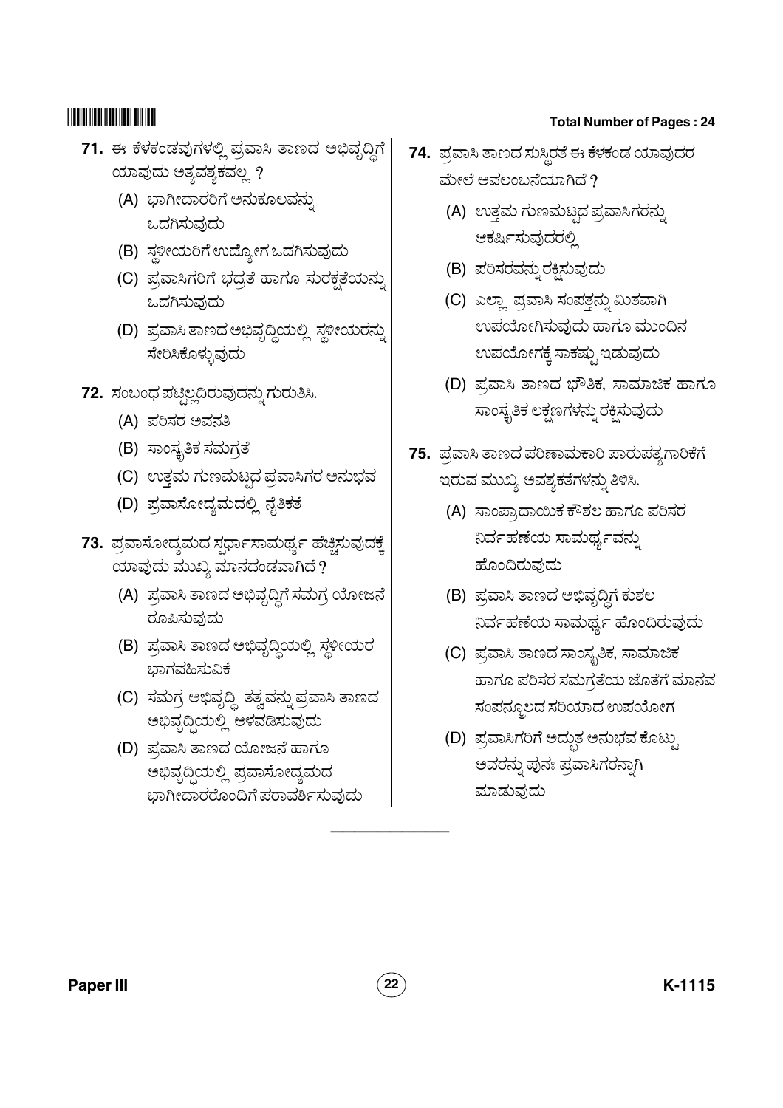- 71. ಈ ಕೆಳಕಂಡವುಗಳಲ್ಲಿ ಪ್ರವಾಸಿ ತಾಣದ ಅಭಿವೃದ್ಧಿಗೆ ಯಾವುದು ಅತ್ಯವಶ್ಯಕವಲ್ಲ ?
	- (A) ಭಾಗೀದಾರರಿಗೆ ಅನುಕೂಲವನ್ನು ಒದಗಿಸುವುದು
	- (B) ಸ್ಥಳೀಯರಿಗೆ ಉದ್ಯೋಗ ಒದಗಿಸುವುದು
	- (C) ಪ್ರವಾಸಿಗರಿಗೆ ಭದ್ರತೆ ಹಾಗೂ ಸುರಕ್ಷತೆಯನ<mark>್</mark>ತು ಒದಗಿಸುವುದು
	- (D) ಪ್ರವಾಸಿ ತಾಣದ ಅಭಿವೃದ್ಧಿಯಲ್ಲಿ ಸ್ಥಳೀಯರನ್ನು \_<br>ಸೇರಿಸಿಕೊಳ್ಳುವುದು
- **72.** ಸಂಬಂಧ ಪಟ್ತಿಲ್ಲದಿರುವುದನ್ನು ಗುರುತಿಸಿ. "
	- (A) ಪರಿಸರ ಅವನತಿ
	- (B) ಸಾಂಸ್ಥತಿಕ ಸಮಗ್ರತೆ
	- (C) ಉತ್ತಮ ಗುಣಮಟ್ಟದ ಪ್ರವಾಸಿಗರ ಅನುಭವ @
	- (D) ಪ್ರವಾಸೋದ್ಯಮದಲ್ಲಿ ನೈತಿಕತೆ
- **73.** ಪ್ರವಾಸೋದ್ಯಮದ ಸ್ಪರ್ಧಾಸಾಮರ್ಥ್ಯ ಹೆಚ್ಚಿಸುವುದಕ್ಕೆ ಯಾವುದು ಮುಖ್ಯ ಮಾನದಂಡವಾಗಿದೆ $\,$ ?
	- (A) ಪ್ರವಾಸಿ ತಾಣದ ಅಭಿವೃದ್ಧಿಗೆ ಸಮಗ್ರ ಯೋಜನೆ ರೂಪಿಸುವುದು
	- (B) ಪ್ರವಾಸಿ ತಾಣದ ಅಭಿವೃದ್ಧಿಯಲ್ಲಿ ಸ್ಥಳೀಯರ ್ಷ<br>ಭಾಗವಹಿಸುವಿಕೆ
	- (C) ಸಮಗ್ರ ಅಭಿವೃದ್ಧಿ ತತ್ವವನ್ನು ಪ್ರವಾಸಿ ತಾಣದ ಅಭಿವೃದ್ಧಿಯಲ್ಲಿ ಆಳವಡಿಸುವುದು
	- (D) ಪ್ರವಾಸಿ ತಾಣದ ಯೋಜನೆ ಹಾಗೂ .<br>ಅಭಿವೃದ್ಧಿಯಲ್ಲಿ ಪ್ರವಾಸೋದ್ಯಮದ ಬಾಗೀದಾರರೊಂದಿಗೆ ಪರಾವರ್ಶಿಸುವುದು

#### **Total Number of Pages : 24**

- **74.** ಪ್ರವಾಸಿ ತಾಣದ ಸುಸ್ಥಿರತೆ ಈ ಕೆಳಕಂಡ ಯಾವುದರ ಮೇಲೆ ಅವಲಂಬನೆಯಾಗಿದೆ ?
	- (A) ಉತ್ತಮ ಗುಣಮಟ್ಟದ ಪ್ರವಾಸಿಗರನ್ನು @ " ಆರ್ಕ್ಷಿಸುವುದರಲಿ
	- (B) ಪರಿಸರವನ್ನುರಕ್ತಿಸುವುದು
	- (C) ಎಲ್ಲಾ ಪ್ರವಾಸಿ ಸಂಪತ್ತನ್ನು ಮಿತವಾಗಿ " ಉಪಯೋಗಿಸುವುದು ಹಾಗೂ ಮುಂದಿನ <u>ಉಪಯೋಗಕೆ ಸಾಕಷು ಇಡುವುದು</u>
	- (D) ಪ್ರವಾಸಿ ತಾಣದ ಭೌತಿಕ, ಸಾಮಾಜಿಕ ಹಾಗೂ <u>ಸಾಂಸ್ಮತಿಕ ಲಕಣಗಳನು ರಕಿಸುವುದು</u>
- **75.** ಪ್ರವಾಸಿ ತಾಣದ ಪರಿಣಾಮಕಾರಿ ಪಾರುಪತ್ಯಗಾರಿಕೆಗೆ ಇರುವ ಮುಖ್ಯ ಅವಶ್ಯಕತೆಗಳನು ತಿಳಿಸಿ. "
	- (A) ಸಾಂಪ್ರಾದಾಯಿಕ ಕೌಶಲ ಹಾಗೂ ಪರಿಸರ ನಿರ್ವಹಣೆಯ ಸಾಮರ್ಥ್ಯವನು " ಹೊಂದಿರುವುದು
	- (B) ಪ್ರವಾಸಿ ತಾಣದ ಅಭಿವೃದ್ಧಿಗೆ ಕುಶಲ .<br>ನಿರ್ವಹಣೆಯ ಸಾಮರ್ಥ ಹೊಂದಿರುವುದು
	- (C) ಪ್ರವಾಸಿ ತಾಣದ ಸಾಂಸ್ಥತಿಕ, ಸಾಮಾಜಿಕ ಹಾಗೂ ಪರಿಸರ ಸಮಗ್ರತೆಯ ಜೊತೆಗೆ ಮಾನವ ಸಂಪನ್ಮೂಲದ ಸರಿಯಾದ ಉಪಯೋಗ
	- (D) ಪ್ರವಾಸಿಗರಿಗೆ ಅದ್ಭು ಅನುಭವ ಕೊಟ್ತು ಅವರನ್ನು ಪುನಃ ಪ್ರವಾಸಿಗರನ್ನಾಗಿ<br>ಮಾಡುವುದು "

\_\_\_\_\_\_\_\_\_\_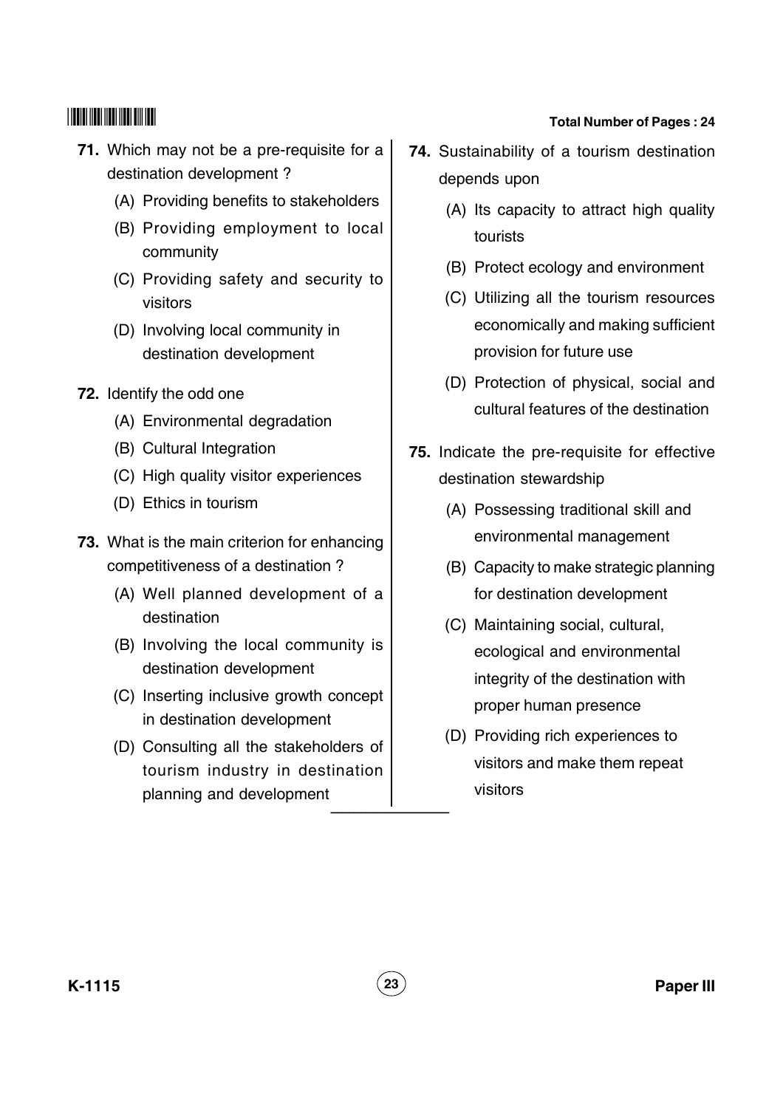(C) High quality visitor experiences

**71.** Which may not be a pre-requisite for a

(A) Providing benefits to stakeholders

(B) Providing employment to local

(C) Providing safety and security to

(D) Involving local community in destination development

(A) Environmental degradation

destination development ?

community

visitors

--

**72.** Identify the odd one

(D) Ethics in tourism

(B) Cultural Integration

- **73.** What is the main criterion for enhancing competitiveness of a destination ?
	- (A) Well planned development of a destination
	- (B) Involving the local community is destination development
	- (C) Inserting inclusive growth concept in destination development
	- (D) Consulting all the stakeholders of tourism industry in destination planning and development \_\_\_\_\_\_\_\_\_\_

- **74.** Sustainability of a tourism destination depends upon
	- (A) Its capacity to attract high quality tourists
	- (B) Protect ecology and environment
	- (C) Utilizing all the tourism resources economically and making sufficient provision for future use
	- (D) Protection of physical, social and cultural features of the destination
- **75.** Indicate the pre-requisite for effective destination stewardship
	- (A) Possessing traditional skill and environmental management
	- (B) Capacity to make strategic planning for destination development
	- (C) Maintaining social, cultural, ecological and environmental integrity of the destination with proper human presence
	- (D) Providing rich experiences to visitors and make them repeat visitors